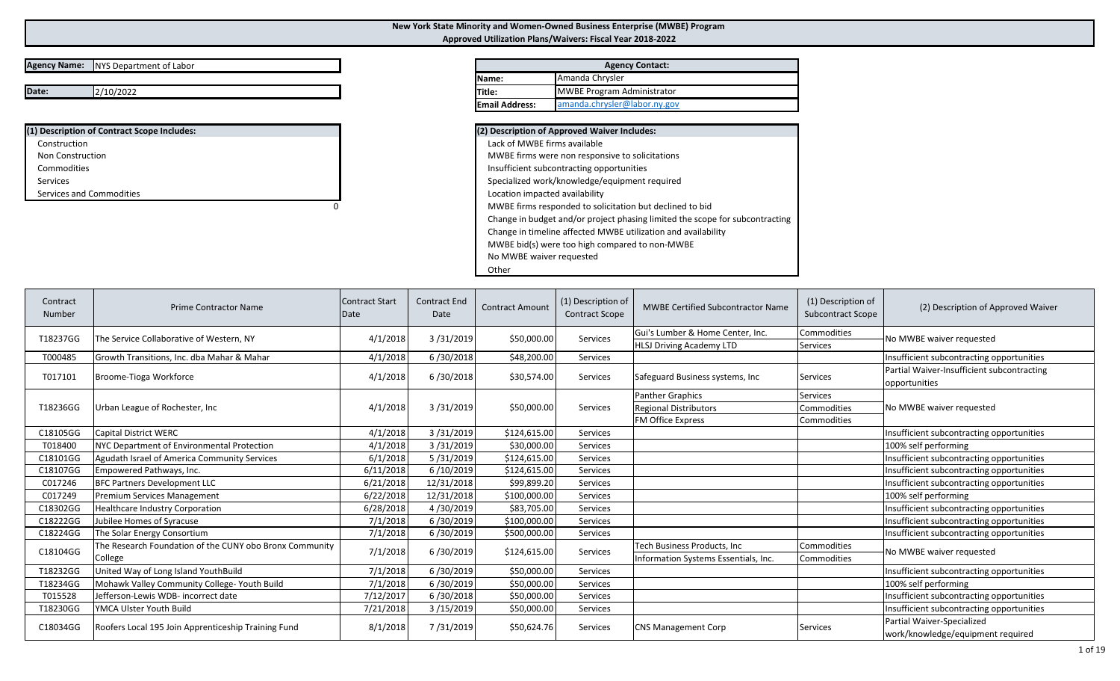## **New York State Minority and Women-Owned Business Enterprise (MWBE) Program Approved Utilization Plans/Waivers: Fiscal Year 2018-2022**

## **Agency Name:** NYS Department of Labor

**Date:** $2/10/2022$ 

| (1) Description of Contract Scope Includes: |
|---------------------------------------------|
| Construction                                |
| Non Construction                            |
| Commodities                                 |
| Services                                    |
| Services and Commodities                    |

|                       | <b>Agency Contact:</b>            |  |  |  |  |  |  |  |  |  |
|-----------------------|-----------------------------------|--|--|--|--|--|--|--|--|--|
| <b>IName:</b>         | Amanda Chrysler                   |  |  |  |  |  |  |  |  |  |
| <b>Title:</b>         | <b>MWBE Program Administrator</b> |  |  |  |  |  |  |  |  |  |
| <b>Email Address:</b> | amanda.chrysler@labor.ny.gov      |  |  |  |  |  |  |  |  |  |

| (2) Description of Approved Waiver Includes:                                 |
|------------------------------------------------------------------------------|
| Lack of MWBE firms available                                                 |
| MWBE firms were non responsive to solicitations                              |
| Insufficient subcontracting opportunities                                    |
| Specialized work/knowledge/equipment required                                |
| Location impacted availability                                               |
| MWBE firms responded to solicitation but declined to bid                     |
| Change in budget and/or project phasing limited the scope for subcontracting |
| Change in timeline affected MWBE utilization and availability                |
| MWBE bid(s) were too high compared to non-MWBE                               |
| No MWBE waiver requested                                                     |
| Other                                                                        |

| Contract<br>Number | <b>Prime Contractor Name</b>                            | <b>Contract Start</b><br>Date | <b>Contract End</b><br>Date | <b>Contract Amount</b> | (1) Description of<br><b>Contract Scope</b> | <b>MWBE Certified Subcontractor Name</b> | (1) Description of<br><b>Subcontract Scope</b> | (2) Description of Approved Waiver                          |
|--------------------|---------------------------------------------------------|-------------------------------|-----------------------------|------------------------|---------------------------------------------|------------------------------------------|------------------------------------------------|-------------------------------------------------------------|
| T18237GG           | The Service Collaborative of Western, NY                | 4/1/2018                      | 3/31/2019                   | \$50,000.00            | Services                                    | Gui's Lumber & Home Center, Inc.         | Commodities                                    | No MWBE waiver requested                                    |
|                    |                                                         |                               |                             |                        |                                             | <b>HLSJ Driving Academy LTD</b>          | <b>Services</b>                                |                                                             |
| T000485            | Growth Transitions, Inc. dba Mahar & Mahar              | 4/1/2018                      | 6/30/2018                   | \$48,200.00            | Services                                    |                                          |                                                | Insufficient subcontracting opportunities                   |
| T017101            | Broome-Tioga Workforce                                  | 4/1/2018                      | 6/30/2018                   | \$30,574.00            | Services                                    | Safeguard Business systems, Inc.         | <b>Services</b>                                | Partial Waiver-Insufficient subcontracting<br>opportunities |
|                    |                                                         |                               |                             |                        |                                             | <b>Panther Graphics</b>                  | <b>Services</b>                                |                                                             |
| T18236GG           | Urban League of Rochester, Inc                          | 4/1/2018                      | 3/31/2019                   | \$50,000.00            | Services                                    | <b>Regional Distributors</b>             | Commodities                                    | No MWBE waiver requested                                    |
|                    |                                                         |                               |                             |                        |                                             | <b>FM Office Express</b>                 | Commodities                                    |                                                             |
| C18105GG           | <b>Capital District WERC</b>                            | 4/1/2018                      | 3/31/2019                   | \$124,615.00           | Services                                    |                                          |                                                | Insufficient subcontracting opportunities                   |
| T018400            | NYC Department of Environmental Protection              | 4/1/2018                      | 3/31/2019                   | \$30,000.00            | Services                                    |                                          |                                                | 100% self performing                                        |
| C18101GG           | <b>Agudath Israel of America Community Services</b>     | 6/1/2018                      | 5/31/2019                   | \$124,615.00           | Services                                    |                                          |                                                | Insufficient subcontracting opportunities                   |
| C18107GG           | Empowered Pathways, Inc.                                | 6/11/2018                     | 6/10/2019                   | \$124,615.00           | Services                                    |                                          |                                                | Insufficient subcontracting opportunities                   |
| C017246            | <b>BFC Partners Development LLC</b>                     | 6/21/2018                     | 12/31/2018                  | \$99,899.20            | Services                                    |                                          |                                                | Insufficient subcontracting opportunities                   |
| C017249            | Premium Services Management                             | 6/22/2018                     | 12/31/2018                  | \$100,000.00           | Services                                    |                                          |                                                | 100% self performing                                        |
| C18302GG           | <b>Healthcare Industry Corporation</b>                  | 6/28/2018                     | 4/30/2019                   | \$83,705.00            | Services                                    |                                          |                                                | Insufficient subcontracting opportunities                   |
| C18222GG           | Jubilee Homes of Syracuse                               | 7/1/2018                      | 6/30/2019                   | \$100,000.00           | Services                                    |                                          |                                                | Insufficient subcontracting opportunities                   |
| C18224GG           | The Solar Energy Consortium                             | 7/1/2018                      | 6/30/2019                   | \$500,000.00           | Services                                    |                                          |                                                | Insufficient subcontracting opportunities                   |
| C18104GG           | The Research Foundation of the CUNY obo Bronx Community | 7/1/2018                      | 6/30/2019                   | \$124,615.00           | Services                                    | Tech Business Products, Inc.             | Commodities                                    | No MWBE waiver requested                                    |
|                    | College                                                 |                               |                             |                        |                                             | Information Systems Essentials, Inc.     | <b>Commodities</b>                             |                                                             |
| T18232GG           | United Way of Long Island YouthBuild                    | 7/1/2018                      | 6/30/2019                   | \$50,000.00            | Services                                    |                                          |                                                | Insufficient subcontracting opportunities                   |
| T18234GG           | Mohawk Valley Community College-Youth Build             | 7/1/2018                      | 6/30/2019                   | \$50,000.00            | Services                                    |                                          |                                                | 100% self performing                                        |
| T015528            | Jefferson-Lewis WDB- incorrect date                     | 7/12/2017                     | 6/30/2018                   | \$50,000.00            | Services                                    |                                          |                                                | Insufficient subcontracting opportunities                   |
| T18230GG           | YMCA Ulster Youth Build                                 | 7/21/2018                     | 3/15/2019                   | \$50,000.00            | Services                                    |                                          |                                                | Insufficient subcontracting opportunities                   |
| C18034GG           |                                                         | 8/1/2018                      |                             | \$50,624.76            | Services                                    | <b>CNS Management Corp</b>               | <b>Services</b>                                | Partial Waiver-Specialized                                  |
|                    | Roofers Local 195 Join Apprenticeship Training Fund     |                               | 7/31/2019                   |                        |                                             |                                          |                                                | work/knowledge/equipment required                           |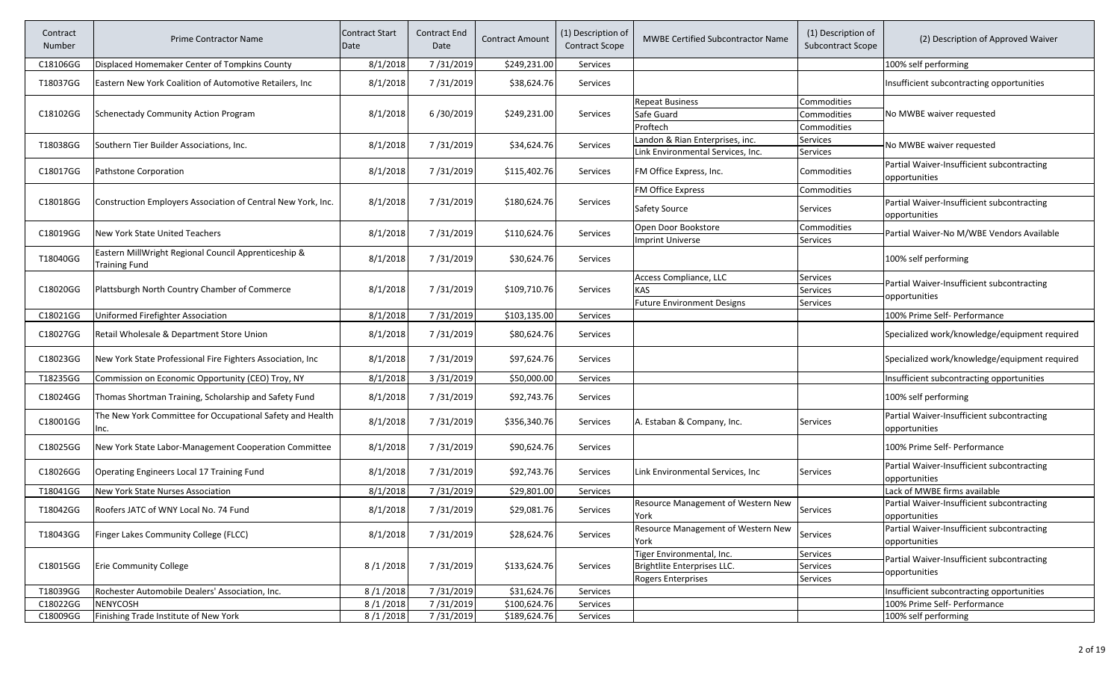| Contract<br>Number | <b>Prime Contractor Name</b>                                                 | <b>Contract Start</b><br>Date | <b>Contract End</b><br>Date | <b>Contract Amount</b> | (1) Description of<br><b>Contract Scope</b> | <b>MWBE Certified Subcontractor Name</b>          | (1) Description of<br><b>Subcontract Scope</b> | (2) Description of Approved Waiver                          |
|--------------------|------------------------------------------------------------------------------|-------------------------------|-----------------------------|------------------------|---------------------------------------------|---------------------------------------------------|------------------------------------------------|-------------------------------------------------------------|
| C18106GG           | Displaced Homemaker Center of Tompkins County                                | 8/1/2018                      | 7/31/2019                   | \$249,231.00           | Services                                    |                                                   |                                                | 100% self performing                                        |
| T18037GG           | Eastern New York Coalition of Automotive Retailers, Inc.                     | 8/1/2018                      | 7/31/2019                   | \$38,624.76            | Services                                    |                                                   |                                                | Insufficient subcontracting opportunities                   |
|                    |                                                                              |                               |                             |                        |                                             | <b>Repeat Business</b>                            | Commodities                                    |                                                             |
| C18102GG           | <b>Schenectady Community Action Program</b>                                  | 8/1/2018                      | 6/30/2019                   | \$249,231.00           | <b>Services</b>                             | Safe Guard                                        | Commodities                                    | No MWBE waiver requested                                    |
|                    |                                                                              |                               |                             |                        |                                             | Proftech                                          | Commodities                                    |                                                             |
| T18038GG           | Southern Tier Builder Associations, Inc.                                     | 8/1/2018                      | 7/31/2019                   | \$34,624.76            | Services                                    | Landon & Rian Enterprises, inc.                   | Services                                       | No MWBE waiver requested                                    |
|                    |                                                                              |                               |                             |                        |                                             | Link Environmental Services, Inc.                 | Services                                       |                                                             |
| C18017GG           | Pathstone Corporation                                                        | 8/1/2018                      | 7/31/2019                   | \$115,402.76           | Services                                    | FM Office Express, Inc.                           | Commodities                                    | Partial Waiver-Insufficient subcontracting<br>opportunities |
|                    |                                                                              |                               |                             |                        |                                             | <b>FM Office Express</b>                          | Commodities                                    |                                                             |
| C18018GG           | Construction Employers Association of Central New York, Inc.                 | 8/1/2018                      | 7/31/2019                   | \$180,624.76           | <b>Services</b>                             |                                                   | <b>Services</b>                                | Partial Waiver-Insufficient subcontracting                  |
|                    |                                                                              |                               |                             |                        |                                             | Safety Source                                     |                                                | opportunities                                               |
| C18019GG           | New York State United Teachers                                               | 8/1/2018                      | 7/31/2019                   | \$110,624.76           | Services                                    | Open Door Bookstore                               | Commodities                                    | Partial Waiver-No M/WBE Vendors Available                   |
|                    |                                                                              |                               |                             |                        |                                             | <b>Imprint Universe</b>                           | Services                                       |                                                             |
| T18040GG           | Eastern MillWright Regional Council Apprenticeship &<br><b>Training Fund</b> | 8/1/2018                      | 7/31/2019                   | \$30,624.76            | Services                                    |                                                   |                                                | 100% self performing                                        |
|                    |                                                                              |                               |                             |                        |                                             | Access Compliance, LLC                            | <b>Services</b>                                |                                                             |
| C18020GG           | Plattsburgh North Country Chamber of Commerce                                | 8/1/2018                      | 7/31/2019                   | \$109,710.76           | Services                                    | <b>KAS</b>                                        | Services                                       | Partial Waiver-Insufficient subcontracting                  |
|                    |                                                                              |                               |                             |                        |                                             | <b>Future Environment Designs</b>                 | Services                                       | opportunities                                               |
| C18021GG           | Uniformed Firefighter Association                                            | 8/1/2018                      | 7/31/2019                   | \$103,135.00           | <b>Services</b>                             |                                                   |                                                | 100% Prime Self- Performance                                |
| C18027GG           | Retail Wholesale & Department Store Union                                    | 8/1/2018                      | 7/31/2019                   | \$80,624.76            | Services                                    |                                                   |                                                | Specialized work/knowledge/equipment required               |
| C18023GG           | New York State Professional Fire Fighters Association, Inc                   | 8/1/2018                      | 7/31/2019                   | \$97,624.76            | Services                                    |                                                   |                                                | Specialized work/knowledge/equipment required               |
| T18235GG           | Commission on Economic Opportunity (CEO) Troy, NY                            | 8/1/2018                      | 3/31/2019                   | \$50,000.00            | Services                                    |                                                   |                                                | Insufficient subcontracting opportunities                   |
| C18024GG           | Thomas Shortman Training, Scholarship and Safety Fund                        | 8/1/2018                      | 7/31/2019                   | \$92,743.76            | Services                                    |                                                   |                                                | 100% self performing                                        |
| C18001GG           | The New York Committee for Occupational Safety and Health<br>Inc.            | 8/1/2018                      | 7/31/2019                   | \$356,340.76           | Services                                    | A. Estaban & Company, Inc.                        | Services                                       | Partial Waiver-Insufficient subcontracting<br>opportunities |
| C18025GG           | New York State Labor-Management Cooperation Committee                        | 8/1/2018                      | 7/31/2019                   | \$90,624.76            | Services                                    |                                                   |                                                | 100% Prime Self- Performance                                |
| C18026GG           | Operating Engineers Local 17 Training Fund                                   | 8/1/2018                      | 7/31/2019                   | \$92,743.76            | <b>Services</b>                             | Link Environmental Services, Inc                  | <b>Services</b>                                | Partial Waiver-Insufficient subcontracting<br>opportunities |
| T18041GG           | New York State Nurses Association                                            | 8/1/2018                      | 7/31/2019                   | \$29,801.00            | Services                                    |                                                   |                                                | Lack of MWBE firms available                                |
| T18042GG           | Roofers JATC of WNY Local No. 74 Fund                                        | 8/1/2018                      | 7/31/2019                   |                        |                                             | Resource Management of Western New                |                                                | Partial Waiver-Insufficient subcontracting                  |
|                    |                                                                              |                               |                             | \$29,081.76            | Services                                    | York                                              | <b>Services</b>                                | opportunities                                               |
| T18043GG           | Finger Lakes Community College (FLCC)                                        | 8/1/2018                      | 7/31/2019                   | \$28,624.76            | Services                                    | <b>Resource Management of Western New</b><br>York | Services                                       | Partial Waiver-Insufficient subcontracting<br>opportunities |
|                    |                                                                              |                               |                             |                        |                                             | Tiger Environmental, Inc.                         | Services                                       |                                                             |
| C18015GG           | <b>Erie Community College</b>                                                | 8/1/2018                      | 7/31/2019                   | \$133,624.76           | Services                                    | Brightlite Enterprises LLC.                       | Services                                       | Partial Waiver-Insufficient subcontracting                  |
|                    |                                                                              |                               |                             |                        |                                             | Rogers Enterprises                                | Services                                       | opportunities                                               |
| T18039GG           | Rochester Automobile Dealers' Association, Inc.                              | 8/1/2018                      | 7/31/2019                   | \$31,624.76            | Services                                    |                                                   |                                                | Insufficient subcontracting opportunities                   |
| C18022GG           | <b>NENYCOSH</b>                                                              | 8/1/2018                      | 7/31/2019                   | \$100,624.76           | Services                                    |                                                   |                                                | 100% Prime Self- Performance                                |
| C18009GG           | Finishing Trade Institute of New York                                        | 8/1/2018                      | 7/31/2019                   | \$189,624.76           | Services                                    |                                                   |                                                | 100% self performing                                        |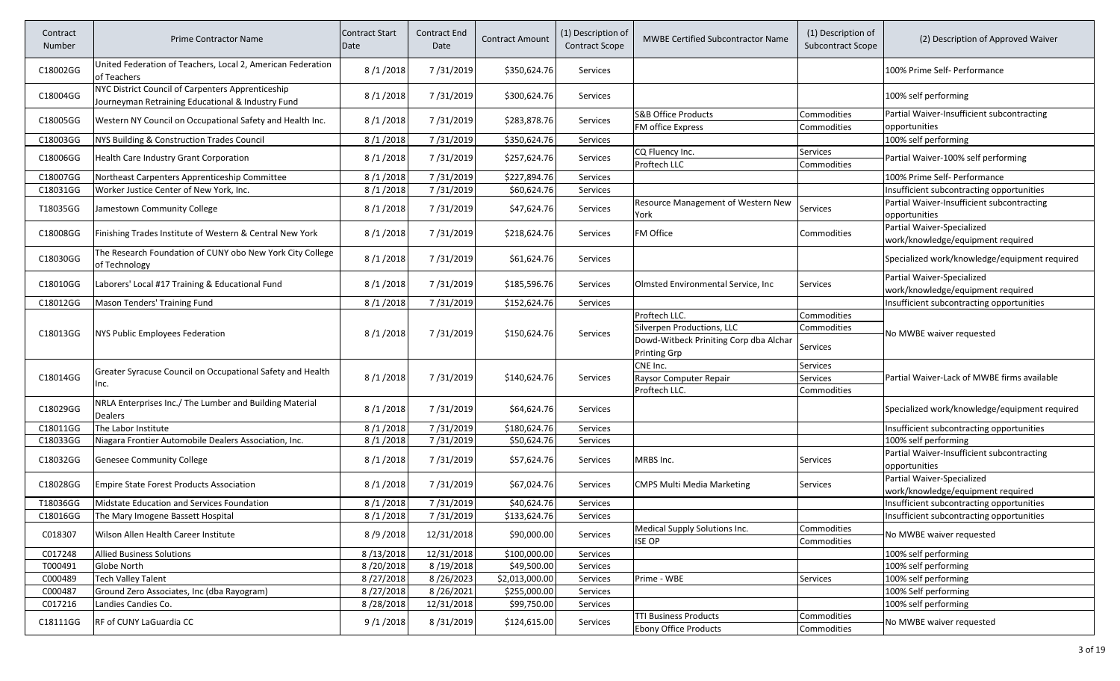| Contract<br>Number | <b>Prime Contractor Name</b>                                                                           | <b>Contract Start</b><br>Date | Contract End<br>Date | <b>Contract Amount</b> | (1) Description of<br><b>Contract Scope</b> | <b>MWBE Certified Subcontractor Name</b>                     | (1) Description of<br><b>Subcontract Scope</b> | (2) Description of Approved Waiver                              |
|--------------------|--------------------------------------------------------------------------------------------------------|-------------------------------|----------------------|------------------------|---------------------------------------------|--------------------------------------------------------------|------------------------------------------------|-----------------------------------------------------------------|
| C18002GG           | United Federation of Teachers, Local 2, American Federation<br>of Teachers                             | 8/1/2018                      | 7/31/2019            | \$350,624.76           | <b>Services</b>                             |                                                              |                                                | 100% Prime Self- Performance                                    |
| C18004GG           | NYC District Council of Carpenters Apprenticeship<br>Journeyman Retraining Educational & Industry Fund | 8/1/2018                      | 7/31/2019            | \$300,624.76           | <b>Services</b>                             |                                                              |                                                | 100% self performing                                            |
| C18005GG           | Western NY Council on Occupational Safety and Health Inc.                                              | 8/1/2018                      | 7/31/2019            | \$283,878.76           | <b>Services</b>                             | <b>S&amp;B Office Products</b><br>FM office Express          | Commodities<br>Commodities                     | Partial Waiver-Insufficient subcontracting<br>opportunities     |
| C18003GG           | NYS Building & Construction Trades Council                                                             | 8/1/2018                      | 7/31/2019            | \$350,624.76           | <b>Services</b>                             |                                                              |                                                | 100% self performing                                            |
| C18006GG           | Health Care Industry Grant Corporation                                                                 | 8/1/2018                      | 7/31/2019            | \$257,624.76           | <b>Services</b>                             | CQ Fluency Inc.<br>Proftech LLC                              | Services<br>Commodities                        | Partial Waiver-100% self performing                             |
| C18007GG           | Northeast Carpenters Apprenticeship Committee                                                          | 8/1/2018                      | 7/31/2019            | \$227,894.76           | Services                                    |                                                              |                                                | 100% Prime Self- Performance                                    |
| C18031GG           | Worker Justice Center of New York, Inc.                                                                | 8/1/2018                      | 7/31/2019            | \$60,624.76            | Services                                    |                                                              |                                                | Insufficient subcontracting opportunities                       |
| T18035GG           | Jamestown Community College                                                                            | 8/1/2018                      | 7/31/2019            | \$47,624.76            | <b>Services</b>                             | Resource Management of Western New<br>York                   | Services                                       | Partial Waiver-Insufficient subcontracting<br>opportunities     |
| C18008GG           | Finishing Trades Institute of Western & Central New York                                               | 8/1/2018                      | 7/31/2019            | \$218,624.76           | <b>Services</b>                             | FM Office                                                    | Commodities                                    | Partial Waiver-Specialized<br>work/knowledge/equipment required |
| C18030GG           | The Research Foundation of CUNY obo New York City College<br>of Technology                             | 8/1/2018                      | 7/31/2019            | \$61,624.76            | <b>Services</b>                             |                                                              |                                                | Specialized work/knowledge/equipment required                   |
| C18010GG           | Laborers' Local #17 Training & Educational Fund                                                        | 8/1/2018                      | 7/31/2019            | \$185,596.76           | <b>Services</b>                             | Olmsted Environmental Service, Inc.                          | Services                                       | Partial Waiver-Specialized<br>work/knowledge/equipment required |
| C18012GG           | Mason Tenders' Training Fund                                                                           | 8/1/2018                      | 7/31/2019            | \$152,624.76           | Services                                    |                                                              |                                                | Insufficient subcontracting opportunities                       |
|                    |                                                                                                        |                               |                      |                        |                                             | Proftech LLC.                                                | Commodities                                    |                                                                 |
| C18013GG           | NYS Public Employees Federation                                                                        | 8/1/2018                      | 7/31/2019            | \$150,624.76           | Services                                    | Silverpen Productions, LLC                                   | Commodities                                    | No MWBE waiver requested                                        |
|                    |                                                                                                        |                               |                      |                        |                                             | Dowd-Witbeck Priniting Corp dba Alchar<br>Printing Grp       | Services                                       |                                                                 |
|                    | Greater Syracuse Council on Occupational Safety and Health                                             |                               |                      |                        |                                             | CNE Inc.                                                     | Services                                       |                                                                 |
| C18014GG           | Inc.                                                                                                   | 8/1/2018                      | 7/31/2019            | \$140,624.76           | Services                                    | Raysor Computer Repair                                       | Services                                       | Partial Waiver-Lack of MWBE firms available                     |
|                    |                                                                                                        |                               |                      |                        |                                             | Proftech LLC.                                                | Commodities                                    |                                                                 |
| C18029GG           | NRLA Enterprises Inc./ The Lumber and Building Material<br>Dealers                                     | 8/1/2018                      | 7/31/2019            | \$64,624.76            | <b>Services</b>                             |                                                              |                                                | Specialized work/knowledge/equipment required                   |
| C18011GG           | The Labor Institute                                                                                    | 8/1/2018                      | 7/31/2019            | \$180,624.76           | Services                                    |                                                              |                                                | Insufficient subcontracting opportunities                       |
| C18033GG           | Niagara Frontier Automobile Dealers Association, Inc.                                                  | 8/1/2018                      | 7/31/2019            | \$50,624.76            | Services                                    |                                                              |                                                | 100% self performing                                            |
| C18032GG           | <b>Genesee Community College</b>                                                                       | 8/1/2018                      | 7/31/2019            | \$57,624.76            | Services                                    | MRBS Inc.                                                    | Services                                       | Partial Waiver-Insufficient subcontracting<br>opportunities     |
| C18028GG           | <b>Empire State Forest Products Association</b>                                                        | 8/1/2018                      | 7/31/2019            | \$67,024.76            | Services                                    | <b>CMPS Multi Media Marketing</b>                            | Services                                       | Partial Waiver-Specialized<br>work/knowledge/equipment required |
| T18036GG           | Midstate Education and Services Foundation                                                             | 8/1/2018                      | 7/31/2019            | \$40,624.76            | Services                                    |                                                              |                                                | Insufficient subcontracting opportunities                       |
| C18016GG           | The Mary Imogene Bassett Hospital                                                                      | 8/1/2018                      | 7/31/2019            | \$133,624.76           | <b>Services</b>                             |                                                              |                                                | Insufficient subcontracting opportunities                       |
| C018307            | Wilson Allen Health Career Institute                                                                   | 8/9/2018                      | 12/31/2018           | \$90,000.00            | Services                                    | Medical Supply Solutions Inc.<br><b>ISE OP</b>               | Commodities<br>Commodities                     | No MWBE waiver requested                                        |
| C017248            | <b>Allied Business Solutions</b>                                                                       | 8/13/2018                     | 12/31/2018           | \$100,000.00           | Services                                    |                                                              |                                                | 100% self performing                                            |
| T000491            | Globe North                                                                                            | 8/20/2018                     | 8/19/2018            | \$49,500.00            | Services                                    |                                                              |                                                | 100% self performing                                            |
| C000489            | <b>Tech Valley Talent</b>                                                                              | 8/27/2018                     | 8/26/2023            | \$2,013,000.00         | Services                                    | Prime - WBE                                                  | Services                                       | 100% self performing                                            |
| C000487            | Ground Zero Associates, Inc (dba Rayogram)                                                             | 8/27/2018                     | 8/26/2021            | \$255,000.00           | Services                                    |                                                              |                                                | 100% Self performing                                            |
| C017216            | Landies Candies Co.                                                                                    | 8/28/2018                     | 12/31/2018           | \$99,750.00            | Services                                    |                                                              |                                                | 100% self performing                                            |
| C18111GG           | RF of CUNY LaGuardia CC                                                                                | 9/1/2018                      | 8/31/2019            | \$124,615.00           | Services                                    | <b>TTI Business Products</b><br><b>Ebony Office Products</b> | Commodities<br>Commodities                     | No MWBE waiver requested                                        |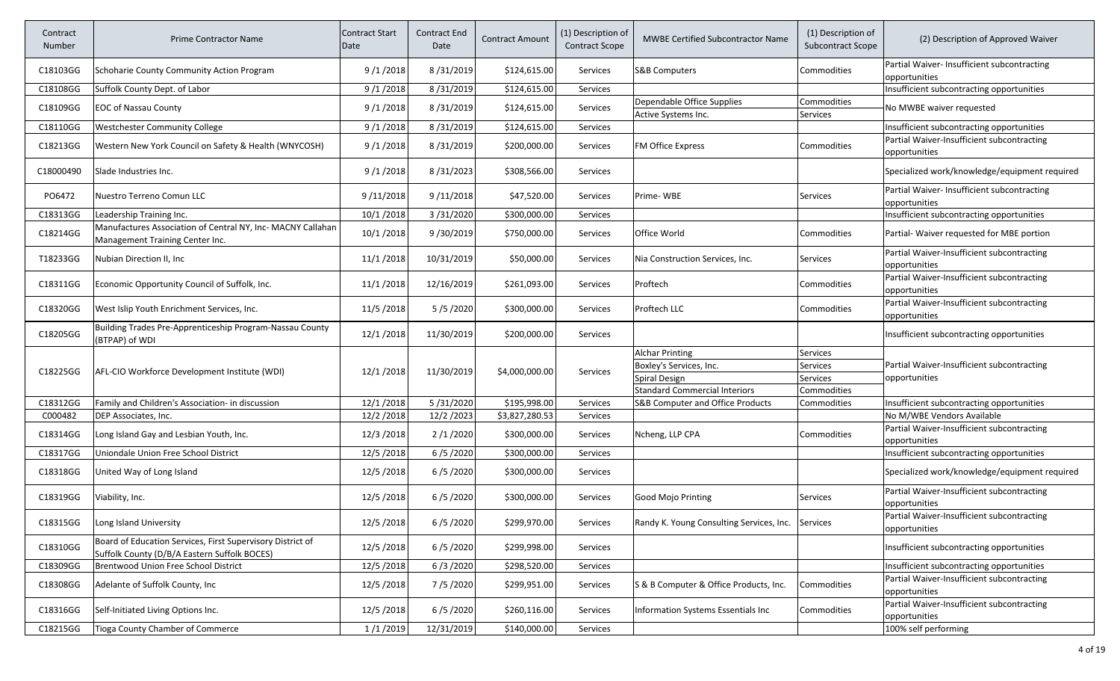| Contract<br>Number | <b>Prime Contractor Name</b>                                                                               | <b>Contract Start</b><br>Date | Contract End<br>Date | <b>Contract Amount</b> | (1) Description of<br>Contract Scope | <b>MWBE Certified Subcontractor Name</b>          | (1) Description of<br><b>Subcontract Scope</b> | (2) Description of Approved Waiver                           |
|--------------------|------------------------------------------------------------------------------------------------------------|-------------------------------|----------------------|------------------------|--------------------------------------|---------------------------------------------------|------------------------------------------------|--------------------------------------------------------------|
| C18103GG           | Schoharie County Community Action Program                                                                  | 9/1/2018                      | 8/31/2019            | \$124,615.00           | Services                             | <b>S&amp;B Computers</b>                          | Commodities                                    | Partial Waiver- Insufficient subcontracting<br>opportunities |
| C18108GG           | Suffolk County Dept. of Labor                                                                              | 9/1/2018                      | 8/31/2019            | \$124,615.00           | Services                             |                                                   |                                                | Insufficient subcontracting opportunities                    |
| C18109GG           | <b>EOC of Nassau County</b>                                                                                | 9/1/2018                      | 8/31/2019            | \$124,615.00           | Services                             | Dependable Office Supplies<br>Active Systems Inc. | Commodities<br>Services                        | No MWBE waiver requested                                     |
| C18110GG           | Westchester Community College                                                                              | 9/1/2018                      | 8/31/2019            | \$124,615.00           | Services                             |                                                   |                                                | Insufficient subcontracting opportunities                    |
| C18213GG           | Western New York Council on Safety & Health (WNYCOSH)                                                      | 9/1/2018                      | 8/31/2019            | \$200,000.00           | Services                             | <b>FM Office Express</b>                          | Commodities                                    | Partial Waiver-Insufficient subcontracting<br>opportunities  |
| C18000490          | Slade Industries Inc.                                                                                      | 9/1/2018                      | 8/31/2023            | \$308,566.00           | Services                             |                                                   |                                                | Specialized work/knowledge/equipment required                |
| PO6472             | Nuestro Terreno Comun LLC                                                                                  | 9/11/2018                     | 9/11/2018            | \$47,520.00            | Services                             | Prime-WBE                                         | Services                                       | Partial Waiver- Insufficient subcontracting<br>opportunities |
| C18313GG           | Leadership Training Inc.                                                                                   | 10/1/2018                     | 3/31/2020            | \$300,000.00           | <b>Services</b>                      |                                                   |                                                | Insufficient subcontracting opportunities                    |
| C18214GG           | Manufactures Association of Central NY, Inc- MACNY Callahan<br>Management Training Center Inc.             | 10/1/2018                     | 9/30/2019            | \$750,000.00           | Services                             | Office World                                      | Commodities                                    | Partial- Waiver requested for MBE portion                    |
| T18233GG           | Nubian Direction II, Inc                                                                                   | 11/1/2018                     | 10/31/2019           | \$50,000.00            | Services                             | Nia Construction Services, Inc.                   | Services                                       | Partial Waiver-Insufficient subcontracting<br>opportunities  |
| C18311GG           | Economic Opportunity Council of Suffolk, Inc.                                                              | 11/1/2018                     | 12/16/2019           | \$261,093.00           | Services                             | Proftech                                          | Commodities                                    | Partial Waiver-Insufficient subcontracting<br>opportunities  |
| C18320GG           | West Islip Youth Enrichment Services, Inc.                                                                 | 11/5/2018                     | 5/5/2020             | \$300,000.00           | Services                             | Proftech LLC                                      | Commodities                                    | Partial Waiver-Insufficient subcontracting<br>opportunities  |
| C18205GG           | Building Trades Pre-Apprenticeship Program-Nassau County<br>(BTPAP) of WDI                                 | 12/1/2018                     | 11/30/2019           | \$200,000.00           | Services                             |                                                   |                                                | Insufficient subcontracting opportunities                    |
|                    |                                                                                                            |                               |                      |                        |                                      | <b>Alchar Printing</b>                            | Services                                       |                                                              |
| C18225GG           | AFL-CIO Workforce Development Institute (WDI)                                                              | 12/1/2018                     | 11/30/2019           | \$4,000,000.00         | Services                             | Boxley's Services, Inc.                           | Services                                       | Partial Waiver-Insufficient subcontracting                   |
|                    |                                                                                                            |                               |                      |                        |                                      | Spiral Design                                     | <b>Services</b>                                | opportunities                                                |
|                    |                                                                                                            |                               |                      |                        |                                      | <b>Standard Commercial Interiors</b>              | Commodities                                    |                                                              |
| C18312GG           | Family and Children's Association- in discussion                                                           | 12/1/2018                     | 5/31/2020            | \$195,998.00           | Services                             | S&B Computer and Office Products                  | Commodities                                    | Insufficient subcontracting opportunities                    |
| C000482            | DEP Associates, Inc.                                                                                       | 12/2/2018                     | 12/2/2023            | \$3,827,280.53         | Services                             |                                                   |                                                | No M/WBE Vendors Available                                   |
| C18314GG           | Long Island Gay and Lesbian Youth, Inc.                                                                    | 12/3/2018                     | 2/1/2020             | \$300,000.00           | Services                             | Ncheng, LLP CPA                                   | Commodities                                    | Partial Waiver-Insufficient subcontracting<br>opportunities  |
| C18317GG           | Uniondale Union Free School District                                                                       | 12/5/2018                     | 6/5/2020             | \$300,000.00           | Services                             |                                                   |                                                | Insufficient subcontracting opportunities                    |
| C18318GG           | United Way of Long Island                                                                                  | 12/5/2018                     | 6/5/2020             | \$300,000.00           | Services                             |                                                   |                                                | Specialized work/knowledge/equipment required                |
| C18319GG           | Viability, Inc.                                                                                            | 12/5/2018                     | 6/5/2020             | \$300,000.00           | Services                             | Good Mojo Printing                                | Services                                       | Partial Waiver-Insufficient subcontracting<br>opportunities  |
| C18315GG           | Long Island University                                                                                     | 12/5/2018                     | 6/5/2020             | \$299,970.00           | Services                             | Randy K. Young Consulting Services, Inc.          | Services                                       | Partial Waiver-Insufficient subcontracting<br>opportunities  |
| C18310GG           | Board of Education Services, First Supervisory District of<br>Suffolk County (D/B/A Eastern Suffolk BOCES) | 12/5/2018                     | 6/5/2020             | \$299,998.00           | Services                             |                                                   |                                                | Insufficient subcontracting opportunities                    |
| C18309GG           | Brentwood Union Free School District                                                                       | 12/5/2018                     | 6/3/2020             | \$298,520.00           | Services                             |                                                   |                                                | Insufficient subcontracting opportunities                    |
| C18308GG           | Adelante of Suffolk County, Inc                                                                            | 12/5/2018                     | 7/5/2020             | \$299,951.00           | Services                             | S & B Computer & Office Products, Inc.            | Commodities                                    | Partial Waiver-Insufficient subcontracting<br>opportunities  |
| C18316GG           | Self-Initiated Living Options Inc.                                                                         | 12/5/2018                     | 6/5/2020             | \$260,116.00           | Services                             | Information Systems Essentials Inc                | Commodities                                    | Partial Waiver-Insufficient subcontracting<br>opportunities  |
| C18215GG           | <b>Tioga County Chamber of Commerce</b>                                                                    | 1/1/2019                      | 12/31/2019           | \$140,000.00           | Services                             |                                                   |                                                | 100% self performing                                         |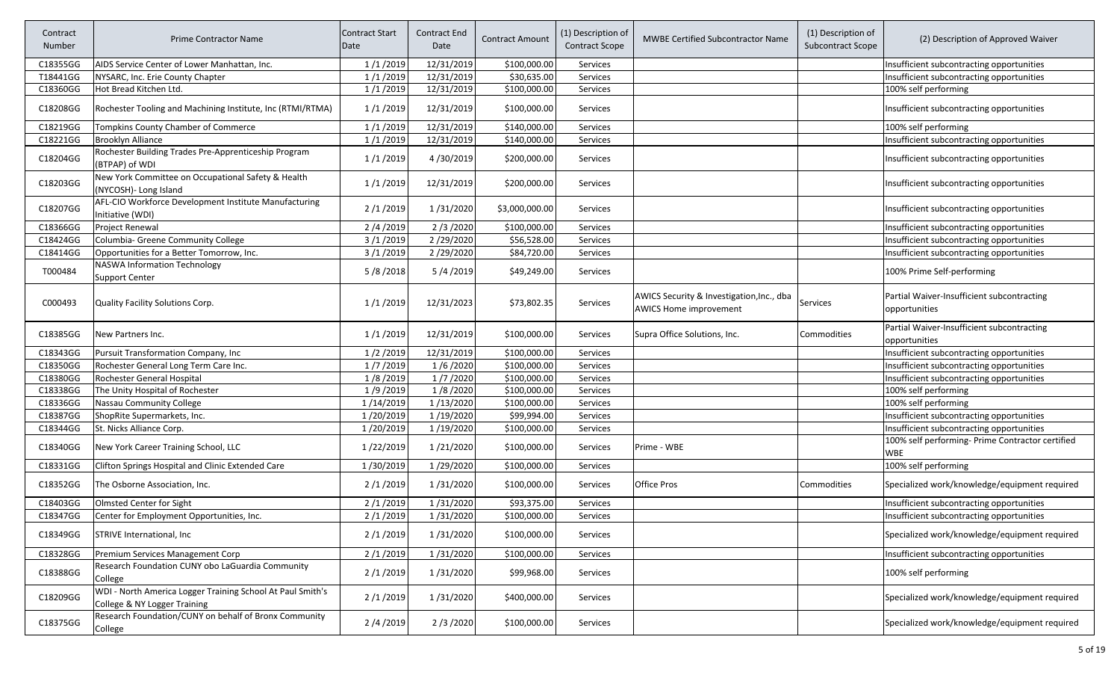| Contract<br>Number | Prime Contractor Name                                                                      | <b>Contract Start</b><br>Date | Contract End<br>Date | <b>Contract Amount</b> | (1) Description of<br><b>Contract Scope</b> | <b>MWBE Certified Subcontractor Name</b>                                   | (1) Description of<br><b>Subcontract Scope</b> | (2) Description of Approved Waiver                             |
|--------------------|--------------------------------------------------------------------------------------------|-------------------------------|----------------------|------------------------|---------------------------------------------|----------------------------------------------------------------------------|------------------------------------------------|----------------------------------------------------------------|
| C18355GG           | AIDS Service Center of Lower Manhattan, Inc.                                               | 1/1/2019                      | 12/31/2019           | \$100,000.00           | Services                                    |                                                                            |                                                | Insufficient subcontracting opportunities                      |
| T18441GG           | NYSARC, Inc. Erie County Chapter                                                           | 1/1/2019                      | 12/31/2019           | \$30,635.00            | Services                                    |                                                                            |                                                | Insufficient subcontracting opportunities                      |
| C18360GG           | Hot Bread Kitchen Ltd.                                                                     | 1/1/2019                      | 12/31/2019           | \$100,000.00           | Services                                    |                                                                            |                                                | 100% self performing                                           |
| C18208GG           | Rochester Tooling and Machining Institute, Inc (RTMI/RTMA)                                 | 1/1/2019                      | 12/31/2019           | \$100,000.00           | Services                                    |                                                                            |                                                | Insufficient subcontracting opportunities                      |
| C18219GG           | Tompkins County Chamber of Commerce                                                        | 1/1/2019                      | 12/31/2019           | \$140,000.00           | <b>Services</b>                             |                                                                            |                                                | 100% self performing                                           |
| C18221GG           | <b>Brooklyn Alliance</b>                                                                   | 1/1/2019                      | 12/31/2019           | \$140,000.00           | Services                                    |                                                                            |                                                | Insufficient subcontracting opportunities                      |
| C18204GG           | Rochester Building Trades Pre-Apprenticeship Program<br>(BTPAP) of WDI                     | 1/1/2019                      | 4/30/2019            | \$200,000.00           | <b>Services</b>                             |                                                                            |                                                | Insufficient subcontracting opportunities                      |
| C18203GG           | New York Committee on Occupational Safety & Health<br>(NYCOSH)- Long Island                | 1/1/2019                      | 12/31/2019           | \$200,000.00           | Services                                    |                                                                            |                                                | Insufficient subcontracting opportunities                      |
| C18207GG           | AFL-CIO Workforce Development Institute Manufacturing<br>Initiative (WDI)                  | 2/1/2019                      | 1/31/2020            | \$3,000,000.00         | Services                                    |                                                                            |                                                | Insufficient subcontracting opportunities                      |
| C18366GG           | <b>Project Renewal</b>                                                                     | 2/4/2019                      | 2/3/2020             | \$100,000.00           | Services                                    |                                                                            |                                                | Insufficient subcontracting opportunities                      |
| C18424GG           | Columbia- Greene Community College                                                         | 3/1/2019                      | 2/29/2020            | \$56,528.00            | Services                                    |                                                                            |                                                | Insufficient subcontracting opportunities                      |
| C18414GG           | Opportunities for a Better Tomorrow, Inc.                                                  | 3/1/2019                      | 2/29/2020            | \$84,720.00            | Services                                    |                                                                            |                                                | Insufficient subcontracting opportunities                      |
| T000484            | <b>NASWA Information Technology</b><br><b>Support Center</b>                               | 5/8/2018                      | 5/4/2019             | \$49,249.00            | <b>Services</b>                             |                                                                            |                                                | 100% Prime Self-performing                                     |
| C000493            | Quality Facility Solutions Corp.                                                           | 1/1/2019                      | 12/31/2023           | \$73,802.35            | Services                                    | AWICS Security & Investigation, Inc., dba<br><b>AWICS Home improvement</b> | Services                                       | Partial Waiver-Insufficient subcontracting<br>opportunities    |
| C18385GG           | New Partners Inc.                                                                          | 1/1/2019                      | 12/31/2019           | \$100,000.00           | Services                                    | Supra Office Solutions, Inc.                                               | Commodities                                    | Partial Waiver-Insufficient subcontracting<br>opportunities    |
| C18343GG           | Pursuit Transformation Company, Inc                                                        | 1/2/2019                      | 12/31/2019           | \$100,000.00           | Services                                    |                                                                            |                                                | Insufficient subcontracting opportunities                      |
| C18350GG           | Rochester General Long Term Care Inc.                                                      | 1/7/2019                      | 1/6/2020             | \$100,000.00           | Services                                    |                                                                            |                                                | Insufficient subcontracting opportunities                      |
| C18380GG           | Rochester General Hospital                                                                 | 1/8/2019                      | 1/7/2020             | \$100,000.00           | Services                                    |                                                                            |                                                | Insufficient subcontracting opportunities                      |
| C18338GG           | The Unity Hospital of Rochester                                                            | 1/9/2019                      | 1/8/2020             | \$100,000.00           | Services                                    |                                                                            |                                                | 100% self performing                                           |
| C18336GG           | Nassau Community College                                                                   | 1/14/2019                     | 1/13/2020            | \$100,000.00           | Services                                    |                                                                            |                                                | 100% self performing                                           |
| C18387GG           | ShopRite Supermarkets, Inc.                                                                | 1/20/2019                     | 1/19/2020            | \$99,994.00            | Services                                    |                                                                            |                                                | Insufficient subcontracting opportunities                      |
| C18344GG           | St. Nicks Alliance Corp.                                                                   | 1/20/2019                     | 1/19/2020            | \$100,000.00           | Services                                    |                                                                            |                                                | Insufficient subcontracting opportunities                      |
| C18340GG           | New York Career Training School, LLC                                                       | 1/22/2019                     | 1/21/2020            | \$100,000.00           | <b>Services</b>                             | Prime - WBE                                                                |                                                | 100% self performing- Prime Contractor certified<br><b>WBE</b> |
| C18331GG           | Clifton Springs Hospital and Clinic Extended Care                                          | 1/30/2019                     | 1/29/2020            | \$100,000.00           | <b>Services</b>                             |                                                                            |                                                | 100% self performing                                           |
| C18352GG           | The Osborne Association, Inc.                                                              | 2/1/2019                      | 1/31/2020            | \$100,000.00           | Services                                    | <b>Office Pros</b>                                                         | Commodities                                    | Specialized work/knowledge/equipment required                  |
| C18403GG           | Olmsted Center for Sight                                                                   | 2/1/2019                      | 1/31/2020            | \$93,375.00            | Services                                    |                                                                            |                                                | Insufficient subcontracting opportunities                      |
| C18347GG           | Center for Employment Opportunities, Inc.                                                  | 2/1/2019                      | 1/31/2020            | \$100,000.00           | Services                                    |                                                                            |                                                | Insufficient subcontracting opportunities                      |
| C18349GG           | STRIVE International, Inc.                                                                 | 2/1/2019                      | 1/31/2020            | \$100,000.00           | Services                                    |                                                                            |                                                | Specialized work/knowledge/equipment required                  |
| C18328GG           | Premium Services Management Corp                                                           | 2/1/2019                      | 1/31/2020            | \$100,000.00           | Services                                    |                                                                            |                                                | Insufficient subcontracting opportunities                      |
| C18388GG           | Research Foundation CUNY obo LaGuardia Community<br>College                                | 2/1/2019                      | 1/31/2020            | \$99,968.00            | Services                                    |                                                                            |                                                | 100% self performing                                           |
| C18209GG           | WDI - North America Logger Training School At Paul Smith's<br>College & NY Logger Training | 2/1/2019                      | 1/31/2020            | \$400,000.00           | Services                                    |                                                                            |                                                | Specialized work/knowledge/equipment required                  |
| C18375GG           | Research Foundation/CUNY on behalf of Bronx Community<br>College                           | 2/4/2019                      | 2/3/2020             | \$100,000.00           | Services                                    |                                                                            |                                                | Specialized work/knowledge/equipment required                  |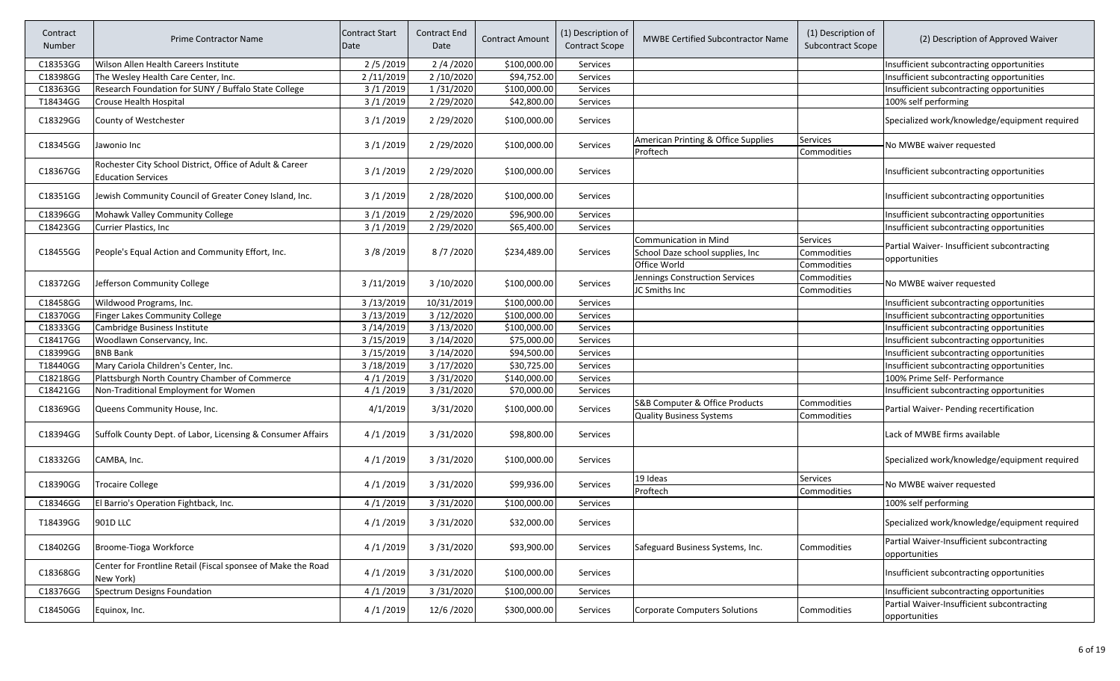| Contract<br>Number | <b>Prime Contractor Name</b>                                                   | <b>Contract Start</b><br>Date | Contract End<br>Date | Contract Amount | (1) Description of<br><b>Contract Scope</b> | <b>MWBE Certified Subcontractor Name</b>        | (1) Description of<br><b>Subcontract Scope</b> | (2) Description of Approved Waiver                          |
|--------------------|--------------------------------------------------------------------------------|-------------------------------|----------------------|-----------------|---------------------------------------------|-------------------------------------------------|------------------------------------------------|-------------------------------------------------------------|
| C18353GG           | Wilson Allen Health Careers Institute                                          | 2/5/2019                      | 2/4/2020             | \$100,000.00    | Services                                    |                                                 |                                                | Insufficient subcontracting opportunities                   |
| C18398GG           | The Wesley Health Care Center, Inc.                                            | 2/11/2019                     | 2/10/2020            | \$94,752.00     | Services                                    |                                                 |                                                | Insufficient subcontracting opportunities                   |
| C18363GG           | Research Foundation for SUNY / Buffalo State College                           | 3/1/2019                      | 1/31/2020            | \$100,000.00    | Services                                    |                                                 |                                                | Insufficient subcontracting opportunities                   |
| T18434GG           | Crouse Health Hospital                                                         | 3/1/2019                      | 2/29/2020            | \$42,800.00     | Services                                    |                                                 |                                                | 100% self performing                                        |
| C18329GG           | County of Westchester                                                          | 3/1/2019                      | 2/29/2020            | \$100,000.00    | Services                                    |                                                 |                                                | Specialized work/knowledge/equipment required               |
| C18345GG           | Jawonio Inc                                                                    | 3/1/2019                      | 2/29/2020            | \$100,000.00    | Services                                    | American Printing & Office Supplies<br>Proftech | <b>Services</b><br>Commodities                 | No MWBE waiver requested                                    |
| C18367GG           | Rochester City School District, Office of Adult & Career<br>Education Services | 3/1/2019                      | 2/29/2020            | \$100,000.00    | Services                                    |                                                 |                                                | Insufficient subcontracting opportunities                   |
| C18351GG           | Jewish Community Council of Greater Coney Island, Inc.                         | 3/1/2019                      | 2/28/2020            | \$100,000.00    | Services                                    |                                                 |                                                | Insufficient subcontracting opportunities                   |
| C18396GG           | Mohawk Valley Community College                                                | 3/1/2019                      | 2/29/2020            | \$96,900.00     | <b>Services</b>                             |                                                 |                                                | Insufficient subcontracting opportunities                   |
| C18423GG           | Currier Plastics, Inc                                                          | 3/1/2019                      | 2/29/2020            | \$65,400.00     | Services                                    |                                                 |                                                | Insufficient subcontracting opportunities                   |
|                    |                                                                                |                               |                      |                 |                                             | Communication in Mind                           | <b>Services</b>                                | Partial Waiver- Insufficient subcontracting                 |
| C18455GG           | People's Equal Action and Community Effort, Inc.                               | 3/8/2019                      | 8/7/2020             | \$234,489.00    | Services                                    | School Daze school supplies, Inc                | Commodities                                    | opportunities                                               |
|                    |                                                                                |                               |                      |                 |                                             | Office World                                    | Commodities                                    |                                                             |
| C18372GG           |                                                                                |                               | 3/10/2020            |                 | Services                                    | Jennings Construction Services                  | Commodities                                    |                                                             |
|                    | Jefferson Community College                                                    | 3/11/2019                     |                      | \$100,000.00    |                                             | JC Smiths Inc                                   | Commodities                                    | No MWBE waiver requested                                    |
| C18458GG           | Wildwood Programs, Inc.                                                        | 3/13/2019                     | 10/31/2019           | \$100,000.00    | Services                                    |                                                 |                                                | Insufficient subcontracting opportunities                   |
| C18370GG           | Finger Lakes Community College                                                 | 3/13/2019                     | 3/12/2020            | \$100,000.00    | Services                                    |                                                 |                                                | Insufficient subcontracting opportunities                   |
| C18333GG           | Cambridge Business Institute                                                   | 3/14/2019                     | 3/13/2020            | \$100,000.00    | Services                                    |                                                 |                                                | Insufficient subcontracting opportunities                   |
| C18417GG           | Woodlawn Conservancy, Inc.                                                     | 3/15/2019                     | 3/14/2020            | \$75,000.00     | Services                                    |                                                 |                                                | Insufficient subcontracting opportunities                   |
| C18399GG           | <b>BNB Bank</b>                                                                | 3/15/2019                     | 3/14/2020            | \$94,500.00     | Services                                    |                                                 |                                                | Insufficient subcontracting opportunities                   |
| T18440GG           | Mary Cariola Children's Center, Inc.                                           | 3/18/2019                     | 3/17/2020            | \$30,725.00     | Services                                    |                                                 |                                                | Insufficient subcontracting opportunities                   |
| C18218GG           | Plattsburgh North Country Chamber of Commerce                                  | 4/1/2019                      | 3/31/2020            | \$140,000.00    | Services                                    |                                                 |                                                | 100% Prime Self- Performance                                |
| C18421GG           | Non-Traditional Employment for Women                                           | 4/1/2019                      | 3/31/2020            | \$70,000.00     | Services                                    |                                                 |                                                | Insufficient subcontracting opportunities                   |
|                    |                                                                                |                               |                      |                 |                                             | S&B Computer & Office Products                  | Commodities                                    |                                                             |
| C18369GG           | Queens Community House, Inc.                                                   | 4/1/2019                      | 3/31/2020            | \$100,000.00    | Services                                    | <b>Quality Business Systems</b>                 | Commodities                                    | Partial Waiver- Pending recertification                     |
| C18394GG           | Suffolk County Dept. of Labor, Licensing & Consumer Affairs                    | 4/1/2019                      | 3/31/2020            | \$98,800.00     | Services                                    |                                                 |                                                | Lack of MWBE firms available                                |
| C18332GG           | CAMBA, Inc.                                                                    | 4/1/2019                      | 3/31/2020            | \$100,000.00    | Services                                    |                                                 |                                                | Specialized work/knowledge/equipment required               |
| C18390GG           | <b>Trocaire College</b>                                                        | 4/1/2019                      | 3/31/2020            | \$99,936.00     | Services                                    | 19 Ideas                                        | Services                                       | No MWBE waiver requested                                    |
|                    |                                                                                |                               |                      |                 |                                             | Proftech                                        | Commodities                                    |                                                             |
| C18346GG           | El Barrio's Operation Fightback, Inc.                                          | 4/1/2019                      | 3/31/2020            | \$100,000.00    | Services                                    |                                                 |                                                | 100% self performing                                        |
| T18439GG           | 901D LLC                                                                       | 4/1/2019                      | 3/31/2020            | \$32,000.00     | Services                                    |                                                 |                                                | Specialized work/knowledge/equipment required               |
| C18402GG           | Broome-Tioga Workforce                                                         | 4/1/2019                      | 3/31/2020            | \$93,900.00     | Services                                    | Safeguard Business Systems, Inc.                | Commodities                                    | Partial Waiver-Insufficient subcontracting<br>opportunities |
| C18368GG           | Center for Frontline Retail (Fiscal sponsee of Make the Road<br>New York)      | 4/1/2019                      | 3/31/2020            | \$100,000.00    | Services                                    |                                                 |                                                | Insufficient subcontracting opportunities                   |
| C18376GG           | Spectrum Designs Foundation                                                    | 4/1/2019                      | 3/31/2020            | \$100,000.00    | Services                                    |                                                 |                                                | Insufficient subcontracting opportunities                   |
| C18450GG           | Equinox, Inc.                                                                  | 4/1/2019                      | 12/6/2020            | \$300,000.00    | Services                                    | <b>Corporate Computers Solutions</b>            | Commodities                                    | Partial Waiver-Insufficient subcontracting<br>opportunities |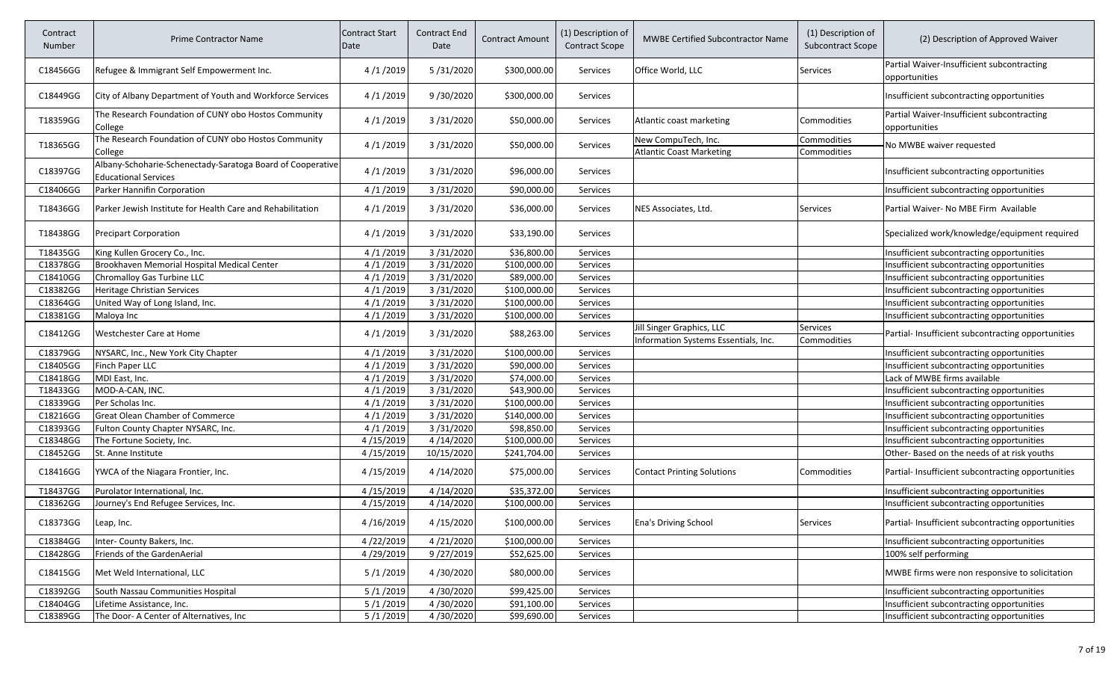| Contract<br>Number | <b>Prime Contractor Name</b>                                                              | <b>Contract Start</b><br>Date | Contract End<br>Date | <b>Contract Amount</b> | (1) Description of<br><b>Contract Scope</b> | <b>MWBE Certified Subcontractor Name</b>                          | (1) Description of<br>Subcontract Scope | (2) Description of Approved Waiver                          |
|--------------------|-------------------------------------------------------------------------------------------|-------------------------------|----------------------|------------------------|---------------------------------------------|-------------------------------------------------------------------|-----------------------------------------|-------------------------------------------------------------|
| C18456GG           | Refugee & Immigrant Self Empowerment Inc.                                                 | 4/1/2019                      | 5/31/2020            | \$300,000.00           | <b>Services</b>                             | Office World, LLC                                                 | Services                                | Partial Waiver-Insufficient subcontracting<br>opportunities |
| C18449GG           | City of Albany Department of Youth and Workforce Services                                 | 4/1/2019                      | 9/30/2020            | \$300,000.00           | <b>Services</b>                             |                                                                   |                                         | Insufficient subcontracting opportunities                   |
| T18359GG           | The Research Foundation of CUNY obo Hostos Community<br>College                           | 4/1/2019                      | 3/31/2020            | \$50,000.00            | Services                                    | Atlantic coast marketing                                          | Commodities                             | Partial Waiver-Insufficient subcontracting<br>opportunities |
| T18365GG           | The Research Foundation of CUNY obo Hostos Community<br>College                           | 4/1/2019                      | 3/31/2020            | \$50,000.00            | <b>Services</b>                             | New CompuTech, Inc.<br><b>Atlantic Coast Marketing</b>            | Commodities<br>Commodities              | No MWBE waiver requested                                    |
| C18397GG           | Albany-Schoharie-Schenectady-Saratoga Board of Cooperative<br><b>Educational Services</b> | 4/1/2019                      | 3/31/2020            | \$96,000.00            | <b>Services</b>                             |                                                                   |                                         | Insufficient subcontracting opportunities                   |
| C18406GG           | Parker Hannifin Corporation                                                               | 4/1/2019                      | 3/31/2020            | \$90,000.00            | Services                                    |                                                                   |                                         | Insufficient subcontracting opportunities                   |
| T18436GG           | Parker Jewish Institute for Health Care and Rehabilitation                                | 4/1/2019                      | 3/31/2020            | \$36,000.00            | Services                                    | NES Associates, Ltd.                                              | Services                                | Partial Waiver- No MBE Firm Available                       |
| T18438GG           | Precipart Corporation                                                                     | 4/1/2019                      | 3/31/2020            | \$33,190.00            | <b>Services</b>                             |                                                                   |                                         | Specialized work/knowledge/equipment required               |
| T18435GG           | King Kullen Grocery Co., Inc.                                                             | 4/1/2019                      | 3/31/2020            | \$36,800.00            | <b>Services</b>                             |                                                                   |                                         | Insufficient subcontracting opportunities                   |
| C18378GG           | Brookhaven Memorial Hospital Medical Center                                               | 4/1/2019                      | 3/31/2020            | \$100,000.00           | Services                                    |                                                                   |                                         | Insufficient subcontracting opportunities                   |
| C18410GG           | Chromalloy Gas Turbine LLC                                                                | 4/1/2019                      | 3/31/2020            | \$89,000.00            | Services                                    |                                                                   |                                         | Insufficient subcontracting opportunities                   |
| C18382GG           | Heritage Christian Services                                                               | 4/1/2019                      | 3/31/2020            | \$100,000.00           | Services                                    |                                                                   |                                         | Insufficient subcontracting opportunities                   |
| C18364GG           | United Way of Long Island, Inc.                                                           | 4/1/2019                      | 3/31/2020            | \$100,000.00           | Services                                    |                                                                   |                                         | Insufficient subcontracting opportunities                   |
| C18381GG           | Maloya Inc                                                                                | 4/1/2019                      | 3/31/2020            | \$100,000.00           | Services                                    |                                                                   |                                         | Insufficient subcontracting opportunities                   |
| C18412GG           | Westchester Care at Home                                                                  | 4/1/2019                      | 3/31/2020            | \$88,263.00            | <b>Services</b>                             | Jill Singer Graphics, LLC<br>Information Systems Essentials, Inc. | Services<br>Commodities                 | Partial- Insufficient subcontracting opportunities          |
| C18379GG           | NYSARC, Inc., New York City Chapter                                                       | 4/1/2019                      | 3/31/2020            | \$100,000.00           | Services                                    |                                                                   |                                         | Insufficient subcontracting opportunities                   |
| C18405GG           | Finch Paper LLC                                                                           | 4/1/2019                      | 3/31/2020            | \$90,000.00            | Services                                    |                                                                   |                                         | Insufficient subcontracting opportunities                   |
| C18418GG           | MDI East, Inc.                                                                            | 4/1/2019                      | 3/31/2020            | \$74,000.00            | Services                                    |                                                                   |                                         | Lack of MWBE firms available                                |
| T18433GG           | MOD-A-CAN, INC.                                                                           | 4/1/2019                      | 3/31/2020            | \$43,900.00            | Services                                    |                                                                   |                                         | Insufficient subcontracting opportunities                   |
| C18339GG           | Per Scholas Inc.                                                                          | 4/1/2019                      | 3/31/2020            | \$100,000.00           | Services                                    |                                                                   |                                         | Insufficient subcontracting opportunities                   |
| C18216GG           | Great Olean Chamber of Commerce                                                           | 4/1/2019                      | 3/31/2020            | \$140,000.00           | Services                                    |                                                                   |                                         | Insufficient subcontracting opportunities                   |
| C18393GG           | Fulton County Chapter NYSARC, Inc.                                                        | 4/1/2019                      | 3/31/2020            | \$98,850.00            | Services                                    |                                                                   |                                         | Insufficient subcontracting opportunities                   |
| C18348GG           | The Fortune Society, Inc.                                                                 | 4/15/2019                     | 4/14/2020            | \$100,000.00           | Services                                    |                                                                   |                                         | Insufficient subcontracting opportunities                   |
| C18452GG           | St. Anne Institute                                                                        | 4/15/2019                     | 10/15/2020           | \$241,704.00           | Services                                    |                                                                   |                                         | Other- Based on the needs of at risk youths                 |
| C18416GG           | YWCA of the Niagara Frontier, Inc.                                                        | 4/15/2019                     | 4/14/2020            | \$75,000.00            | Services                                    | Contact Printing Solutions                                        | Commodities                             | Partial- Insufficient subcontracting opportunities          |
| T18437GG           | Purolator International, Inc.                                                             | 4/15/2019                     | 4/14/2020            | \$35,372.00            | <b>Services</b>                             |                                                                   |                                         | Insufficient subcontracting opportunities                   |
| C18362GG           | Journey's End Refugee Services, Inc.                                                      | 4/15/2019                     | 4/14/2020            | \$100,000.00           | Services                                    |                                                                   |                                         | Insufficient subcontracting opportunities                   |
| C18373GG           | Leap, Inc.                                                                                | 4/16/2019                     | 4/15/2020            | \$100,000.00           | Services                                    | <b>Ena's Driving School</b>                                       | Services                                | Partial-Insufficient subcontracting opportunities           |
| C18384GG           | Inter- County Bakers, Inc.                                                                | 4/22/2019                     | 4/21/2020            | \$100,000.00           | Services                                    |                                                                   |                                         | Insufficient subcontracting opportunities                   |
| C18428GG           | Friends of the GardenAerial                                                               | 4/29/2019                     | 9/27/2019            | \$52,625.00            | Services                                    |                                                                   |                                         | 100% self performing                                        |
| C18415GG           | Met Weld International, LLC                                                               | 5/1/2019                      | 4/30/2020            | \$80,000.00            | <b>Services</b>                             |                                                                   |                                         | MWBE firms were non responsive to solicitation              |
| C18392GG           | South Nassau Communities Hospital                                                         | 5/1/2019                      | 4/30/2020            | \$99,425.00            | Services                                    |                                                                   |                                         | Insufficient subcontracting opportunities                   |
| C18404GG           | Lifetime Assistance, Inc.                                                                 | 5/1/2019                      | 4/30/2020            | \$91,100.00            | Services                                    |                                                                   |                                         | Insufficient subcontracting opportunities                   |
| C18389GG           | The Door- A Center of Alternatives, Inc                                                   | 5/1/2019                      | 4/30/2020            | \$99,690.00            | Services                                    |                                                                   |                                         | Insufficient subcontracting opportunities                   |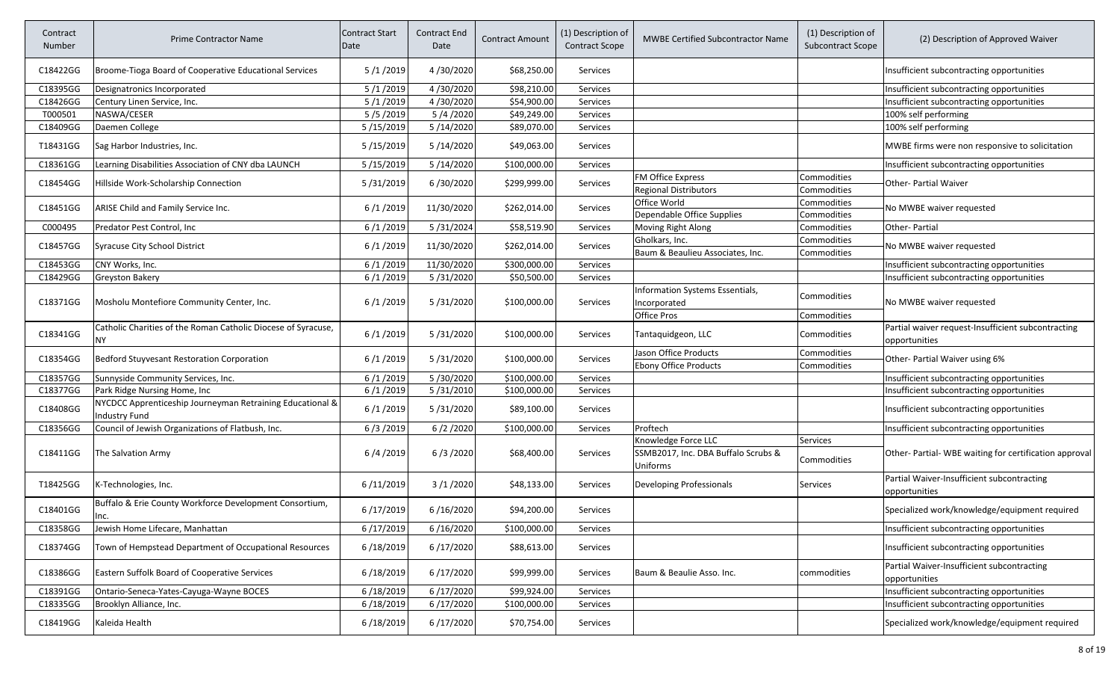| Contract<br>Number | <b>Prime Contractor Name</b>                                                      | <b>Contract Start</b><br>Date | Contract End<br>Date | <b>Contract Amount</b> | (1) Description of<br><b>Contract Scope</b> | <b>MWBE Certified Subcontractor Name</b>        | (1) Description of<br><b>Subcontract Scope</b> | (2) Description of Approved Waiver                                  |
|--------------------|-----------------------------------------------------------------------------------|-------------------------------|----------------------|------------------------|---------------------------------------------|-------------------------------------------------|------------------------------------------------|---------------------------------------------------------------------|
| C18422GG           | Broome-Tioga Board of Cooperative Educational Services                            | 5/1/2019                      | 4/30/2020            | \$68,250.00            | <b>Services</b>                             |                                                 |                                                | Insufficient subcontracting opportunities                           |
| C18395GG           | Designatronics Incorporated                                                       | 5/1/2019                      | 4/30/2020            | \$98,210.00            | <b>Services</b>                             |                                                 |                                                | Insufficient subcontracting opportunities                           |
| C18426GG           | Century Linen Service, Inc.                                                       | 5/1/2019                      | 4/30/2020            | \$54,900.00            | Services                                    |                                                 |                                                | Insufficient subcontracting opportunities                           |
| T000501            | NASWA/CESER                                                                       | 5/5/2019                      | 5/4/2020             | \$49,249.00            | Services                                    |                                                 |                                                | 100% self performing                                                |
| C18409GG           | Daemen College                                                                    | 5/15/2019                     | 5/14/2020            | \$89,070.00            | Services                                    |                                                 |                                                | 100% self performing                                                |
| T18431GG           | Sag Harbor Industries, Inc.                                                       | 5/15/2019                     | 5/14/2020            | \$49,063.00            | <b>Services</b>                             |                                                 |                                                | MWBE firms were non responsive to solicitation                      |
| C18361GG           | Learning Disabilities Association of CNY dba LAUNCH                               | 5/15/2019                     | 5/14/2020            | \$100,000.00           | Services                                    |                                                 |                                                | Insufficient subcontracting opportunities                           |
| C18454GG           | Hillside Work-Scholarship Connection                                              | 5/31/2019                     | 6/30/2020            | \$299,999.00           |                                             | FM Office Express                               | Commodities                                    | Other- Partial Waiver                                               |
|                    |                                                                                   |                               |                      |                        | Services                                    | <b>Regional Distributors</b>                    | Commodities                                    |                                                                     |
|                    |                                                                                   |                               |                      |                        |                                             | Office World                                    | Commodities                                    |                                                                     |
| C18451GG           | ARISE Child and Family Service Inc.                                               | 6/1/2019                      | 11/30/2020           | \$262,014.00           | <b>Services</b>                             | Dependable Office Supplies                      | Commodities                                    | No MWBE waiver requested                                            |
| C000495            | Predator Pest Control, Inc                                                        | 6/1/2019                      | 5/31/2024            | \$58,519.90            | Services                                    | Moving Right Along                              | Commodities                                    | Other-Partial                                                       |
|                    |                                                                                   |                               |                      |                        |                                             | Gholkars, Inc.                                  | Commodities                                    |                                                                     |
| C18457GG           | <b>Syracuse City School District</b>                                              | 6/1/2019                      | 11/30/2020           | \$262,014.00           | <b>Services</b>                             | Baum & Beaulieu Associates, Inc.                | Commodities                                    | No MWBE waiver requested                                            |
| C18453GG           | CNY Works, Inc.                                                                   | 6/1/2019                      | 11/30/2020           | \$300,000.00           | Services                                    |                                                 |                                                | Insufficient subcontracting opportunities                           |
| C18429GG           | Greyston Bakery                                                                   | 6/1/2019                      | 5/31/2020            | \$50,500.00            | Services                                    |                                                 |                                                | Insufficient subcontracting opportunities                           |
| C18371GG           | Mosholu Montefiore Community Center, Inc.                                         | 6/1/2019                      | 5/31/2020            | \$100,000.00           | <b>Services</b>                             | Information Systems Essentials,<br>Incorporated | Commodities                                    | No MWBE waiver requested                                            |
|                    |                                                                                   |                               |                      |                        |                                             | Office Pros                                     | Commodities                                    |                                                                     |
| C18341GG           | Catholic Charities of the Roman Catholic Diocese of Syracuse,<br>NY.              | 6/1/2019                      | 5/31/2020            | \$100,000.00           | <b>Services</b>                             | Tantaquidgeon, LLC                              | Commodities                                    | Partial waiver request-Insufficient subcontracting<br>opportunities |
| C18354GG           | <b>Bedford Stuyvesant Restoration Corporation</b>                                 | 6/1/2019                      | 5/31/2020            | \$100,000.00           | <b>Services</b>                             | Jason Office Products                           | Commodities                                    | Other- Partial Waiver using 6%                                      |
| C18357GG           |                                                                                   | 6/1/2019                      | 5/30/2020            | \$100,000.00           | Services                                    | <b>Ebony Office Products</b>                    | Commodities                                    | Insufficient subcontracting opportunities                           |
|                    | Sunnyside Community Services, Inc.                                                | 6/1/2019                      |                      | \$100,000.00           |                                             |                                                 |                                                |                                                                     |
| C18377GG           | Park Ridge Nursing Home, Inc                                                      |                               | 5/31/2010            |                        | Services                                    |                                                 |                                                | Insufficient subcontracting opportunities                           |
| C18408GG           | NYCDCC Apprenticeship Journeyman Retraining Educational &<br><b>Industry Fund</b> | 6/1/2019                      | 5/31/2020            | \$89,100.00            | <b>Services</b>                             |                                                 |                                                | Insufficient subcontracting opportunities                           |
| C18356GG           | Council of Jewish Organizations of Flatbush, Inc.                                 | 6/3/2019                      | 6/2/2020             | \$100,000.00           | Services                                    | Proftech                                        |                                                | Insufficient subcontracting opportunities                           |
|                    |                                                                                   |                               |                      |                        |                                             | Knowledge Force LLC                             | Services                                       |                                                                     |
| C18411GG           | The Salvation Army                                                                | 6/4/2019                      | 6/3/2020             | \$68,400.00            | Services                                    | SSMB2017, Inc. DBA Buffalo Scrubs &<br>Uniforms | Commodities                                    | Other-Partial-WBE waiting for certification approval                |
| T18425GG           | K-Technologies, Inc.                                                              | 6/11/2019                     | 3/1/2020             | \$48,133.00            | <b>Services</b>                             | Developing Professionals                        | Services                                       | Partial Waiver-Insufficient subcontracting<br>opportunities         |
| C18401GG           | Buffalo & Erie County Workforce Development Consortium,<br>Inc.                   | 6/17/2019                     | 6/16/2020            | \$94,200.00            | <b>Services</b>                             |                                                 |                                                | Specialized work/knowledge/equipment required                       |
| C18358GG           | Jewish Home Lifecare, Manhattan                                                   | 6/17/2019                     | 6/16/2020            | \$100,000.00           | Services                                    |                                                 |                                                | Insufficient subcontracting opportunities                           |
| C18374GG           | Town of Hempstead Department of Occupational Resources                            | 6/18/2019                     | 6/17/2020            | \$88,613.00            | Services                                    |                                                 |                                                | Insufficient subcontracting opportunities                           |
| C18386GG           | Eastern Suffolk Board of Cooperative Services                                     | 6/18/2019                     | 6/17/2020            | \$99,999.00            | <b>Services</b>                             | Baum & Beaulie Asso. Inc.                       | commodities                                    | Partial Waiver-Insufficient subcontracting<br>opportunities         |
| C18391GG           | Ontario-Seneca-Yates-Cayuga-Wayne BOCES                                           | 6/18/2019                     | 6/17/2020            | \$99,924.00            | Services                                    |                                                 |                                                | Insufficient subcontracting opportunities                           |
| C18335GG           | Brooklyn Alliance, Inc.                                                           | 6/18/2019                     | 6/17/2020            | \$100,000.00           | Services                                    |                                                 |                                                | Insufficient subcontracting opportunities                           |
| C18419GG           | Kaleida Health                                                                    | 6/18/2019                     | 6/17/2020            | \$70,754.00            | Services                                    |                                                 |                                                | Specialized work/knowledge/equipment required                       |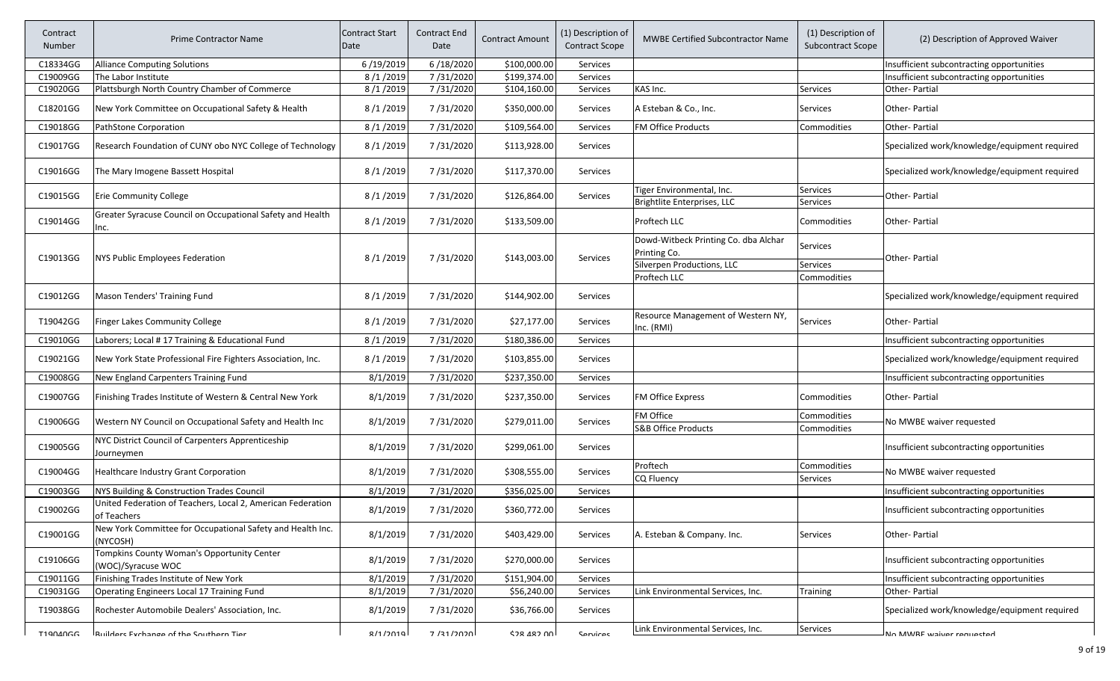| Contract<br>Number | <b>Prime Contractor Name</b>                                               | Contract Start<br>Date | Contract End<br>Date | <b>Contract Amount</b> | (1) Description of<br><b>Contract Scope</b> | <b>MWBE Certified Subcontractor Name</b>             | (1) Description of<br><b>Subcontract Scope</b> | (2) Description of Approved Waiver            |
|--------------------|----------------------------------------------------------------------------|------------------------|----------------------|------------------------|---------------------------------------------|------------------------------------------------------|------------------------------------------------|-----------------------------------------------|
| C18334GG           | <b>Alliance Computing Solutions</b>                                        | 6/19/2019              | 6/18/2020            | \$100,000.00           | Services                                    |                                                      |                                                | Insufficient subcontracting opportunities     |
| C19009GG           | The Labor Institute                                                        | 8/1/2019               | 7/31/2020            | \$199,374.00           | Services                                    |                                                      |                                                | Insufficient subcontracting opportunities     |
| C19020GG           | Plattsburgh North Country Chamber of Commerce                              | 8/1/2019               | 7/31/2020            | \$104,160.00           | Services                                    | KAS Inc.                                             | Services                                       | Other-Partial                                 |
| C18201GG           | New York Committee on Occupational Safety & Health                         | 8/1/2019               | 7/31/2020            | \$350,000.00           | Services                                    | A Esteban & Co., Inc.                                | Services                                       | <b>Other-Partial</b>                          |
| C19018GG           | PathStone Corporation                                                      | 8/1/2019               | 7/31/2020            | \$109,564.00           | Services                                    | FM Office Products                                   | Commodities                                    | Other-Partial                                 |
| C19017GG           | Research Foundation of CUNY obo NYC College of Technology                  | 8/1/2019               | 7/31/2020            | \$113,928.00           | Services                                    |                                                      |                                                | Specialized work/knowledge/equipment required |
| C19016GG           | The Mary Imogene Bassett Hospital                                          | 8/1/2019               | 7/31/2020            | \$117,370.00           | Services                                    |                                                      |                                                | Specialized work/knowledge/equipment required |
| C19015GG           | <b>Erie Community College</b>                                              | 8/1/2019               | 7/31/2020            | \$126,864.00           | Services                                    | Tiger Environmental, Inc.                            | Services                                       | Other- Partial                                |
|                    |                                                                            |                        |                      |                        |                                             | Brightlite Enterprises, LLC                          | Services                                       |                                               |
| C19014GG           | Greater Syracuse Council on Occupational Safety and Health<br>Inc.         | 8/1/2019               | 7/31/2020            | \$133,509.00           |                                             | Proftech LLC                                         | Commodities                                    | <b>Other-Partial</b>                          |
| C19013GG           | NYS Public Employees Federation                                            | 8/1/2019               | 7/31/2020            | \$143,003.00           | Services                                    | Dowd-Witbeck Printing Co. dba Alchar<br>Printing Co. | Services                                       | Other-Partial                                 |
|                    |                                                                            |                        |                      |                        |                                             | Silverpen Productions, LLC                           | Services                                       |                                               |
|                    |                                                                            |                        |                      |                        |                                             | Proftech LLC                                         | Commodities                                    |                                               |
| C19012GG           | Mason Tenders' Training Fund                                               | 8/1/2019               | 7/31/2020            | \$144,902.00           | Services                                    |                                                      |                                                | Specialized work/knowledge/equipment required |
| T19042GG           | <b>Finger Lakes Community College</b>                                      | 8/1/2019               | 7/31/2020            | \$27,177.00            | Services                                    | Resource Management of Western NY,<br>Inc. (RMI)     | Services                                       | <b>Other-Partial</b>                          |
| C19010GG           | Laborers; Local #17 Training & Educational Fund                            | 8/1/2019               | 7/31/2020            | \$180,386.00           | Services                                    |                                                      |                                                | Insufficient subcontracting opportunities     |
| C19021GG           | New York State Professional Fire Fighters Association, Inc.                | 8/1/2019               | 7/31/2020            | \$103,855.00           | Services                                    |                                                      |                                                | Specialized work/knowledge/equipment required |
| C19008GG           | New England Carpenters Training Fund                                       | 8/1/2019               | 7/31/2020            | \$237,350.00           | Services                                    |                                                      |                                                | Insufficient subcontracting opportunities     |
| C19007GG           | Finishing Trades Institute of Western & Central New York                   | 8/1/2019               | 7/31/2020            | \$237,350.00           | Services                                    | FM Office Express                                    | Commodities                                    | <b>Other-Partial</b>                          |
| C19006GG           | Western NY Council on Occupational Safety and Health Inc                   | 8/1/2019               | 7/31/2020            | \$279,011.00           | Services                                    | FM Office<br><b>S&amp;B Office Products</b>          | Commodities<br>Commodities                     | No MWBE waiver requested                      |
| C19005GG           | NYC District Council of Carpenters Apprenticeship<br>Journeymen            | 8/1/2019               | 7/31/2020            | \$299,061.00           | Services                                    |                                                      |                                                | Insufficient subcontracting opportunities     |
| C19004GG           | Healthcare Industry Grant Corporation                                      | 8/1/2019               | 7/31/2020            | \$308,555.00           | Services                                    | Proftech<br>CQ Fluency                               | Commodities<br>Services                        | No MWBE waiver requested                      |
| C19003GG           | NYS Building & Construction Trades Council                                 | 8/1/2019               | 7/31/2020            | \$356,025.00           | Services                                    |                                                      |                                                | Insufficient subcontracting opportunities     |
| C19002GG           | United Federation of Teachers, Local 2, American Federation<br>of Teachers | 8/1/2019               | 7/31/2020            | \$360,772.00           | Services                                    |                                                      |                                                | Insufficient subcontracting opportunities     |
| C19001GG           | New York Committee for Occupational Safety and Health Inc.<br>(NYCOSH)     | 8/1/2019               | 7/31/2020            | \$403,429.00           | Services                                    | A. Esteban & Company. Inc.                           | Services                                       | <b>Other-Partial</b>                          |
| C19106GG           | Tompkins County Woman's Opportunity Center<br>(WOC)/Syracuse WOC           | 8/1/2019               | 7/31/2020            | \$270,000.00           | Services                                    |                                                      |                                                | Insufficient subcontracting opportunities     |
| C19011GG           | Finishing Trades Institute of New York                                     | 8/1/2019               | 7/31/2020            | \$151,904.00           | Services                                    |                                                      |                                                | Insufficient subcontracting opportunities     |
| C19031GG           | Operating Engineers Local 17 Training Fund                                 | 8/1/2019               | 7/31/2020            | \$56,240.00            | Services                                    | Link Environmental Services, Inc.                    | <b>Training</b>                                | Other- Partial                                |
| T19038GG           | Rochester Automobile Dealers' Association, Inc.                            | 8/1/2019               | 7/31/2020            | \$36,766.00            | Services                                    |                                                      |                                                | Specialized work/knowledge/equipment required |
| T10040CC           | Ruildare Evchanga of the Coutharn Tiar                                     | Q/1/2010               | חרחר/ 121 ד          | CJQ 107 NN             | Canvirac                                    | Link Environmental Services, Inc.                    | Services                                       | No MM/RF waiver requested                     |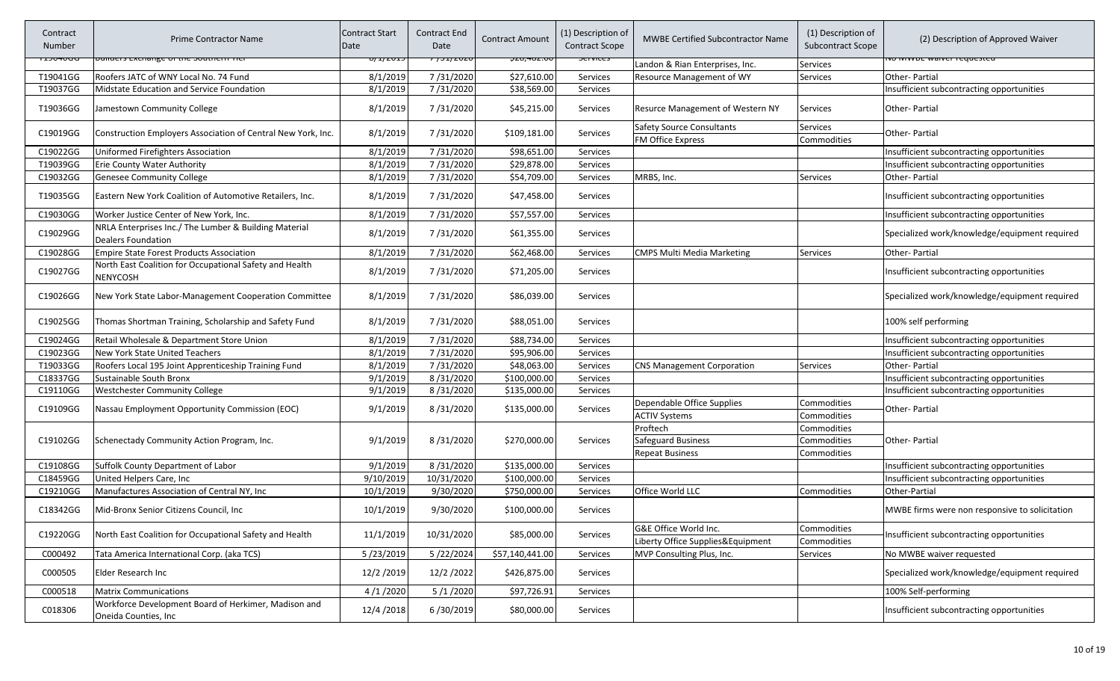| Contract<br><b>Number</b> | <b>Prime Contractor Name</b>                                                       | <b>Contract Start</b><br>Date | <b>Contract End</b><br>Date | <b>Contract Amount</b>                    | (1) Description of<br><b>Contract Scope</b> | <b>MWBE Certified Subcontractor Name</b>                     | (1) Description of<br>Subcontract Scope | (2) Description of Approved Waiver             |
|---------------------------|------------------------------------------------------------------------------------|-------------------------------|-----------------------------|-------------------------------------------|---------------------------------------------|--------------------------------------------------------------|-----------------------------------------|------------------------------------------------|
| ᠇ᠴᠵᠣᡃ᠇ᠦᡆᡆ                 | <del>unuers exenange or the southern me</del>                                      | <del>이 1/ZUIS</del>           | 77 <del>3172020</del>       | <del>ݷ<b>Ⴭ</b>ჿ,୳ჿჍ</del> . <del>ႱႱ</del> | ᠦᠬᠬᡄ                                        | Landon & Rian Enterprises, Inc.                              | Services                                | <u>ινο ινιννος waiver requested</u>            |
| T19041GG                  | Roofers JATC of WNY Local No. 74 Fund                                              | 8/1/2019                      | 7/31/2020                   | \$27,610.00                               | Services                                    | Resource Management of WY                                    | Services                                | Other-Partial                                  |
| T19037GG                  | Midstate Education and Service Foundation                                          | 8/1/2019                      | 7/31/2020                   | \$38,569.00                               | Services                                    |                                                              |                                         | Insufficient subcontracting opportunities      |
| T19036GG                  | Jamestown Community College                                                        | 8/1/2019                      | 7/31/2020                   | \$45,215.00                               | Services                                    | <b>Resurce Management of Western NY</b>                      | Services                                | Other-Partial                                  |
| C19019GG                  | Construction Employers Association of Central New York, Inc.                       | 8/1/2019                      | 7/31/2020                   | \$109,181.00                              | Services                                    | <b>Safety Source Consultants</b><br><b>FM Office Express</b> | <b>Services</b><br>Commodities          | Other- Partial                                 |
| C19022GG                  | Uniformed Firefighters Association                                                 | 8/1/2019                      | 7/31/2020                   | \$98,651.00                               | Services                                    |                                                              |                                         | Insufficient subcontracting opportunities      |
| T19039GG                  | <b>Erie County Water Authority</b>                                                 | 8/1/2019                      | 7/31/2020                   | \$29,878.00                               | Services                                    |                                                              |                                         | Insufficient subcontracting opportunities      |
| C19032GG                  | <b>Genesee Community College</b>                                                   | 8/1/2019                      | 7/31/2020                   | \$54,709.00                               | Services                                    | MRBS, Inc.                                                   | Services                                | Other-Partial                                  |
| T19035GG                  | Eastern New York Coalition of Automotive Retailers, Inc.                           | 8/1/2019                      | 7/31/2020                   | \$47,458.00                               | Services                                    |                                                              |                                         | Insufficient subcontracting opportunities      |
| C19030GG                  | Worker Justice Center of New York, Inc.                                            | 8/1/2019                      | 7/31/2020                   | \$57,557.00                               | Services                                    |                                                              |                                         | Insufficient subcontracting opportunities      |
| C19029GG                  | NRLA Enterprises Inc./ The Lumber & Building Material<br><b>Dealers Foundation</b> | 8/1/2019                      | 7/31/2020                   | \$61,355.00                               | Services                                    |                                                              |                                         | Specialized work/knowledge/equipment required  |
| C19028GG                  | <b>Empire State Forest Products Association</b>                                    | 8/1/2019                      | 7/31/2020                   | \$62,468.00                               | Services                                    | <b>CMPS Multi Media Marketing</b>                            | Services                                | Other-Partial                                  |
| C19027GG                  | North East Coalition for Occupational Safety and Health<br><b>NENYCOSH</b>         | 8/1/2019                      | 7/31/2020                   | \$71,205.00                               | Services                                    |                                                              |                                         | Insufficient subcontracting opportunities      |
| C19026GG                  | New York State Labor-Management Cooperation Committee                              | 8/1/2019                      | 7/31/2020                   | \$86,039.00                               | Services                                    |                                                              |                                         | Specialized work/knowledge/equipment required  |
| C19025GG                  | Thomas Shortman Training, Scholarship and Safety Fund                              | 8/1/2019                      | 7/31/2020                   | \$88,051.00                               | Services                                    |                                                              |                                         | 100% self performing                           |
| C19024GG                  | Retail Wholesale & Department Store Union                                          | 8/1/2019                      | 7/31/2020                   | \$88,734.00                               | Services                                    |                                                              |                                         | Insufficient subcontracting opportunities      |
| C19023GG                  | New York State United Teachers                                                     | 8/1/2019                      | 7/31/2020                   | \$95,906.00                               | <b>Services</b>                             |                                                              |                                         | Insufficient subcontracting opportunities      |
| T19033GG                  | Roofers Local 195 Joint Apprenticeship Training Fund                               | 8/1/2019                      | 7/31/2020                   | \$48,063.00                               | Services                                    | <b>CNS Management Corporation</b>                            | Services                                | Other-Partial                                  |
| C18337GG                  | Sustainable South Bronx                                                            | 9/1/2019                      | 8/31/2020                   | \$100,000.00                              | Services                                    |                                                              |                                         | Insufficient subcontracting opportunities      |
| C19110GG                  | <b>Westchester Community College</b>                                               | 9/1/2019                      | 8/31/2020                   | \$135,000.00                              | Services                                    |                                                              |                                         | Insufficient subcontracting opportunities      |
| C19109GG                  | Nassau Employment Opportunity Commission (EOC)                                     | 9/1/2019                      | 8/31/2020                   | \$135,000.00                              | Services                                    | Dependable Office Supplies                                   | Commodities                             | Other- Partial                                 |
|                           |                                                                                    |                               |                             |                                           |                                             | <b>ACTIV Systems</b>                                         | Commodities                             |                                                |
|                           |                                                                                    |                               |                             |                                           |                                             | Proftech                                                     | Commodities                             |                                                |
| C19102GG                  | Schenectady Community Action Program, Inc.                                         | 9/1/2019                      | 8/31/2020                   | \$270,000.00                              | Services                                    | Safeguard Business                                           | Commodities                             | Other-Partial                                  |
|                           |                                                                                    |                               |                             |                                           |                                             | <b>Repeat Business</b>                                       | Commodities                             |                                                |
| C19108GG                  | Suffolk County Department of Labor                                                 | 9/1/2019                      | 8/31/2020                   | \$135,000.00                              | Services                                    |                                                              |                                         | Insufficient subcontracting opportunities      |
| C18459GG                  | United Helpers Care, Inc                                                           | 9/10/2019                     | 10/31/2020                  | \$100,000.00                              | Services                                    |                                                              |                                         | Insufficient subcontracting opportunities      |
| C19210GG                  | Manufactures Association of Central NY, Inc                                        | 10/1/2019                     | 9/30/2020                   | \$750,000.00                              | Services                                    | Office World LLC                                             | Commodities                             | Other-Partial                                  |
| C18342GG                  | Mid-Bronx Senior Citizens Council, Inc                                             | 10/1/2019                     | 9/30/2020                   | \$100,000.00                              | Services                                    |                                                              |                                         | MWBE firms were non responsive to solicitation |
| C19220GG                  | North East Coalition for Occupational Safety and Health                            | 11/1/2019                     | 10/31/2020                  | \$85,000.00                               | Services                                    | G&E Office World Inc.<br>Liberty Office Supplies&Equipment   | Commodities<br>Commodities              | Insufficient subcontracting opportunities      |
| C000492                   | Tata America International Corp. (aka TCS)                                         | 5/23/2019                     | 5/22/2024                   | \$57,140,441.00                           | Services                                    | MVP Consulting Plus, Inc.                                    | Services                                | No MWBE waiver requested                       |
| C000505                   | Elder Research Inc                                                                 | 12/2/2019                     | 12/2/2022                   | \$426,875.00                              | Services                                    |                                                              |                                         | Specialized work/knowledge/equipment required  |
| C000518                   | <b>Matrix Communications</b>                                                       | 4/1/2020                      | 5/1/2020                    | \$97,726.91                               | Services                                    |                                                              |                                         | 100% Self-performing                           |
| C018306                   | Workforce Development Board of Herkimer, Madison and<br>Oneida Counties, Inc       | 12/4/2018                     | 6/30/2019                   | \$80,000.00                               | Services                                    |                                                              |                                         | Insufficient subcontracting opportunities      |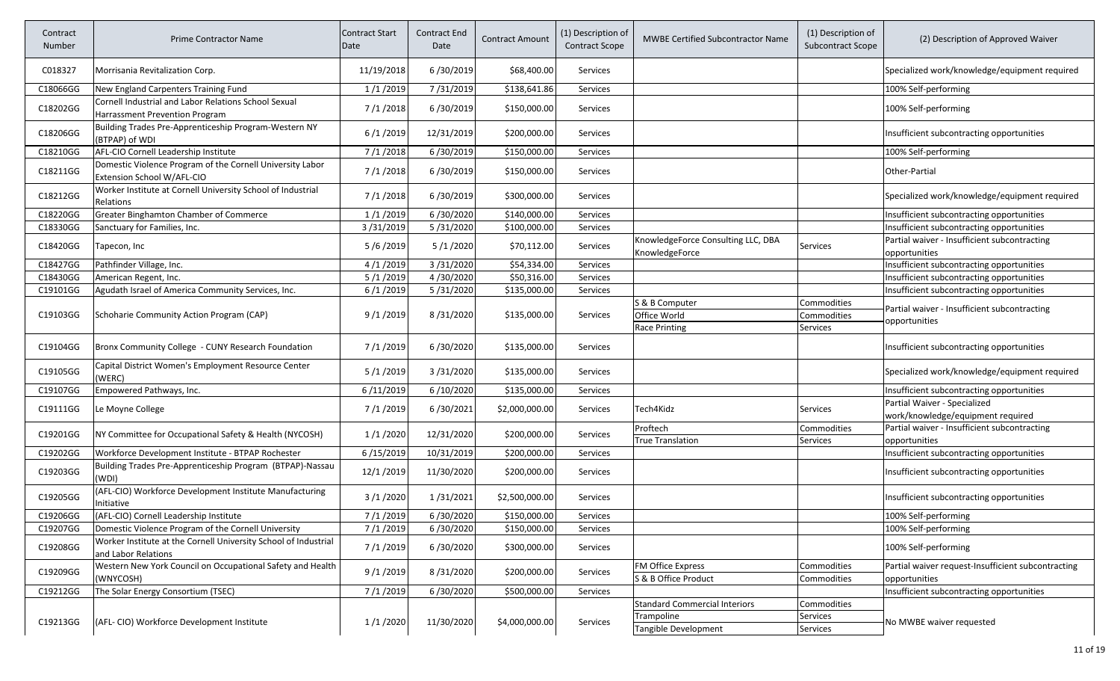| Contract<br>Number | <b>Prime Contractor Name</b>                                                            | <b>Contract Start</b><br>Date | <b>Contract End</b><br>Date | <b>Contract Amount</b> | (1) Description of<br><b>Contract Scope</b> | MWBE Certified Subcontractor Name                    | (1) Description of<br>Subcontract Scope | (2) Description of Approved Waiver                                  |
|--------------------|-----------------------------------------------------------------------------------------|-------------------------------|-----------------------------|------------------------|---------------------------------------------|------------------------------------------------------|-----------------------------------------|---------------------------------------------------------------------|
| C018327            | Morrisania Revitalization Corp.                                                         | 11/19/2018                    | 6/30/2019                   | \$68,400.00            | Services                                    |                                                      |                                         | Specialized work/knowledge/equipment required                       |
| C18066GG           | New England Carpenters Training Fund                                                    | 1/1/2019                      | 7/31/2019                   | \$138,641.86           | Services                                    |                                                      |                                         | 100% Self-performing                                                |
| C18202GG           | Cornell Industrial and Labor Relations School Sexual<br>Harrassment Prevention Program  | 7/1/2018                      | 6/30/2019                   | \$150,000.00           | Services                                    |                                                      |                                         | 100% Self-performing                                                |
| C18206GG           | Building Trades Pre-Apprenticeship Program-Western NY<br>(BTPAP) of WDI                 | 6/1/2019                      | 12/31/2019                  | \$200,000.00           | Services                                    |                                                      |                                         | Insufficient subcontracting opportunities                           |
| C18210GG           | AFL-CIO Cornell Leadership Institute                                                    | 7/1/2018                      | 6/30/2019                   | \$150,000.00           | Services                                    |                                                      |                                         | 100% Self-performing                                                |
| C18211GG           | Domestic Violence Program of the Cornell University Labor<br>Extension School W/AFL-CIO | 7/1/2018                      | 6/30/2019                   | \$150,000.00           | Services                                    |                                                      |                                         | Other-Partial                                                       |
| C18212GG           | Worker Institute at Cornell University School of Industrial<br>Relations                | 7/1/2018                      | 6/30/2019                   | \$300,000.00           | Services                                    |                                                      |                                         | Specialized work/knowledge/equipment required                       |
| C18220GG           | Greater Binghamton Chamber of Commerce                                                  | 1/1/2019                      | 6/30/2020                   | \$140,000.00           | Services                                    |                                                      |                                         | Insufficient subcontracting opportunities                           |
| C18330GG           | Sanctuary for Families, Inc.                                                            | 3/31/2019                     | 5/31/2020                   | \$100,000.00           | Services                                    |                                                      |                                         | Insufficient subcontracting opportunities                           |
| C18420GG           | Tapecon, Inc                                                                            | 5/6/2019                      | 5/1/2020                    | \$70,112.00            | Services                                    | KnowledgeForce Consulting LLC, DBA<br>KnowledgeForce | Services                                | Partial waiver - Insufficient subcontracting<br>opportunities       |
| C18427GG           | Pathfinder Village, Inc.                                                                | 4/1/2019                      | 3/31/2020                   | \$54,334.00            | Services                                    |                                                      |                                         | Insufficient subcontracting opportunities                           |
| C18430GG           | American Regent, Inc.                                                                   | 5/1/2019                      | 4/30/2020                   | \$50,316.00            | Services                                    |                                                      |                                         | Insufficient subcontracting opportunities                           |
| C19101GG           | Agudath Israel of America Community Services, Inc.                                      | 6/1/2019                      | 5/31/2020                   | \$135,000.00           | Services                                    |                                                      |                                         | Insufficient subcontracting opportunities                           |
|                    |                                                                                         |                               |                             |                        |                                             | S & B Computer                                       | Commodities                             | Partial waiver - Insufficient subcontracting                        |
| C19103GG           | Schoharie Community Action Program (CAP)                                                | 9/1/2019                      | 8/31/2020                   | \$135,000.00           | Services                                    | Office World                                         | Commodities                             | opportunities                                                       |
|                    |                                                                                         |                               |                             |                        |                                             | <b>Race Printing</b>                                 | Services                                |                                                                     |
| C19104GG           | Bronx Community College - CUNY Research Foundation                                      | 7/1/2019                      | 6/30/2020                   | \$135,000.00           | Services                                    |                                                      |                                         | Insufficient subcontracting opportunities                           |
| C19105GG           | Capital District Women's Employment Resource Center<br>(WERC)                           | 5/1/2019                      | 3/31/2020                   | \$135,000.00           | Services                                    |                                                      |                                         | Specialized work/knowledge/equipment required                       |
| C19107GG           | Empowered Pathways, Inc.                                                                | 6/11/2019                     | 6/10/2020                   | \$135,000.00           | Services                                    |                                                      |                                         | Insufficient subcontracting opportunities                           |
| C19111GG           | Le Moyne College                                                                        | 7/1/2019                      | 6/30/2021                   | \$2,000,000.00         | Services                                    | Tech4Kidz                                            | <b>Services</b>                         | Partial Waiver - Specialized<br>work/knowledge/equipment required   |
|                    |                                                                                         |                               |                             |                        |                                             | Proftech                                             | Commodities                             | Partial waiver - Insufficient subcontracting                        |
| C19201GG           | NY Committee for Occupational Safety & Health (NYCOSH)                                  | 1/1/2020                      | 12/31/2020                  | \$200,000.00           | Services                                    | <b>True Translation</b>                              | Services                                | opportunities                                                       |
| C19202GG           | Workforce Development Institute - BTPAP Rochester                                       | 6/15/2019                     | 10/31/2019                  | \$200,000.00           | Services                                    |                                                      |                                         | Insufficient subcontracting opportunities                           |
| C19203GG           | Building Trades Pre-Apprenticeship Program (BTPAP)-Nassau<br>(WDI)                      | 12/1/2019                     | 11/30/2020                  | \$200,000.00           | Services                                    |                                                      |                                         | Insufficient subcontracting opportunities                           |
| C19205GG           | (AFL-CIO) Workforce Development Institute Manufacturing<br>Initiative                   | 3/1/2020                      | 1/31/2021                   | \$2,500,000.00         | Services                                    |                                                      |                                         | Insufficient subcontracting opportunities                           |
| C19206GG           | (AFL-CIO) Cornell Leadership Institute                                                  | 7/1/2019                      | 6/30/2020                   | \$150,000.00           | Services                                    |                                                      |                                         | 100% Self-performing                                                |
| C19207GG           | Domestic Violence Program of the Cornell University                                     | 7/1/2019                      | 6/30/2020                   | \$150,000.00           | Services                                    |                                                      |                                         | 100% Self-performing                                                |
| C19208GG           | Worker Institute at the Cornell University School of Industrial<br>and Labor Relations  | 7/1/2019                      | 6/30/2020                   | \$300,000.00           | Services                                    |                                                      |                                         | 100% Self-performing                                                |
| C19209GG           | Western New York Council on Occupational Safety and Health<br>(WNYCOSH)                 | 9/1/2019                      | 8/31/2020                   | \$200,000.00           | Services                                    | FM Office Express<br>S & B Office Product            | Commodities<br>Commodities              | Partial waiver request-Insufficient subcontracting<br>opportunities |
| C19212GG           | The Solar Energy Consortium (TSEC)                                                      | 7/1/2019                      | 6/30/2020                   | \$500,000.00           | Services                                    |                                                      |                                         | Insufficient subcontracting opportunities                           |
| C19213GG           | (AFL-CIO) Workforce Development Institute                                               | 1/1/2020                      | 11/30/2020                  | \$4,000,000.00         | Services                                    | <b>Standard Commercial Interiors</b><br>Trampoline   | Commodities<br>Services                 | No MWBE waiver requested                                            |
|                    |                                                                                         |                               |                             |                        |                                             | Tangible Development                                 | Services                                |                                                                     |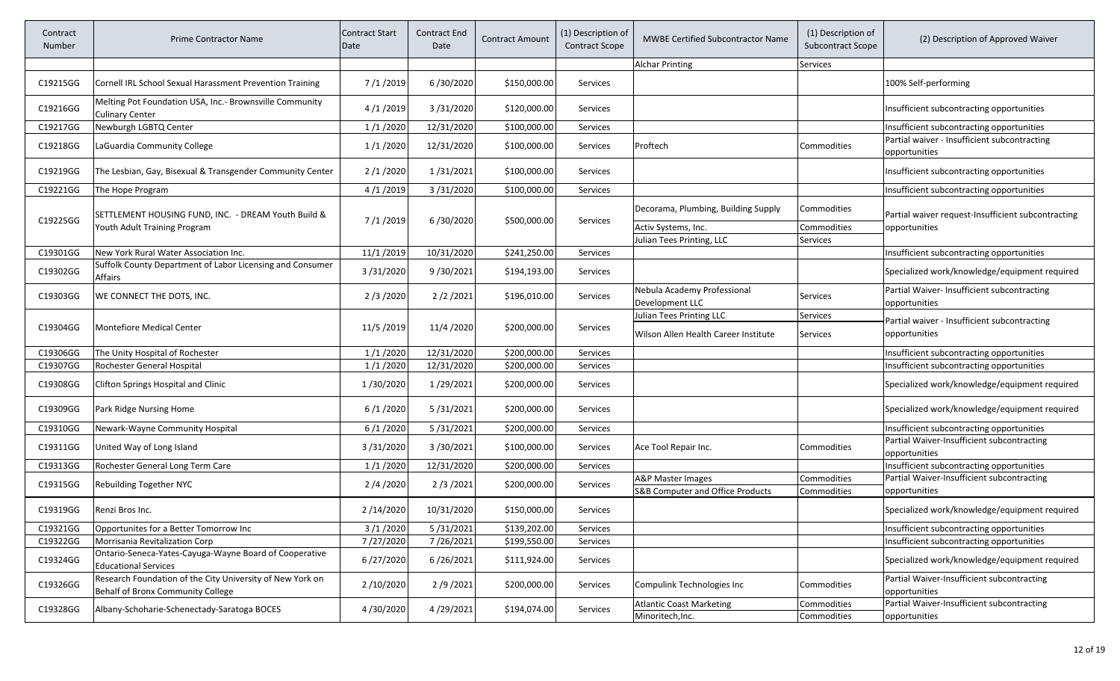| Contract<br>Number | <b>Prime Contractor Name</b>                                                                   | <b>Contract Start</b><br>Date | Contract End<br>Date | Contract Amount | (1) Description of<br><b>Contract Scope</b> | <b>MWBE Certified Subcontractor Name</b>                                | (1) Description of<br><b>Subcontract Scope</b> | (2) Description of Approved Waiver                                  |
|--------------------|------------------------------------------------------------------------------------------------|-------------------------------|----------------------|-----------------|---------------------------------------------|-------------------------------------------------------------------------|------------------------------------------------|---------------------------------------------------------------------|
|                    |                                                                                                |                               |                      |                 |                                             | <b>Alchar Printing</b>                                                  | Services                                       |                                                                     |
| C19215GG           | Cornell IRL School Sexual Harassment Prevention Training                                       | 7/1/2019                      | 6/30/2020            | \$150,000.00    | Services                                    |                                                                         |                                                | 100% Self-performing                                                |
| C19216GG           | Melting Pot Foundation USA, Inc.- Brownsville Community<br><b>Culinary Center</b>              | 4/1/2019                      | 3/31/2020            | \$120,000.00    | Services                                    |                                                                         |                                                | Insufficient subcontracting opportunities                           |
| C19217GG           | Newburgh LGBTQ Center                                                                          | 1/1/2020                      | 12/31/2020           | \$100,000.00    | Services                                    |                                                                         |                                                | Insufficient subcontracting opportunities                           |
| C19218GG           | LaGuardia Community College                                                                    | 1/1/2020                      | 12/31/2020           | \$100,000.00    | Services                                    | Proftech                                                                | Commodities                                    | Partial waiver - Insufficient subcontracting<br>opportunities       |
| C19219GG           | The Lesbian, Gay, Bisexual & Transgender Community Center                                      | 2/1/2020                      | 1/31/2021            | \$100,000.00    | <b>Services</b>                             |                                                                         |                                                | Insufficient subcontracting opportunities                           |
| C19221GG           | The Hope Program                                                                               | 4/1/2019                      | 3/31/2020            | \$100,000.00    | Services                                    |                                                                         |                                                | Insufficient subcontracting opportunities                           |
| C19225GG           | SETTLEMENT HOUSING FUND, INC. - DREAM Youth Build &<br>Youth Adult Training Program            | 7/1/2019                      | 6/30/2020            | \$500,000.00    | Services                                    | Decorama, Plumbing, Building Supply<br>Activ Systems, Inc.              | Commodities<br>Commodities                     | Partial waiver request-Insufficient subcontracting<br>opportunities |
|                    |                                                                                                |                               |                      |                 |                                             | Julian Tees Printing, LLC                                               | Services                                       |                                                                     |
| C19301GG           | New York Rural Water Association Inc.                                                          | 11/1/2019                     | 10/31/2020           | \$241,250.00    | Services                                    |                                                                         |                                                | Insufficient subcontracting opportunities                           |
| C19302GG           | Suffolk County Department of Labor Licensing and Consumer<br>Affairs                           | 3/31/2020                     | 9/30/2021            | \$194,193.00    | Services                                    |                                                                         |                                                | Specialized work/knowledge/equipment required                       |
| C19303GG           | WE CONNECT THE DOTS, INC.                                                                      | 2/3/2020                      | 2/2/2021             | \$196,010.00    | Services                                    | Nebula Academy Professional<br>Development LLC                          | Services                                       | Partial Waiver- Insufficient subcontracting<br>opportunities        |
| C19304GG           | <b>Montefiore Medical Center</b>                                                               | 11/5/2019                     | 11/4/2020            | \$200,000.00    | Services                                    | <b>Julian Tees Printing LLC</b><br>Wilson Allen Health Career Institute | Services<br><b>Services</b>                    | Partial waiver - Insufficient subcontracting<br>opportunities       |
| C19306GG           | The Unity Hospital of Rochester                                                                | 1/1/2020                      | 12/31/2020           | \$200,000.00    | <b>Services</b>                             |                                                                         |                                                | Insufficient subcontracting opportunities                           |
| C19307GG           | Rochester General Hospital                                                                     | 1/1/2020                      | 12/31/2020           | \$200,000.00    | Services                                    |                                                                         |                                                | Insufficient subcontracting opportunities                           |
| C19308GG           | Clifton Springs Hospital and Clinic                                                            | 1/30/2020                     | 1/29/2021            | \$200,000.00    | Services                                    |                                                                         |                                                | Specialized work/knowledge/equipment required                       |
| C19309GG           | Park Ridge Nursing Home                                                                        | 6/1/2020                      | 5/31/2021            | \$200,000.00    | Services                                    |                                                                         |                                                | Specialized work/knowledge/equipment required                       |
| C19310GG           | Newark-Wayne Community Hospital                                                                | 6/1/2020                      | 5/31/2021            | \$200,000.00    | Services                                    |                                                                         |                                                | Insufficient subcontracting opportunities                           |
| C19311GG           | United Way of Long Island                                                                      | 3/31/2020                     | 3/30/2021            | \$100,000.00    | Services                                    | Ace Tool Repair Inc.                                                    | Commodities                                    | Partial Waiver-Insufficient subcontracting<br>opportunities         |
| C19313GG           | Rochester General Long Term Care                                                               | 1/1/2020                      | 12/31/2020           | \$200,000.00    | Services                                    |                                                                         |                                                | Insufficient subcontracting opportunities                           |
| C19315GG           | Rebuilding Together NYC                                                                        | 2/4/2020                      | 2/3/2021             | \$200,000.00    | Services                                    | A&P Master Images                                                       | Commodities                                    | Partial Waiver-Insufficient subcontracting                          |
|                    |                                                                                                |                               |                      |                 |                                             | <b>S&amp;B Computer and Office Products</b>                             | Commodities                                    | opportunities                                                       |
| C19319GG           | Renzi Bros Inc.                                                                                | 2/14/2020                     | 10/31/2020           | \$150,000.00    | Services                                    |                                                                         |                                                | Specialized work/knowledge/equipment required                       |
| C19321GG           | Opportunites for a Better Tomorrow Inc                                                         | 3/1/2020                      | 5/31/2021            | \$139,202.00    | Services                                    |                                                                         |                                                | Insufficient subcontracting opportunities                           |
| C19322GG           | Morrisania Revitalization Corp                                                                 | 7/27/2020                     | 7/26/2021            | \$199,550.00    | Services                                    |                                                                         |                                                | Insufficient subcontracting opportunities                           |
| C19324GG           | Ontario-Seneca-Yates-Cayuga-Wayne Board of Cooperative<br><b>Educational Services</b>          | 6/27/2020                     | 6/26/2021            | \$111,924.00    | Services                                    |                                                                         |                                                | Specialized work/knowledge/equipment required                       |
| C19326GG           | Research Foundation of the City University of New York on<br>Behalf of Bronx Community College | 2/10/2020                     | 2/9/2021             | \$200,000.00    | Services                                    | Compulink Technologies Inc                                              | Commodities                                    | Partial Waiver-Insufficient subcontracting<br>opportunities         |
| C19328GG           | Albany-Schoharie-Schenectady-Saratoga BOCES                                                    | 4/30/2020                     | 4/29/2021            | \$194,074.00    | Services                                    | <b>Atlantic Coast Marketing</b><br>Minoritech, Inc.                     | Commodities<br>Commodities                     | Partial Waiver-Insufficient subcontracting<br>opportunities         |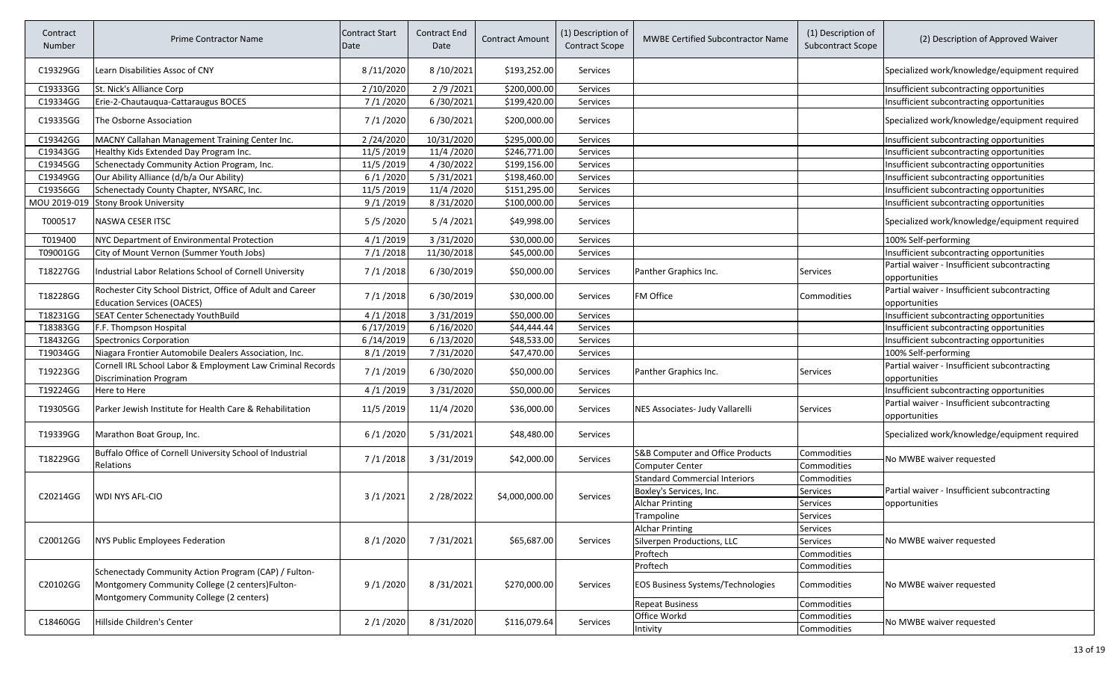| Contract<br>Number | <b>Prime Contractor Name</b>                                                                            | <b>Contract Start</b><br>Date | Contract End<br>Date | <b>Contract Amount</b> | (1) Description of<br><b>Contract Scope</b> | <b>MWBE Certified Subcontractor Name</b>                   | (1) Description of<br><b>Subcontract Scope</b> | (2) Description of Approved Waiver                            |
|--------------------|---------------------------------------------------------------------------------------------------------|-------------------------------|----------------------|------------------------|---------------------------------------------|------------------------------------------------------------|------------------------------------------------|---------------------------------------------------------------|
| C19329GG           | Learn Disabilities Assoc of CNY                                                                         | 8/11/2020                     | 8/10/2021            | \$193,252.00           | Services                                    |                                                            |                                                | Specialized work/knowledge/equipment required                 |
| C19333GG           | St. Nick's Alliance Corp                                                                                | 2/10/2020                     | 2/9/2021             | \$200,000.00           | Services                                    |                                                            |                                                | Insufficient subcontracting opportunities                     |
| C19334GG           | Erie-2-Chautauqua-Cattaraugus BOCES                                                                     | 7/1/2020                      | 6/30/2021            | \$199,420.00           | Services                                    |                                                            |                                                | Insufficient subcontracting opportunities                     |
| C19335GG           | The Osborne Association                                                                                 | 7/1/2020                      | 6/30/2021            | \$200,000.00           | Services                                    |                                                            |                                                | Specialized work/knowledge/equipment required                 |
| C19342GG           | MACNY Callahan Management Training Center Inc.                                                          | 2/24/2020                     | 10/31/2020           | \$295,000.00           | Services                                    |                                                            |                                                | Insufficient subcontracting opportunities                     |
| C19343GG           | Healthy Kids Extended Day Program Inc.                                                                  | 11/5/2019                     | 11/4/2020            | \$246,771.00           | Services                                    |                                                            |                                                | Insufficient subcontracting opportunities                     |
| C19345GG           | Schenectady Community Action Program, Inc.                                                              | 11/5/2019                     | 4/30/2022            | \$199,156.00           | Services                                    |                                                            |                                                | Insufficient subcontracting opportunities                     |
| C19349GG           | Our Ability Alliance (d/b/a Our Ability)                                                                | 6/1/2020                      | 5/31/2021            | \$198,460.00           | Services                                    |                                                            |                                                | Insufficient subcontracting opportunities                     |
| C19356GG           | Schenectady County Chapter, NYSARC, Inc.                                                                | 11/5/2019                     | 11/4/2020            | \$151,295.00           | Services                                    |                                                            |                                                | Insufficient subcontracting opportunities                     |
| MOU 2019-019       | <b>Stony Brook University</b>                                                                           | 9/1/2019                      | 8/31/2020            | \$100,000.00           | Services                                    |                                                            |                                                | Insufficient subcontracting opportunities                     |
| T000517            | NASWA CESER ITSC                                                                                        | 5/5/2020                      | 5/4/2021             | \$49,998.00            | Services                                    |                                                            |                                                | Specialized work/knowledge/equipment required                 |
| T019400            | NYC Department of Environmental Protection                                                              | 4/1/2019                      | 3/31/2020            | \$30,000.00            | Services                                    |                                                            |                                                | 100% Self-performing                                          |
| T09001GG           | City of Mount Vernon (Summer Youth Jobs)                                                                | 7/1/2018                      | 11/30/2018           | \$45,000.00            | Services                                    |                                                            |                                                | Insufficient subcontracting opportunities                     |
| T18227GG           | Industrial Labor Relations School of Cornell University                                                 | 7/1/2018                      | 6/30/2019            | \$50,000.00            | Services                                    | Panther Graphics Inc.                                      | <b>Services</b>                                | Partial waiver - Insufficient subcontracting<br>opportunities |
| T18228GG           | Rochester City School District, Office of Adult and Career<br><b>Education Services (OACES)</b>         | 7/1/2018                      | 6/30/2019            | \$30,000.00            | Services                                    | FM Office                                                  | Commodities                                    | Partial waiver - Insufficient subcontracting<br>opportunities |
| T18231GG           | SEAT Center Schenectady YouthBuild                                                                      | 4/1/2018                      | 3/31/2019            | \$50,000.00            | Services                                    |                                                            |                                                | Insufficient subcontracting opportunities                     |
| T18383GG           | F.F. Thompson Hospital                                                                                  | 6/17/2019                     | 6/16/2020            | \$44,444.44            | Services                                    |                                                            |                                                | Insufficient subcontracting opportunities                     |
| T18432GG           | <b>Spectronics Corporation</b>                                                                          | 6/14/2019                     | 6/13/2020            | \$48,533.00            | Services                                    |                                                            |                                                | Insufficient subcontracting opportunities                     |
| T19034GG           | Niagara Frontier Automobile Dealers Association, Inc.                                                   | 8/1/2019                      | 7/31/2020            | \$47,470.00            | Services                                    |                                                            |                                                | 100% Self-performing                                          |
| T19223GG           | Cornell IRL School Labor & Employment Law Criminal Records<br>Discrimination Program                    | 7/1/2019                      | 6/30/2020            | \$50,000.00            | Services                                    | Panther Graphics Inc.                                      | <b>Services</b>                                | Partial waiver - Insufficient subcontracting<br>opportunities |
| T19224GG           | Here to Here                                                                                            | 4/1/2019                      | 3/31/2020            | \$50,000.00            | Services                                    |                                                            |                                                | Insufficient subcontracting opportunities                     |
| T19305GG           | Parker Jewish Institute for Health Care & Rehabilitation                                                | 11/5/2019                     | 11/4 / 2020          | \$36,000.00            | Services                                    | NES Associates- Judy Vallarelli                            | <b>Services</b>                                | Partial waiver - Insufficient subcontracting<br>opportunities |
| T19339GG           | Marathon Boat Group, Inc.                                                                               | 6/1/2020                      | 5/31/2021            | \$48,480.00            | Services                                    |                                                            |                                                | Specialized work/knowledge/equipment required                 |
| T18229GG           | Buffalo Office of Cornell University School of Industrial<br>Relations                                  | 7/1/2018                      | 3/31/2019            | \$42,000.00            | Services                                    | S&B Computer and Office Products<br><b>Computer Center</b> | Commodities<br>Commodities                     | No MWBE waiver requested                                      |
|                    |                                                                                                         |                               |                      |                        |                                             | <b>Standard Commercial Interiors</b>                       | Commodities                                    |                                                               |
|                    |                                                                                                         |                               |                      |                        |                                             | Boxley's Services, Inc.                                    | Services                                       | Partial waiver - Insufficient subcontracting                  |
| C20214GG           | WDI NYS AFL-CIO                                                                                         | 3/1/2021                      | 2/28/2022            | \$4,000,000.00         | Services                                    | <b>Alchar Printing</b>                                     | <b>Services</b>                                | opportunities                                                 |
|                    |                                                                                                         |                               |                      |                        |                                             | Trampoline                                                 | <b>Services</b>                                |                                                               |
|                    |                                                                                                         |                               |                      |                        |                                             | <b>Alchar Printing</b>                                     | <b>Services</b>                                |                                                               |
| C20012GG           | NYS Public Employees Federation                                                                         | 8/1/2020                      | 7/31/2021            | \$65,687.00            | Services                                    | Silverpen Productions, LLC                                 | Services                                       | No MWBE waiver requested                                      |
|                    |                                                                                                         |                               |                      |                        |                                             | Proftech                                                   | Commodities                                    |                                                               |
|                    |                                                                                                         |                               |                      |                        |                                             | Proftech                                                   | Commodities                                    |                                                               |
| C20102GG           | Schenectady Community Action Program (CAP) / Fulton-<br>Montgomery Community College (2 centers)Fulton- | 9/1/2020                      | 8/31/2021            | \$270,000.00           | Services                                    | <b>EOS Business Systems/Technologies</b>                   | Commodities                                    | No MWBE waiver requested                                      |
|                    | Montgomery Community College (2 centers)                                                                |                               |                      |                        |                                             | <b>Repeat Business</b>                                     | Commodities                                    |                                                               |
|                    |                                                                                                         |                               |                      |                        |                                             | Office Workd                                               | Commodities                                    |                                                               |
| C18460GG           | Hillside Children's Center                                                                              | 2/1/2020                      | 8/31/2020            | \$116,079.64           | Services                                    | Intivity                                                   | Commodities                                    | No MWBE waiver requested                                      |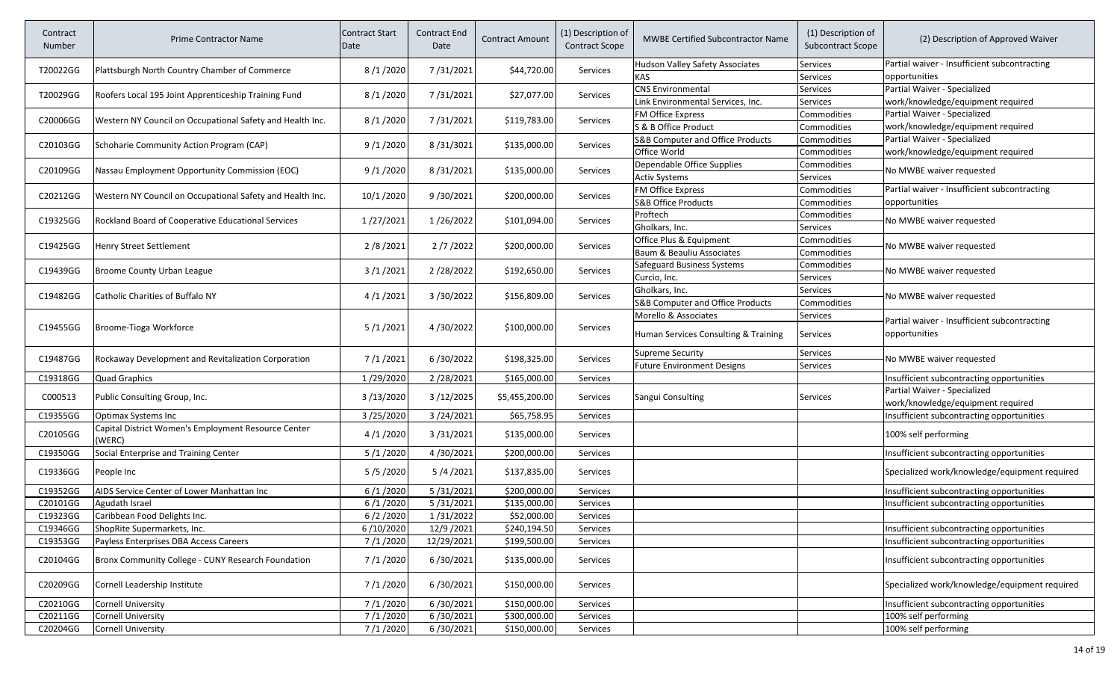| Contract<br>Number | <b>Prime Contractor Name</b>                              | <b>Contract Start</b><br>Date | <b>Contract End</b><br>Date | <b>Contract Amount</b> | (1) Description of<br><b>Contract Scope</b> | <b>MWBE Certified Subcontractor Name</b> | (1) Description of<br><b>Subcontract Scope</b> | (2) Description of Approved Waiver                                |
|--------------------|-----------------------------------------------------------|-------------------------------|-----------------------------|------------------------|---------------------------------------------|------------------------------------------|------------------------------------------------|-------------------------------------------------------------------|
| T20022GG           | Plattsburgh North Country Chamber of Commerce             | 8/1/2020                      | 7/31/2021                   | \$44,720.00            | Services                                    | Hudson Valley Safety Associates          | Services                                       | Partial waiver - Insufficient subcontracting                      |
|                    |                                                           |                               |                             |                        |                                             | <b>KAS</b>                               | Services                                       | opportunities                                                     |
| T20029GG           | Roofers Local 195 Joint Apprenticeship Training Fund      | 8/1/2020                      | 7/31/2021                   | \$27,077.00            | Services                                    | <b>CNS Environmental</b>                 | Services                                       | Partial Waiver - Specialized                                      |
|                    |                                                           |                               |                             |                        |                                             | Link Environmental Services, Inc.        | Services                                       | work/knowledge/equipment required                                 |
| C20006GG           | Western NY Council on Occupational Safety and Health Inc. | 8/1/2020                      | 7/31/2021                   | \$119,783.00           | Services                                    | FM Office Express                        | Commodities                                    | Partial Waiver - Specialized                                      |
|                    |                                                           |                               |                             |                        |                                             | S & B Office Product                     | Commodities                                    | work/knowledge/equipment required                                 |
| C20103GG           | Schoharie Community Action Program (CAP)                  | 9/1/2020                      | 8/31/3021                   | \$135,000.00           | Services                                    | S&B Computer and Office Products         | Commodities                                    | Partial Waiver - Specialized                                      |
|                    |                                                           |                               |                             |                        |                                             | Office World                             | Commodities                                    | work/knowledge/equipment required                                 |
| C20109GG           | Nassau Employment Opportunity Commission (EOC)            | 9/1/2020                      | 8/31/2021                   | \$135,000.00           | Services                                    | Dependable Office Supplies               | Commodities                                    | No MWBE waiver requested                                          |
|                    |                                                           |                               |                             |                        |                                             | <b>Activ Systems</b>                     | Services                                       |                                                                   |
| C20212GG           | Western NY Council on Occupational Safety and Health Inc. | 10/1 /2020                    | 9/30/2021                   | \$200,000.00           | Services                                    | <b>FM Office Express</b>                 | Commodities                                    | Partial waiver - Insufficient subcontracting                      |
|                    |                                                           |                               |                             |                        |                                             | <b>S&amp;B Office Products</b>           | Commodities                                    | opportunities                                                     |
| C19325GG           | Rockland Board of Cooperative Educational Services        | 1/27/2021                     | 1/26/2022                   | \$101,094.00           | Services                                    | Proftech                                 | Commodities                                    | No MWBE waiver requested                                          |
|                    |                                                           |                               |                             |                        |                                             | Gholkars, Inc.                           | Services                                       |                                                                   |
| C19425GG           | Henry Street Settlement                                   | 2/8/2021                      | 2/7/2022                    | \$200,000.00           | Services                                    | Office Plus & Equipment                  | Commodities                                    | No MWBE waiver requested                                          |
|                    |                                                           |                               |                             |                        |                                             | Baum & Beauliu Associates                | Commodities                                    |                                                                   |
| C19439GG           | Broome County Urban League                                | 3/1/2021                      | 2/28/2022                   | \$192,650.00           | Services                                    | Safeguard Business Systems               | Commodities                                    | No MWBE waiver requested                                          |
|                    |                                                           |                               |                             |                        |                                             | Curcio, Inc.                             | Services                                       |                                                                   |
| C19482GG           | Catholic Charities of Buffalo NY                          | 4/1/2021                      | 3/30/2022                   | \$156,809.00           | Services                                    | Gholkars, Inc.                           | <b>Services</b>                                | No MWBE waiver requested                                          |
|                    |                                                           |                               |                             |                        |                                             | S&B Computer and Office Products         | Commodities                                    |                                                                   |
|                    |                                                           |                               |                             |                        |                                             | Morello & Associates                     | Services                                       | Partial waiver - Insufficient subcontracting                      |
| C19455GG           | Broome-Tioga Workforce                                    | 5/1/2021                      | 4/30/2022                   | \$100,000.00           | <b>Services</b>                             | Human Services Consulting & Training     | <b>Services</b>                                | opportunities                                                     |
| C19487GG           | Rockaway Development and Revitalization Corporation       | 7/1/2021                      | 6/30/2022                   | \$198,325.00           | Services                                    | <b>Supreme Security</b>                  | Services                                       | No MWBE waiver requested                                          |
|                    |                                                           |                               |                             |                        |                                             | <b>Future Environment Designs</b>        | Services                                       |                                                                   |
| C19318GG           | <b>Quad Graphics</b>                                      | 1/29/2020                     | 2/28/2021                   | \$165,000.00           | Services                                    |                                          |                                                | Insufficient subcontracting opportunities                         |
| C000513            | Public Consulting Group, Inc.                             | 3/13/2020                     | 3/12/2025                   | \$5,455,200.00         | Services                                    | Sangui Consulting                        | <b>Services</b>                                | Partial Waiver - Specialized<br>work/knowledge/equipment required |
| C19355GG           | <b>Optimax Systems Inc</b>                                | 3/25/2020                     | 3/24/2021                   | \$65,758.95            | Services                                    |                                          |                                                | Insufficient subcontracting opportunities                         |
|                    | Capital District Women's Employment Resource Center       |                               |                             |                        |                                             |                                          |                                                |                                                                   |
| C20105GG           | (WERC)                                                    | 4/1/2020                      | 3/31/2021                   | \$135,000.00           | Services                                    |                                          |                                                | 100% self performing                                              |
| C19350GG           | Social Enterprise and Training Center                     | 5/1/2020                      | 4/30/2021                   | \$200,000.00           | Services                                    |                                          |                                                | Insufficient subcontracting opportunities                         |
| C19336GG           | People Inc                                                | 5/5/2020                      | 5/4/2021                    | \$137,835.00           | Services                                    |                                          |                                                | Specialized work/knowledge/equipment required                     |
| C19352GG           | AIDS Service Center of Lower Manhattan Inc                | 6/1/2020                      | 5/31/2021                   | \$200,000.00           | Services                                    |                                          |                                                | Insufficient subcontracting opportunities                         |
| C20101GG           | Agudath Israel                                            | 6/1/2020                      | 5/31/2021                   | \$135,000.00           | Services                                    |                                          |                                                | Insufficient subcontracting opportunities                         |
| C19323GG           | Caribbean Food Delights Inc.                              | 6/2/2020                      | 1/31/2022                   | \$52,000.00            | <b>Services</b>                             |                                          |                                                |                                                                   |
| C19346GG           | ShopRite Supermarkets, Inc.                               | 6/10/2020                     | 12/9/2021                   | \$240,194.50           | Services                                    |                                          |                                                | Insufficient subcontracting opportunities                         |
| C19353GG           | Payless Enterprises DBA Access Careers                    | 7/1/2020                      | 12/29/2021                  | \$199,500.00           | Services                                    |                                          |                                                | Insufficient subcontracting opportunities                         |
| C20104GG           | Bronx Community College - CUNY Research Foundation        | 7/1/2020                      | 6/30/2021                   | \$135,000.00           | Services                                    |                                          |                                                | Insufficient subcontracting opportunities                         |
| C20209GG           | Cornell Leadership Institute                              | 7/1/2020                      | 6/30/2021                   | \$150,000.00           | Services                                    |                                          |                                                | Specialized work/knowledge/equipment required                     |
| C20210GG           | <b>Cornell University</b>                                 | 7/1/2020                      | 6/30/2021                   | \$150,000.00           | Services                                    |                                          |                                                | Insufficient subcontracting opportunities                         |
| C20211GG           | <b>Cornell University</b>                                 | 7/1/2020                      | 6/30/2021                   | \$300,000.00           | Services                                    |                                          |                                                | 100% self performing                                              |
| C20204GG           | Cornell University                                        | 7/1/2020                      | 6/30/2021                   | \$150,000.00           | Services                                    |                                          |                                                | 100% self performing                                              |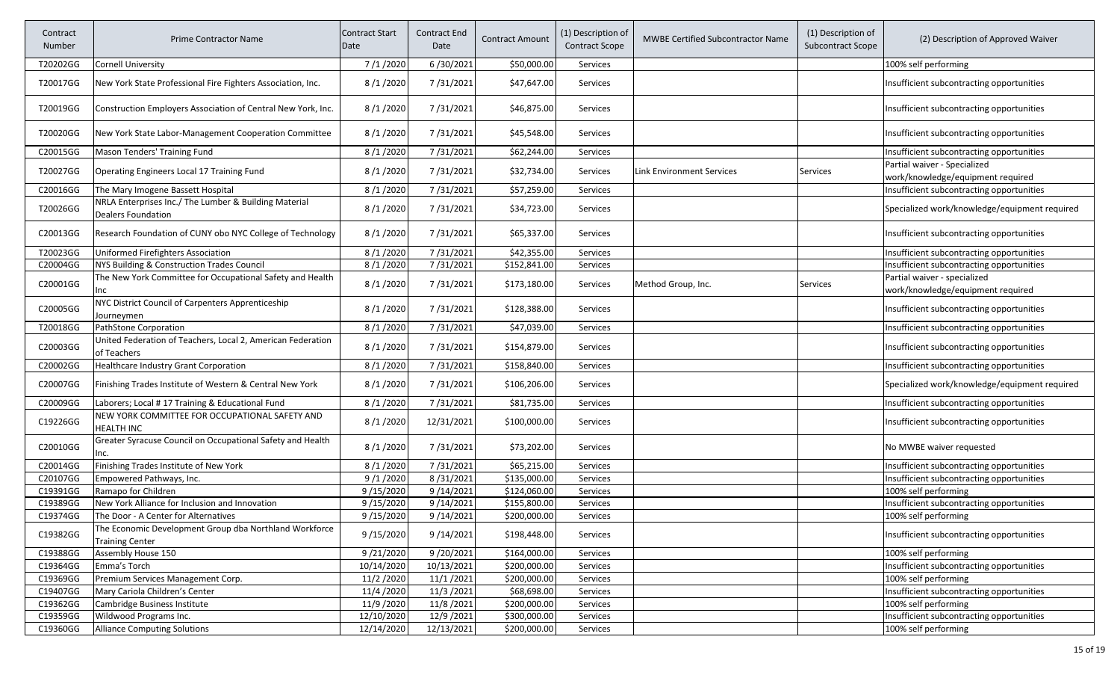| Contract<br>Number | <b>Prime Contractor Name</b>                                                       | <b>Contract Start</b><br>Date | <b>Contract End</b><br>Date | <b>Contract Amount</b> | (1) Description of<br><b>Contract Scope</b> | <b>MWBE Certified Subcontractor Name</b> | (1) Description of<br><b>Subcontract Scope</b> | (2) Description of Approved Waiver                                |
|--------------------|------------------------------------------------------------------------------------|-------------------------------|-----------------------------|------------------------|---------------------------------------------|------------------------------------------|------------------------------------------------|-------------------------------------------------------------------|
| T20202GG           | <b>Cornell University</b>                                                          | 7/1/2020                      | 6/30/2021                   | \$50,000.00            | Services                                    |                                          |                                                | 100% self performing                                              |
| T20017GG           | New York State Professional Fire Fighters Association, Inc.                        | 8/1/2020                      | 7/31/2021                   | \$47,647.00            | Services                                    |                                          |                                                | Insufficient subcontracting opportunities                         |
| T20019GG           | Construction Employers Association of Central New York, Inc.                       | 8/1/2020                      | 7/31/2021                   | \$46,875.00            | Services                                    |                                          |                                                | Insufficient subcontracting opportunities                         |
| T20020GG           | New York State Labor-Management Cooperation Committee                              | 8/1/2020                      | 7/31/2021                   | \$45,548.00            | Services                                    |                                          |                                                | Insufficient subcontracting opportunities                         |
| C20015GG           | Mason Tenders' Training Fund                                                       | 8/1/2020                      | 7/31/2021                   | \$62,244.00            | Services                                    |                                          |                                                | Insufficient subcontracting opportunities                         |
| T20027GG           | Operating Engineers Local 17 Training Fund                                         | 8/1/2020                      | 7/31/2021                   | \$32,734.00            | Services                                    | <b>Link Environment Services</b>         | <b>Services</b>                                | Partial waiver - Specialized<br>work/knowledge/equipment required |
| C20016GG           | The Mary Imogene Bassett Hospital                                                  | 8/1/2020                      | 7/31/2021                   | \$57,259.00            | Services                                    |                                          |                                                | Insufficient subcontracting opportunities                         |
| T20026GG           | NRLA Enterprises Inc./ The Lumber & Building Material<br><b>Dealers Foundation</b> | 8/1/2020                      | 7/31/2021                   | \$34,723.00            | Services                                    |                                          |                                                | Specialized work/knowledge/equipment required                     |
| C20013GG           | Research Foundation of CUNY obo NYC College of Technology                          | 8/1/2020                      | 7/31/2021                   | \$65,337.00            | Services                                    |                                          |                                                | Insufficient subcontracting opportunities                         |
| T20023GG           | Uniformed Firefighters Association                                                 | 8/1/2020                      | 7/31/2021                   | \$42,355.00            | Services                                    |                                          |                                                | Insufficient subcontracting opportunities                         |
| C20004GG           | NYS Building & Construction Trades Council                                         | 8/1/2020                      | 7/31/2021                   | \$152,841.00           | Services                                    |                                          |                                                | Insufficient subcontracting opportunities                         |
| C20001GG           | The New York Committee for Occupational Safety and Health<br>nc                    | 8/1/2020                      | 7/31/2021                   | \$173,180.00           | Services                                    | Method Group, Inc.                       | <b>Services</b>                                | Partial waiver - specialized<br>work/knowledge/equipment required |
| C20005GG           | NYC District Council of Carpenters Apprenticeship<br>Journeymen                    | 8/1/2020                      | 7/31/2021                   | \$128,388.00           | Services                                    |                                          |                                                | Insufficient subcontracting opportunities                         |
| T20018GG           | PathStone Corporation                                                              | 8/1/2020                      | 7/31/2021                   | \$47,039.00            | Services                                    |                                          |                                                | Insufficient subcontracting opportunities                         |
| C20003GG           | United Federation of Teachers, Local 2, American Federation<br>of Teachers         | 8/1/2020                      | 7/31/2021                   | \$154,879.00           | Services                                    |                                          |                                                | Insufficient subcontracting opportunities                         |
| C20002GG           | Healthcare Industry Grant Corporation                                              | 8/1/2020                      | 7/31/2021                   | \$158,840.00           | Services                                    |                                          |                                                | Insufficient subcontracting opportunities                         |
| C20007GG           | Finishing Trades Institute of Western & Central New York                           | 8/1/2020                      | 7/31/2021                   | \$106,206.00           | Services                                    |                                          |                                                | Specialized work/knowledge/equipment required                     |
| C20009GG           | Laborers; Local # 17 Training & Educational Fund                                   | 8/1/2020                      | 7/31/2021                   | \$81,735.00            | <b>Services</b>                             |                                          |                                                | Insufficient subcontracting opportunities                         |
| C19226GG           | NEW YORK COMMITTEE FOR OCCUPATIONAL SAFETY AND<br>HEALTH INC                       | 8/1/2020                      | 12/31/2021                  | \$100,000.00           | Services                                    |                                          |                                                | Insufficient subcontracting opportunities                         |
| C20010GG           | Greater Syracuse Council on Occupational Safety and Health                         | 8/1/2020                      | 7/31/2021                   | \$73,202.00            | Services                                    |                                          |                                                | No MWBE waiver requested                                          |
| C20014GG           | Finishing Trades Institute of New York                                             | 8/1/2020                      | 7/31/2021                   | \$65,215.00            | Services                                    |                                          |                                                | Insufficient subcontracting opportunities                         |
| C20107GG           | Empowered Pathways, Inc.                                                           | 9/1/2020                      | 8/31/2021                   | \$135,000.00           | Services                                    |                                          |                                                | Insufficient subcontracting opportunities                         |
| C19391GG           | Ramapo for Children                                                                | 9/15/2020                     | 9/14/2021                   | \$124,060.00           | Services                                    |                                          |                                                | 100% self performing                                              |
| C19389GG           | New York Alliance for Inclusion and Innovation                                     | 9/15/2020                     | 9/14/2021                   | \$155,800.00           | Services                                    |                                          |                                                | Insufficient subcontracting opportunities                         |
| C19374GG           | The Door - A Center for Alternatives                                               | 9/15/2020                     | 9/14/2021                   | \$200,000.00           | Services                                    |                                          |                                                | 100% self performing                                              |
| C19382GG           | The Economic Development Group dba Northland Workforce<br><b>Training Center</b>   | 9/15/2020                     | 9/14/2021                   | \$198,448.00           | Services                                    |                                          |                                                | Insufficient subcontracting opportunities                         |
| C19388GG           | Assembly House 150                                                                 | 9/21/2020                     | 9/20/2021                   | \$164,000.00           | Services                                    |                                          |                                                | 100% self performing                                              |
| C19364GG           | Emma's Torch                                                                       | 10/14/2020                    | 10/13/2021                  | \$200,000.00           | Services                                    |                                          |                                                | Insufficient subcontracting opportunities                         |
| C19369GG           | Premium Services Management Corp.                                                  | 11/2/2020                     | 11/1/2021                   | \$200,000.00           | Services                                    |                                          |                                                | 100% self performing                                              |
| C19407GG           | Mary Cariola Children's Center                                                     | 11/4/2020                     | 11/3/2021                   | \$68,698.00            | Services                                    |                                          |                                                | Insufficient subcontracting opportunities                         |
| C19362GG           | Cambridge Business Institute                                                       | 11/9/2020                     | 11/8/2021                   | \$200,000.00           | Services                                    |                                          |                                                | 100% self performing                                              |
| C19359GG           | Wildwood Programs Inc.                                                             | 12/10/2020                    | 12/9/2021                   | \$300,000.00           | Services                                    |                                          |                                                | Insufficient subcontracting opportunities                         |
| C19360GG           | <b>Alliance Computing Solutions</b>                                                | 12/14/2020                    | 12/13/2021                  | \$200,000.00           | Services                                    |                                          |                                                | 100% self performing                                              |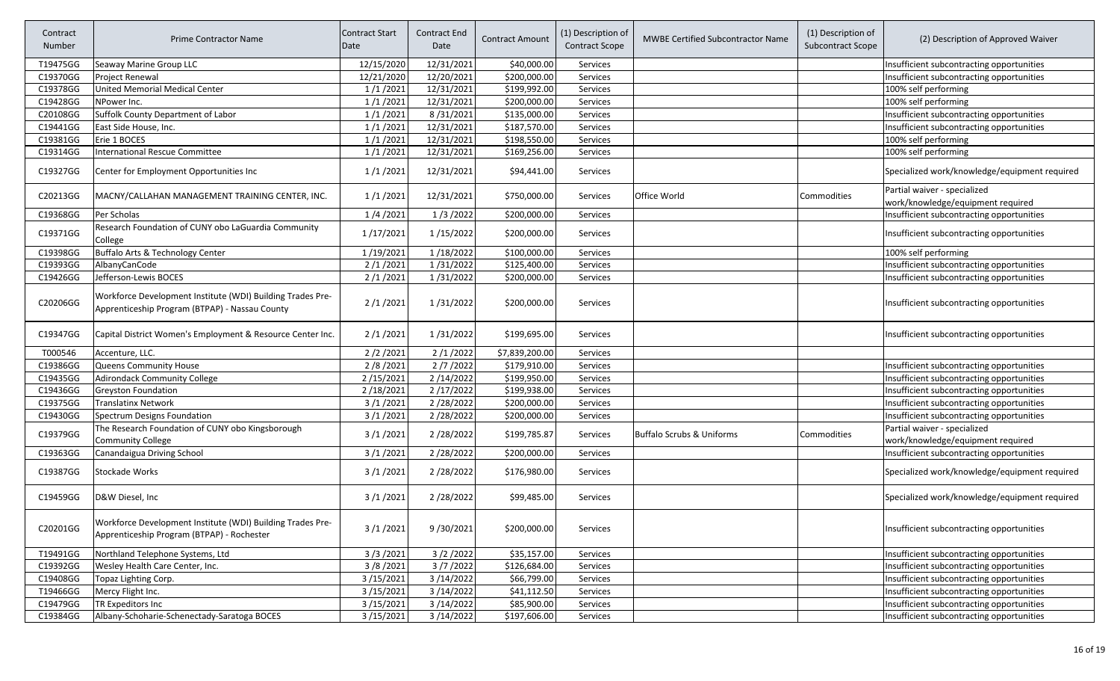| Contract<br>Number | <b>Prime Contractor Name</b>                                                                                 | Contract Start<br>Date | Contract End<br>Date | <b>Contract Amount</b> | (1) Description of<br><b>Contract Scope</b> | <b>MWBE Certified Subcontractor Name</b> | (1) Description of<br><b>Subcontract Scope</b> | (2) Description of Approved Waiver                                |
|--------------------|--------------------------------------------------------------------------------------------------------------|------------------------|----------------------|------------------------|---------------------------------------------|------------------------------------------|------------------------------------------------|-------------------------------------------------------------------|
| T19475GG           | Seaway Marine Group LLC                                                                                      | 12/15/2020             | 12/31/2021           | \$40,000.00            | Services                                    |                                          |                                                | Insufficient subcontracting opportunities                         |
| C19370GG           | Project Renewal                                                                                              | 12/21/2020             | 12/20/2021           | \$200,000.00           | Services                                    |                                          |                                                | Insufficient subcontracting opportunities                         |
| C19378GG           | <b>United Memorial Medical Center</b>                                                                        | 1/1/2021               | 12/31/2021           | \$199,992.00           | Services                                    |                                          |                                                | 100% self performing                                              |
| C19428GG           | NPower Inc.                                                                                                  | 1/1/2021               | 12/31/2021           | \$200,000.00           | Services                                    |                                          |                                                | 100% self performing                                              |
| C20108GG           | Suffolk County Department of Labor                                                                           | 1/1/2021               | 8/31/2021            | \$135,000.00           | Services                                    |                                          |                                                | Insufficient subcontracting opportunities                         |
| C19441GG           | East Side House, Inc.                                                                                        | 1/1/2021               | 12/31/2021           | \$187,570.00           | Services                                    |                                          |                                                | Insufficient subcontracting opportunities                         |
| C19381GG           | Erie 1 BOCES                                                                                                 | 1/1/2021               | 12/31/2021           | \$198,550.00           | Services                                    |                                          |                                                | 100% self performing                                              |
| C19314GG           | <b>International Rescue Committee</b>                                                                        | 1/1/2021               | 12/31/2021           | \$169,256.00           | Services                                    |                                          |                                                | 100% self performing                                              |
| C19327GG           | Center for Employment Opportunities Inc                                                                      | 1/1/2021               | 12/31/2021           | \$94,441.00            | Services                                    |                                          |                                                | Specialized work/knowledge/equipment required                     |
| C20213GG           | MACNY/CALLAHAN MANAGEMENT TRAINING CENTER, INC.                                                              | 1/1/2021               | 12/31/2021           | \$750,000.00           | <b>Services</b>                             | Office World                             | <b>Commodities</b>                             | Partial waiver - specialized<br>work/knowledge/equipment required |
| C19368GG           | Per Scholas                                                                                                  | 1/4/2021               | 1/3/2022             | \$200,000.00           | Services                                    |                                          |                                                | Insufficient subcontracting opportunities                         |
| C19371GG           | Research Foundation of CUNY obo LaGuardia Community<br>College                                               | 1/17/2021              | 1/15/2022            | \$200,000.00           | <b>Services</b>                             |                                          |                                                | Insufficient subcontracting opportunities                         |
| C19398GG           | Buffalo Arts & Technology Center                                                                             | 1/19/2021              | 1/18/2022            | \$100,000.00           | Services                                    |                                          |                                                | 100% self performing                                              |
| C19393GG           | AlbanyCanCode                                                                                                | 2/1/2021               | 1/31/2022            | \$125,400.00           | Services                                    |                                          |                                                | Insufficient subcontracting opportunities                         |
| C19426GG           | Jefferson-Lewis BOCES                                                                                        | 2/1/2021               | 1/31/2022            | \$200,000.00           | <b>Services</b>                             |                                          |                                                | Insufficient subcontracting opportunities                         |
| C20206GG           | Workforce Development Institute (WDI) Building Trades Pre-<br>Apprenticeship Program (BTPAP) - Nassau County | 2/1/2021               | 1/31/2022            | \$200,000.00           | Services                                    |                                          |                                                | Insufficient subcontracting opportunities                         |
| C19347GG           | Capital District Women's Employment & Resource Center Inc.                                                   | 2/1/2021               | 1/31/2022            | \$199,695.00           | <b>Services</b>                             |                                          |                                                | Insufficient subcontracting opportunities                         |
| T000546            | Accenture, LLC.                                                                                              | 2/2/2021               | 2/1/2022             | \$7,839,200.00         | Services                                    |                                          |                                                |                                                                   |
| C19386GG           | Queens Community House                                                                                       | 2/8/2021               | 2/7/2022             | \$179,910.00           | Services                                    |                                          |                                                | Insufficient subcontracting opportunities                         |
| C19435GG           | <b>Adirondack Community College</b>                                                                          | 2/15/2021              | 2/14/2022            | \$199,950.00           | <b>Services</b>                             |                                          |                                                | Insufficient subcontracting opportunities                         |
| C19436GG           | Greyston Foundation                                                                                          | 2/18/2021              | 2/17/2022            | \$199,938.00           | Services                                    |                                          |                                                | Insufficient subcontracting opportunities                         |
| C19375GG           | Translatinx Network                                                                                          | 3/1/2021               | 2/28/2022            | \$200,000.00           | Services                                    |                                          |                                                | Insufficient subcontracting opportunities                         |
| C19430GG           | Spectrum Designs Foundation                                                                                  | 3/1/2021               | 2/28/2022            | \$200,000.00           | Services                                    |                                          |                                                | Insufficient subcontracting opportunities                         |
| C19379GG           | The Research Foundation of CUNY obo Kingsborough<br>Community College                                        | 3/1/2021               | 2/28/2022            | \$199,785.87           | Services                                    | <b>Buffalo Scrubs &amp; Uniforms</b>     | Commodities                                    | Partial waiver - specialized<br>work/knowledge/equipment required |
| C19363GG           | Canandaigua Driving School                                                                                   | 3/1/2021               | 2/28/2022            | \$200,000.00           | <b>Services</b>                             |                                          |                                                | Insufficient subcontracting opportunities                         |
| C19387GG           | Stockade Works                                                                                               | 3/1/2021               | 2/28/2022            | \$176,980.00           | <b>Services</b>                             |                                          |                                                | Specialized work/knowledge/equipment required                     |
| C19459GG           | D&W Diesel, Inc                                                                                              | 3/1/2021               | 2/28/2022            | \$99,485.00            | <b>Services</b>                             |                                          |                                                | Specialized work/knowledge/equipment required                     |
| C20201GG           | Workforce Development Institute (WDI) Building Trades Pre-<br>Apprenticeship Program (BTPAP) - Rochester     | 3/1/2021               | 9/30/2021            | \$200,000.00           | Services                                    |                                          |                                                | Insufficient subcontracting opportunities                         |
| T19491GG           | Northland Telephone Systems, Ltd                                                                             | 3/3/2021               | 3/2/2022             | \$35,157.00            | Services                                    |                                          |                                                | Insufficient subcontracting opportunities                         |
| C19392GG           | Wesley Health Care Center, Inc.                                                                              | 3/8/2021               | 3/7/2022             | \$126,684.00           | Services                                    |                                          |                                                | Insufficient subcontracting opportunities                         |
| C19408GG           | Topaz Lighting Corp.                                                                                         | 3/15/2021              | 3/14/2022            | \$66,799.00            | Services                                    |                                          |                                                | Insufficient subcontracting opportunities                         |
| T19466GG           | Mercy Flight Inc.                                                                                            | 3/15/2021              | 3/14/2022            | \$41,112.50            | Services                                    |                                          |                                                | Insufficient subcontracting opportunities                         |
| C19479GG           | TR Expeditors Inc                                                                                            | 3/15/2021              | 3/14/2022            | \$85,900.00            | Services                                    |                                          |                                                | Insufficient subcontracting opportunities                         |
| C19384GG           | Albany-Schoharie-Schenectady-Saratoga BOCES                                                                  | 3/15/2021              | 3/14/2022            | \$197,606.00           | Services                                    |                                          |                                                | Insufficient subcontracting opportunities                         |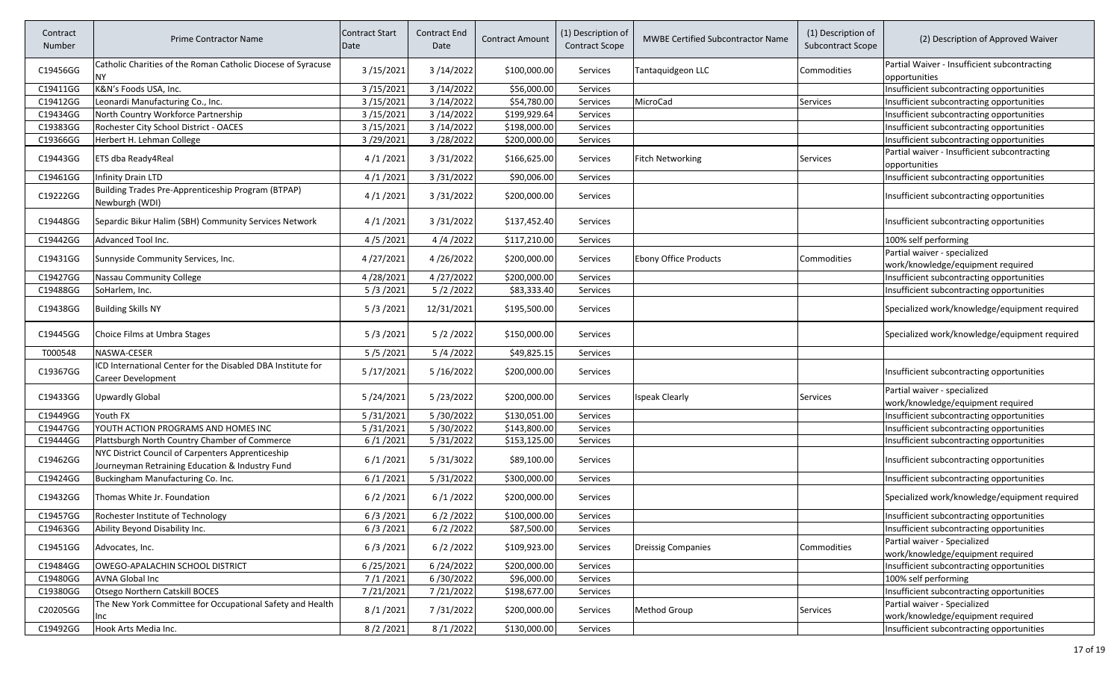| Partial Waiver - Insufficient subcontracting<br>Catholic Charities of the Roman Catholic Diocese of Syracuse<br>C19456GG<br>3/15/2021<br>3/14/2022<br>\$100,000.00<br>Commodities<br>Services<br>Tantaquidgeon LLC<br><b>NY</b><br>opportunities<br>3/14/2022<br>\$56,000.00<br>C19411GG<br>K&N's Foods USA, Inc.<br>3/15/2021<br>Insufficient subcontracting opportunities<br>Services<br>3/15/2021<br>3/14/2022<br>\$54,780.00<br>Leonardi Manufacturing Co., Inc.<br>MicroCad<br>Insufficient subcontracting opportunities<br>C19412GG<br>Services<br>Services<br>\$199,929.64<br>C19434GG<br>3/15/2021<br>3/14/2022<br>North Country Workforce Partnership<br>Services<br>Insufficient subcontracting opportunities<br>3/15/2021<br>\$198,000.00<br>C19383GG<br>Rochester City School District - OACES<br>3/14/2022<br>Services<br>Insufficient subcontracting opportunities<br>C19366GG<br>3/28/2022<br>\$200,000.00<br>3/29/2021<br>Insufficient subcontracting opportunities<br>Herbert H. Lehman College<br>Services<br>Partial waiver - Insufficient subcontracting<br>3/31/2022<br>C19443GG<br>4/1/2021<br>\$166,625.00<br>ETS dba Ready4Real<br><b>Services</b><br><b>Fitch Networking</b><br>Services<br>opportunities<br>C19461GG<br>4/1/2021<br>3/31/2022<br>\$90,006.00<br>Insufficient subcontracting opportunities<br>Infinity Drain LTD<br>Services<br>Building Trades Pre-Apprenticeship Program (BTPAP)<br>C19222GG<br>4/1/2021<br>3/31/2022<br>\$200,000.00<br>Insufficient subcontracting opportunities<br>Services<br>Newburgh (WDI)<br>C19448GG<br>Separdic Bikur Halim (SBH) Community Services Network<br>4/1/2021<br>3/31/2022<br>\$137,452.40<br>Insufficient subcontracting opportunities<br>Services<br>C19442GG<br>Advanced Tool Inc.<br>4/5/2021<br>4/4/2022<br>100% self performing<br>\$117,210.00<br>Services<br>Partial waiver - specialized<br>4/26/2022<br><b>Ebony Office Products</b><br>C19431GG<br>Sunnyside Community Services, Inc.<br>4/27/2021<br>\$200,000.00<br>Commodities<br><b>Services</b><br>work/knowledge/equipment required<br>4/27/2022<br>C19427GG<br>4/28/2021<br>\$200,000.00<br>Services<br>Insufficient subcontracting opportunities<br>Nassau Community College<br>C19488GG<br>5/3/2021<br>5/2/2022<br>\$83,333.40<br>Insufficient subcontracting opportunities<br>SoHarlem, Inc.<br>Services<br>5/3/2021<br>12/31/2021<br>C19438GG<br><b>Building Skills NY</b><br>\$195,500.00<br>Services<br>C19445GG<br>5/3/2021<br>5/2/2022<br>\$150,000.00<br>Choice Films at Umbra Stages<br>Services<br>T000548<br>NASWA-CESER<br>5/5/2021<br>5/4/2022<br>\$49,825.15<br>Services<br>ICD International Center for the Disabled DBA Institute for<br>C19367GG<br>5/17/2021<br>5/16/2022<br>\$200,000.00<br>Insufficient subcontracting opportunities<br>Services<br><b>Career Development</b><br>Partial waiver - specialized<br>5/24/2021<br>5/23/2022<br>C19433GG<br>Upwardly Global<br>\$200,000.00<br><b>Ispeak Clearly</b><br><b>Services</b><br>Services<br>work/knowledge/equipment required<br>5/31/2021<br>5/30/2022<br>C19449GG<br>Youth FX<br>\$130,051.00<br>Insufficient subcontracting opportunities<br><b>Services</b><br>C19447GG<br>5/31/2021<br>5/30/2022<br>\$143,800.00<br>YOUTH ACTION PROGRAMS AND HOMES INC<br>Services<br>Insufficient subcontracting opportunities<br>C19444GG<br>6/1/2021<br>5/31/2022<br>\$153,125.00<br>Plattsburgh North Country Chamber of Commerce<br><b>Services</b><br>Insufficient subcontracting opportunities<br>NYC District Council of Carpenters Apprenticeship<br>C19462GG<br>5/31/3022<br>6/1/2021<br>\$89,100.00<br><b>Services</b><br>Insufficient subcontracting opportunities<br>Journeyman Retraining Education & Industry Fund<br>5/31/2022<br>C19424GG<br>6/1/2021<br>\$300,000.00<br>Buckingham Manufacturing Co. Inc.<br>Services<br>Insufficient subcontracting opportunities<br>C19432GG<br>Specialized work/knowledge/equipment required<br>Thomas White Jr. Foundation<br>6/2/2021<br>6/1/2022<br>\$200,000.00<br>Services<br>6/2/2022<br>6/3/2021<br>\$100,000.00<br>C19457GG<br>Rochester Institute of Technology<br>Services<br>Insufficient subcontracting opportunities<br>6/2/2022<br>6/3/2021<br>\$87,500.00<br>C19463GG<br>Ability Beyond Disability Inc.<br>Services<br>Insufficient subcontracting opportunities<br>Partial waiver - Specialized<br>6/3/2021<br>6/2/2022<br>C19451GG<br>\$109,923.00<br>Services<br><b>Dreissig Companies</b><br>Commodities<br>Advocates, Inc.<br>work/knowledge/equipment required<br>6/24/2022<br>\$200,000.00<br>C19484GG<br>OWEGO-APALACHIN SCHOOL DISTRICT<br>6/25/2021<br>Insufficient subcontracting opportunities<br>Services<br>7/1/2021<br>6/30/2022<br>C19480GG<br>\$96,000.00<br>100% self performing<br>AVNA Global Inc<br>Services<br>Otsego Northern Catskill BOCES<br>7/21/2021<br>7/21/2022<br>Insufficient subcontracting opportunities<br>C19380GG<br>\$198,677.00<br>Services<br>Partial waiver - Specialized<br>The New York Committee for Occupational Safety and Health<br>C20205GG<br>8/1/2021<br>7/31/2022<br>\$200,000.00<br>Method Group<br>Services<br>Services<br>work/knowledge/equipment required<br>Inc<br>C19492GG<br>8/2/2021<br>8/1/2022<br>\$130,000.00<br>Hook Arts Media Inc.<br>Services<br>Insufficient subcontracting opportunities | Contract<br>Number | <b>Prime Contractor Name</b> | <b>Contract Start</b><br>Date | Contract End<br>Date | Contract Amount | (1) Description of<br><b>Contract Scope</b> | <b>MWBE Certified Subcontractor Name</b> | (1) Description of<br><b>Subcontract Scope</b> | (2) Description of Approved Waiver            |
|-----------------------------------------------------------------------------------------------------------------------------------------------------------------------------------------------------------------------------------------------------------------------------------------------------------------------------------------------------------------------------------------------------------------------------------------------------------------------------------------------------------------------------------------------------------------------------------------------------------------------------------------------------------------------------------------------------------------------------------------------------------------------------------------------------------------------------------------------------------------------------------------------------------------------------------------------------------------------------------------------------------------------------------------------------------------------------------------------------------------------------------------------------------------------------------------------------------------------------------------------------------------------------------------------------------------------------------------------------------------------------------------------------------------------------------------------------------------------------------------------------------------------------------------------------------------------------------------------------------------------------------------------------------------------------------------------------------------------------------------------------------------------------------------------------------------------------------------------------------------------------------------------------------------------------------------------------------------------------------------------------------------------------------------------------------------------------------------------------------------------------------------------------------------------------------------------------------------------------------------------------------------------------------------------------------------------------------------------------------------------------------------------------------------------------------------------------------------------------------------------------------------------------------------------------------------------------------------------------------------------------------------------------------------------------------------------------------------------------------------------------------------------------------------------------------------------------------------------------------------------------------------------------------------------------------------------------------------------------------------------------------------------------------------------------------------------------------------------------------------------------------------------------------------------------------------------------------------------------------------------------------------------------------------------------------------------------------------------------------------------------------------------------------------------------------------------------------------------------------------------------------------------------------------------------------------------------------------------------------------------------------------------------------------------------------------------------------------------------------------------------------------------------------------------------------------------------------------------------------------------------------------------------------------------------------------------------------------------------------------------------------------------------------------------------------------------------------------------------------------------------------------------------------------------------------------------------------------------------------------------------------------------------------------------------------------------------------------------------------------------------------------------------------------------------------------------------------------------------------------------------------------------------------------------------------------------------------------------------------------------------------------------------------------------------------------------------------------------------------------------------------------------------------------------------------------------------------------------------------------------------------------------------------------------------------------------------------------------------------------------------------------------------------------------------------------------------------------------------------------------------------------------------------------------------------------------------------------------------------------------------------------------------------------------------------------------------------------------------|--------------------|------------------------------|-------------------------------|----------------------|-----------------|---------------------------------------------|------------------------------------------|------------------------------------------------|-----------------------------------------------|
|                                                                                                                                                                                                                                                                                                                                                                                                                                                                                                                                                                                                                                                                                                                                                                                                                                                                                                                                                                                                                                                                                                                                                                                                                                                                                                                                                                                                                                                                                                                                                                                                                                                                                                                                                                                                                                                                                                                                                                                                                                                                                                                                                                                                                                                                                                                                                                                                                                                                                                                                                                                                                                                                                                                                                                                                                                                                                                                                                                                                                                                                                                                                                                                                                                                                                                                                                                                                                                                                                                                                                                                                                                                                                                                                                                                                                                                                                                                                                                                                                                                                                                                                                                                                                                                                                                                                                                                                                                                                                                                                                                                                                                                                                                                                                                                                                                                                                                                                                                                                                                                                                                                                                                                                                                                                                                                                                     |                    |                              |                               |                      |                 |                                             |                                          |                                                |                                               |
|                                                                                                                                                                                                                                                                                                                                                                                                                                                                                                                                                                                                                                                                                                                                                                                                                                                                                                                                                                                                                                                                                                                                                                                                                                                                                                                                                                                                                                                                                                                                                                                                                                                                                                                                                                                                                                                                                                                                                                                                                                                                                                                                                                                                                                                                                                                                                                                                                                                                                                                                                                                                                                                                                                                                                                                                                                                                                                                                                                                                                                                                                                                                                                                                                                                                                                                                                                                                                                                                                                                                                                                                                                                                                                                                                                                                                                                                                                                                                                                                                                                                                                                                                                                                                                                                                                                                                                                                                                                                                                                                                                                                                                                                                                                                                                                                                                                                                                                                                                                                                                                                                                                                                                                                                                                                                                                                                     |                    |                              |                               |                      |                 |                                             |                                          |                                                |                                               |
|                                                                                                                                                                                                                                                                                                                                                                                                                                                                                                                                                                                                                                                                                                                                                                                                                                                                                                                                                                                                                                                                                                                                                                                                                                                                                                                                                                                                                                                                                                                                                                                                                                                                                                                                                                                                                                                                                                                                                                                                                                                                                                                                                                                                                                                                                                                                                                                                                                                                                                                                                                                                                                                                                                                                                                                                                                                                                                                                                                                                                                                                                                                                                                                                                                                                                                                                                                                                                                                                                                                                                                                                                                                                                                                                                                                                                                                                                                                                                                                                                                                                                                                                                                                                                                                                                                                                                                                                                                                                                                                                                                                                                                                                                                                                                                                                                                                                                                                                                                                                                                                                                                                                                                                                                                                                                                                                                     |                    |                              |                               |                      |                 |                                             |                                          |                                                |                                               |
|                                                                                                                                                                                                                                                                                                                                                                                                                                                                                                                                                                                                                                                                                                                                                                                                                                                                                                                                                                                                                                                                                                                                                                                                                                                                                                                                                                                                                                                                                                                                                                                                                                                                                                                                                                                                                                                                                                                                                                                                                                                                                                                                                                                                                                                                                                                                                                                                                                                                                                                                                                                                                                                                                                                                                                                                                                                                                                                                                                                                                                                                                                                                                                                                                                                                                                                                                                                                                                                                                                                                                                                                                                                                                                                                                                                                                                                                                                                                                                                                                                                                                                                                                                                                                                                                                                                                                                                                                                                                                                                                                                                                                                                                                                                                                                                                                                                                                                                                                                                                                                                                                                                                                                                                                                                                                                                                                     |                    |                              |                               |                      |                 |                                             |                                          |                                                |                                               |
|                                                                                                                                                                                                                                                                                                                                                                                                                                                                                                                                                                                                                                                                                                                                                                                                                                                                                                                                                                                                                                                                                                                                                                                                                                                                                                                                                                                                                                                                                                                                                                                                                                                                                                                                                                                                                                                                                                                                                                                                                                                                                                                                                                                                                                                                                                                                                                                                                                                                                                                                                                                                                                                                                                                                                                                                                                                                                                                                                                                                                                                                                                                                                                                                                                                                                                                                                                                                                                                                                                                                                                                                                                                                                                                                                                                                                                                                                                                                                                                                                                                                                                                                                                                                                                                                                                                                                                                                                                                                                                                                                                                                                                                                                                                                                                                                                                                                                                                                                                                                                                                                                                                                                                                                                                                                                                                                                     |                    |                              |                               |                      |                 |                                             |                                          |                                                |                                               |
|                                                                                                                                                                                                                                                                                                                                                                                                                                                                                                                                                                                                                                                                                                                                                                                                                                                                                                                                                                                                                                                                                                                                                                                                                                                                                                                                                                                                                                                                                                                                                                                                                                                                                                                                                                                                                                                                                                                                                                                                                                                                                                                                                                                                                                                                                                                                                                                                                                                                                                                                                                                                                                                                                                                                                                                                                                                                                                                                                                                                                                                                                                                                                                                                                                                                                                                                                                                                                                                                                                                                                                                                                                                                                                                                                                                                                                                                                                                                                                                                                                                                                                                                                                                                                                                                                                                                                                                                                                                                                                                                                                                                                                                                                                                                                                                                                                                                                                                                                                                                                                                                                                                                                                                                                                                                                                                                                     |                    |                              |                               |                      |                 |                                             |                                          |                                                |                                               |
|                                                                                                                                                                                                                                                                                                                                                                                                                                                                                                                                                                                                                                                                                                                                                                                                                                                                                                                                                                                                                                                                                                                                                                                                                                                                                                                                                                                                                                                                                                                                                                                                                                                                                                                                                                                                                                                                                                                                                                                                                                                                                                                                                                                                                                                                                                                                                                                                                                                                                                                                                                                                                                                                                                                                                                                                                                                                                                                                                                                                                                                                                                                                                                                                                                                                                                                                                                                                                                                                                                                                                                                                                                                                                                                                                                                                                                                                                                                                                                                                                                                                                                                                                                                                                                                                                                                                                                                                                                                                                                                                                                                                                                                                                                                                                                                                                                                                                                                                                                                                                                                                                                                                                                                                                                                                                                                                                     |                    |                              |                               |                      |                 |                                             |                                          |                                                |                                               |
|                                                                                                                                                                                                                                                                                                                                                                                                                                                                                                                                                                                                                                                                                                                                                                                                                                                                                                                                                                                                                                                                                                                                                                                                                                                                                                                                                                                                                                                                                                                                                                                                                                                                                                                                                                                                                                                                                                                                                                                                                                                                                                                                                                                                                                                                                                                                                                                                                                                                                                                                                                                                                                                                                                                                                                                                                                                                                                                                                                                                                                                                                                                                                                                                                                                                                                                                                                                                                                                                                                                                                                                                                                                                                                                                                                                                                                                                                                                                                                                                                                                                                                                                                                                                                                                                                                                                                                                                                                                                                                                                                                                                                                                                                                                                                                                                                                                                                                                                                                                                                                                                                                                                                                                                                                                                                                                                                     |                    |                              |                               |                      |                 |                                             |                                          |                                                |                                               |
|                                                                                                                                                                                                                                                                                                                                                                                                                                                                                                                                                                                                                                                                                                                                                                                                                                                                                                                                                                                                                                                                                                                                                                                                                                                                                                                                                                                                                                                                                                                                                                                                                                                                                                                                                                                                                                                                                                                                                                                                                                                                                                                                                                                                                                                                                                                                                                                                                                                                                                                                                                                                                                                                                                                                                                                                                                                                                                                                                                                                                                                                                                                                                                                                                                                                                                                                                                                                                                                                                                                                                                                                                                                                                                                                                                                                                                                                                                                                                                                                                                                                                                                                                                                                                                                                                                                                                                                                                                                                                                                                                                                                                                                                                                                                                                                                                                                                                                                                                                                                                                                                                                                                                                                                                                                                                                                                                     |                    |                              |                               |                      |                 |                                             |                                          |                                                |                                               |
|                                                                                                                                                                                                                                                                                                                                                                                                                                                                                                                                                                                                                                                                                                                                                                                                                                                                                                                                                                                                                                                                                                                                                                                                                                                                                                                                                                                                                                                                                                                                                                                                                                                                                                                                                                                                                                                                                                                                                                                                                                                                                                                                                                                                                                                                                                                                                                                                                                                                                                                                                                                                                                                                                                                                                                                                                                                                                                                                                                                                                                                                                                                                                                                                                                                                                                                                                                                                                                                                                                                                                                                                                                                                                                                                                                                                                                                                                                                                                                                                                                                                                                                                                                                                                                                                                                                                                                                                                                                                                                                                                                                                                                                                                                                                                                                                                                                                                                                                                                                                                                                                                                                                                                                                                                                                                                                                                     |                    |                              |                               |                      |                 |                                             |                                          |                                                |                                               |
|                                                                                                                                                                                                                                                                                                                                                                                                                                                                                                                                                                                                                                                                                                                                                                                                                                                                                                                                                                                                                                                                                                                                                                                                                                                                                                                                                                                                                                                                                                                                                                                                                                                                                                                                                                                                                                                                                                                                                                                                                                                                                                                                                                                                                                                                                                                                                                                                                                                                                                                                                                                                                                                                                                                                                                                                                                                                                                                                                                                                                                                                                                                                                                                                                                                                                                                                                                                                                                                                                                                                                                                                                                                                                                                                                                                                                                                                                                                                                                                                                                                                                                                                                                                                                                                                                                                                                                                                                                                                                                                                                                                                                                                                                                                                                                                                                                                                                                                                                                                                                                                                                                                                                                                                                                                                                                                                                     |                    |                              |                               |                      |                 |                                             |                                          |                                                |                                               |
|                                                                                                                                                                                                                                                                                                                                                                                                                                                                                                                                                                                                                                                                                                                                                                                                                                                                                                                                                                                                                                                                                                                                                                                                                                                                                                                                                                                                                                                                                                                                                                                                                                                                                                                                                                                                                                                                                                                                                                                                                                                                                                                                                                                                                                                                                                                                                                                                                                                                                                                                                                                                                                                                                                                                                                                                                                                                                                                                                                                                                                                                                                                                                                                                                                                                                                                                                                                                                                                                                                                                                                                                                                                                                                                                                                                                                                                                                                                                                                                                                                                                                                                                                                                                                                                                                                                                                                                                                                                                                                                                                                                                                                                                                                                                                                                                                                                                                                                                                                                                                                                                                                                                                                                                                                                                                                                                                     |                    |                              |                               |                      |                 |                                             |                                          |                                                |                                               |
|                                                                                                                                                                                                                                                                                                                                                                                                                                                                                                                                                                                                                                                                                                                                                                                                                                                                                                                                                                                                                                                                                                                                                                                                                                                                                                                                                                                                                                                                                                                                                                                                                                                                                                                                                                                                                                                                                                                                                                                                                                                                                                                                                                                                                                                                                                                                                                                                                                                                                                                                                                                                                                                                                                                                                                                                                                                                                                                                                                                                                                                                                                                                                                                                                                                                                                                                                                                                                                                                                                                                                                                                                                                                                                                                                                                                                                                                                                                                                                                                                                                                                                                                                                                                                                                                                                                                                                                                                                                                                                                                                                                                                                                                                                                                                                                                                                                                                                                                                                                                                                                                                                                                                                                                                                                                                                                                                     |                    |                              |                               |                      |                 |                                             |                                          |                                                |                                               |
|                                                                                                                                                                                                                                                                                                                                                                                                                                                                                                                                                                                                                                                                                                                                                                                                                                                                                                                                                                                                                                                                                                                                                                                                                                                                                                                                                                                                                                                                                                                                                                                                                                                                                                                                                                                                                                                                                                                                                                                                                                                                                                                                                                                                                                                                                                                                                                                                                                                                                                                                                                                                                                                                                                                                                                                                                                                                                                                                                                                                                                                                                                                                                                                                                                                                                                                                                                                                                                                                                                                                                                                                                                                                                                                                                                                                                                                                                                                                                                                                                                                                                                                                                                                                                                                                                                                                                                                                                                                                                                                                                                                                                                                                                                                                                                                                                                                                                                                                                                                                                                                                                                                                                                                                                                                                                                                                                     |                    |                              |                               |                      |                 |                                             |                                          |                                                |                                               |
|                                                                                                                                                                                                                                                                                                                                                                                                                                                                                                                                                                                                                                                                                                                                                                                                                                                                                                                                                                                                                                                                                                                                                                                                                                                                                                                                                                                                                                                                                                                                                                                                                                                                                                                                                                                                                                                                                                                                                                                                                                                                                                                                                                                                                                                                                                                                                                                                                                                                                                                                                                                                                                                                                                                                                                                                                                                                                                                                                                                                                                                                                                                                                                                                                                                                                                                                                                                                                                                                                                                                                                                                                                                                                                                                                                                                                                                                                                                                                                                                                                                                                                                                                                                                                                                                                                                                                                                                                                                                                                                                                                                                                                                                                                                                                                                                                                                                                                                                                                                                                                                                                                                                                                                                                                                                                                                                                     |                    |                              |                               |                      |                 |                                             |                                          |                                                | Specialized work/knowledge/equipment required |
|                                                                                                                                                                                                                                                                                                                                                                                                                                                                                                                                                                                                                                                                                                                                                                                                                                                                                                                                                                                                                                                                                                                                                                                                                                                                                                                                                                                                                                                                                                                                                                                                                                                                                                                                                                                                                                                                                                                                                                                                                                                                                                                                                                                                                                                                                                                                                                                                                                                                                                                                                                                                                                                                                                                                                                                                                                                                                                                                                                                                                                                                                                                                                                                                                                                                                                                                                                                                                                                                                                                                                                                                                                                                                                                                                                                                                                                                                                                                                                                                                                                                                                                                                                                                                                                                                                                                                                                                                                                                                                                                                                                                                                                                                                                                                                                                                                                                                                                                                                                                                                                                                                                                                                                                                                                                                                                                                     |                    |                              |                               |                      |                 |                                             |                                          |                                                | Specialized work/knowledge/equipment required |
|                                                                                                                                                                                                                                                                                                                                                                                                                                                                                                                                                                                                                                                                                                                                                                                                                                                                                                                                                                                                                                                                                                                                                                                                                                                                                                                                                                                                                                                                                                                                                                                                                                                                                                                                                                                                                                                                                                                                                                                                                                                                                                                                                                                                                                                                                                                                                                                                                                                                                                                                                                                                                                                                                                                                                                                                                                                                                                                                                                                                                                                                                                                                                                                                                                                                                                                                                                                                                                                                                                                                                                                                                                                                                                                                                                                                                                                                                                                                                                                                                                                                                                                                                                                                                                                                                                                                                                                                                                                                                                                                                                                                                                                                                                                                                                                                                                                                                                                                                                                                                                                                                                                                                                                                                                                                                                                                                     |                    |                              |                               |                      |                 |                                             |                                          |                                                |                                               |
|                                                                                                                                                                                                                                                                                                                                                                                                                                                                                                                                                                                                                                                                                                                                                                                                                                                                                                                                                                                                                                                                                                                                                                                                                                                                                                                                                                                                                                                                                                                                                                                                                                                                                                                                                                                                                                                                                                                                                                                                                                                                                                                                                                                                                                                                                                                                                                                                                                                                                                                                                                                                                                                                                                                                                                                                                                                                                                                                                                                                                                                                                                                                                                                                                                                                                                                                                                                                                                                                                                                                                                                                                                                                                                                                                                                                                                                                                                                                                                                                                                                                                                                                                                                                                                                                                                                                                                                                                                                                                                                                                                                                                                                                                                                                                                                                                                                                                                                                                                                                                                                                                                                                                                                                                                                                                                                                                     |                    |                              |                               |                      |                 |                                             |                                          |                                                |                                               |
|                                                                                                                                                                                                                                                                                                                                                                                                                                                                                                                                                                                                                                                                                                                                                                                                                                                                                                                                                                                                                                                                                                                                                                                                                                                                                                                                                                                                                                                                                                                                                                                                                                                                                                                                                                                                                                                                                                                                                                                                                                                                                                                                                                                                                                                                                                                                                                                                                                                                                                                                                                                                                                                                                                                                                                                                                                                                                                                                                                                                                                                                                                                                                                                                                                                                                                                                                                                                                                                                                                                                                                                                                                                                                                                                                                                                                                                                                                                                                                                                                                                                                                                                                                                                                                                                                                                                                                                                                                                                                                                                                                                                                                                                                                                                                                                                                                                                                                                                                                                                                                                                                                                                                                                                                                                                                                                                                     |                    |                              |                               |                      |                 |                                             |                                          |                                                |                                               |
|                                                                                                                                                                                                                                                                                                                                                                                                                                                                                                                                                                                                                                                                                                                                                                                                                                                                                                                                                                                                                                                                                                                                                                                                                                                                                                                                                                                                                                                                                                                                                                                                                                                                                                                                                                                                                                                                                                                                                                                                                                                                                                                                                                                                                                                                                                                                                                                                                                                                                                                                                                                                                                                                                                                                                                                                                                                                                                                                                                                                                                                                                                                                                                                                                                                                                                                                                                                                                                                                                                                                                                                                                                                                                                                                                                                                                                                                                                                                                                                                                                                                                                                                                                                                                                                                                                                                                                                                                                                                                                                                                                                                                                                                                                                                                                                                                                                                                                                                                                                                                                                                                                                                                                                                                                                                                                                                                     |                    |                              |                               |                      |                 |                                             |                                          |                                                |                                               |
|                                                                                                                                                                                                                                                                                                                                                                                                                                                                                                                                                                                                                                                                                                                                                                                                                                                                                                                                                                                                                                                                                                                                                                                                                                                                                                                                                                                                                                                                                                                                                                                                                                                                                                                                                                                                                                                                                                                                                                                                                                                                                                                                                                                                                                                                                                                                                                                                                                                                                                                                                                                                                                                                                                                                                                                                                                                                                                                                                                                                                                                                                                                                                                                                                                                                                                                                                                                                                                                                                                                                                                                                                                                                                                                                                                                                                                                                                                                                                                                                                                                                                                                                                                                                                                                                                                                                                                                                                                                                                                                                                                                                                                                                                                                                                                                                                                                                                                                                                                                                                                                                                                                                                                                                                                                                                                                                                     |                    |                              |                               |                      |                 |                                             |                                          |                                                |                                               |
|                                                                                                                                                                                                                                                                                                                                                                                                                                                                                                                                                                                                                                                                                                                                                                                                                                                                                                                                                                                                                                                                                                                                                                                                                                                                                                                                                                                                                                                                                                                                                                                                                                                                                                                                                                                                                                                                                                                                                                                                                                                                                                                                                                                                                                                                                                                                                                                                                                                                                                                                                                                                                                                                                                                                                                                                                                                                                                                                                                                                                                                                                                                                                                                                                                                                                                                                                                                                                                                                                                                                                                                                                                                                                                                                                                                                                                                                                                                                                                                                                                                                                                                                                                                                                                                                                                                                                                                                                                                                                                                                                                                                                                                                                                                                                                                                                                                                                                                                                                                                                                                                                                                                                                                                                                                                                                                                                     |                    |                              |                               |                      |                 |                                             |                                          |                                                |                                               |
|                                                                                                                                                                                                                                                                                                                                                                                                                                                                                                                                                                                                                                                                                                                                                                                                                                                                                                                                                                                                                                                                                                                                                                                                                                                                                                                                                                                                                                                                                                                                                                                                                                                                                                                                                                                                                                                                                                                                                                                                                                                                                                                                                                                                                                                                                                                                                                                                                                                                                                                                                                                                                                                                                                                                                                                                                                                                                                                                                                                                                                                                                                                                                                                                                                                                                                                                                                                                                                                                                                                                                                                                                                                                                                                                                                                                                                                                                                                                                                                                                                                                                                                                                                                                                                                                                                                                                                                                                                                                                                                                                                                                                                                                                                                                                                                                                                                                                                                                                                                                                                                                                                                                                                                                                                                                                                                                                     |                    |                              |                               |                      |                 |                                             |                                          |                                                |                                               |
|                                                                                                                                                                                                                                                                                                                                                                                                                                                                                                                                                                                                                                                                                                                                                                                                                                                                                                                                                                                                                                                                                                                                                                                                                                                                                                                                                                                                                                                                                                                                                                                                                                                                                                                                                                                                                                                                                                                                                                                                                                                                                                                                                                                                                                                                                                                                                                                                                                                                                                                                                                                                                                                                                                                                                                                                                                                                                                                                                                                                                                                                                                                                                                                                                                                                                                                                                                                                                                                                                                                                                                                                                                                                                                                                                                                                                                                                                                                                                                                                                                                                                                                                                                                                                                                                                                                                                                                                                                                                                                                                                                                                                                                                                                                                                                                                                                                                                                                                                                                                                                                                                                                                                                                                                                                                                                                                                     |                    |                              |                               |                      |                 |                                             |                                          |                                                |                                               |
|                                                                                                                                                                                                                                                                                                                                                                                                                                                                                                                                                                                                                                                                                                                                                                                                                                                                                                                                                                                                                                                                                                                                                                                                                                                                                                                                                                                                                                                                                                                                                                                                                                                                                                                                                                                                                                                                                                                                                                                                                                                                                                                                                                                                                                                                                                                                                                                                                                                                                                                                                                                                                                                                                                                                                                                                                                                                                                                                                                                                                                                                                                                                                                                                                                                                                                                                                                                                                                                                                                                                                                                                                                                                                                                                                                                                                                                                                                                                                                                                                                                                                                                                                                                                                                                                                                                                                                                                                                                                                                                                                                                                                                                                                                                                                                                                                                                                                                                                                                                                                                                                                                                                                                                                                                                                                                                                                     |                    |                              |                               |                      |                 |                                             |                                          |                                                |                                               |
|                                                                                                                                                                                                                                                                                                                                                                                                                                                                                                                                                                                                                                                                                                                                                                                                                                                                                                                                                                                                                                                                                                                                                                                                                                                                                                                                                                                                                                                                                                                                                                                                                                                                                                                                                                                                                                                                                                                                                                                                                                                                                                                                                                                                                                                                                                                                                                                                                                                                                                                                                                                                                                                                                                                                                                                                                                                                                                                                                                                                                                                                                                                                                                                                                                                                                                                                                                                                                                                                                                                                                                                                                                                                                                                                                                                                                                                                                                                                                                                                                                                                                                                                                                                                                                                                                                                                                                                                                                                                                                                                                                                                                                                                                                                                                                                                                                                                                                                                                                                                                                                                                                                                                                                                                                                                                                                                                     |                    |                              |                               |                      |                 |                                             |                                          |                                                |                                               |
|                                                                                                                                                                                                                                                                                                                                                                                                                                                                                                                                                                                                                                                                                                                                                                                                                                                                                                                                                                                                                                                                                                                                                                                                                                                                                                                                                                                                                                                                                                                                                                                                                                                                                                                                                                                                                                                                                                                                                                                                                                                                                                                                                                                                                                                                                                                                                                                                                                                                                                                                                                                                                                                                                                                                                                                                                                                                                                                                                                                                                                                                                                                                                                                                                                                                                                                                                                                                                                                                                                                                                                                                                                                                                                                                                                                                                                                                                                                                                                                                                                                                                                                                                                                                                                                                                                                                                                                                                                                                                                                                                                                                                                                                                                                                                                                                                                                                                                                                                                                                                                                                                                                                                                                                                                                                                                                                                     |                    |                              |                               |                      |                 |                                             |                                          |                                                |                                               |
|                                                                                                                                                                                                                                                                                                                                                                                                                                                                                                                                                                                                                                                                                                                                                                                                                                                                                                                                                                                                                                                                                                                                                                                                                                                                                                                                                                                                                                                                                                                                                                                                                                                                                                                                                                                                                                                                                                                                                                                                                                                                                                                                                                                                                                                                                                                                                                                                                                                                                                                                                                                                                                                                                                                                                                                                                                                                                                                                                                                                                                                                                                                                                                                                                                                                                                                                                                                                                                                                                                                                                                                                                                                                                                                                                                                                                                                                                                                                                                                                                                                                                                                                                                                                                                                                                                                                                                                                                                                                                                                                                                                                                                                                                                                                                                                                                                                                                                                                                                                                                                                                                                                                                                                                                                                                                                                                                     |                    |                              |                               |                      |                 |                                             |                                          |                                                |                                               |
|                                                                                                                                                                                                                                                                                                                                                                                                                                                                                                                                                                                                                                                                                                                                                                                                                                                                                                                                                                                                                                                                                                                                                                                                                                                                                                                                                                                                                                                                                                                                                                                                                                                                                                                                                                                                                                                                                                                                                                                                                                                                                                                                                                                                                                                                                                                                                                                                                                                                                                                                                                                                                                                                                                                                                                                                                                                                                                                                                                                                                                                                                                                                                                                                                                                                                                                                                                                                                                                                                                                                                                                                                                                                                                                                                                                                                                                                                                                                                                                                                                                                                                                                                                                                                                                                                                                                                                                                                                                                                                                                                                                                                                                                                                                                                                                                                                                                                                                                                                                                                                                                                                                                                                                                                                                                                                                                                     |                    |                              |                               |                      |                 |                                             |                                          |                                                |                                               |
|                                                                                                                                                                                                                                                                                                                                                                                                                                                                                                                                                                                                                                                                                                                                                                                                                                                                                                                                                                                                                                                                                                                                                                                                                                                                                                                                                                                                                                                                                                                                                                                                                                                                                                                                                                                                                                                                                                                                                                                                                                                                                                                                                                                                                                                                                                                                                                                                                                                                                                                                                                                                                                                                                                                                                                                                                                                                                                                                                                                                                                                                                                                                                                                                                                                                                                                                                                                                                                                                                                                                                                                                                                                                                                                                                                                                                                                                                                                                                                                                                                                                                                                                                                                                                                                                                                                                                                                                                                                                                                                                                                                                                                                                                                                                                                                                                                                                                                                                                                                                                                                                                                                                                                                                                                                                                                                                                     |                    |                              |                               |                      |                 |                                             |                                          |                                                |                                               |
|                                                                                                                                                                                                                                                                                                                                                                                                                                                                                                                                                                                                                                                                                                                                                                                                                                                                                                                                                                                                                                                                                                                                                                                                                                                                                                                                                                                                                                                                                                                                                                                                                                                                                                                                                                                                                                                                                                                                                                                                                                                                                                                                                                                                                                                                                                                                                                                                                                                                                                                                                                                                                                                                                                                                                                                                                                                                                                                                                                                                                                                                                                                                                                                                                                                                                                                                                                                                                                                                                                                                                                                                                                                                                                                                                                                                                                                                                                                                                                                                                                                                                                                                                                                                                                                                                                                                                                                                                                                                                                                                                                                                                                                                                                                                                                                                                                                                                                                                                                                                                                                                                                                                                                                                                                                                                                                                                     |                    |                              |                               |                      |                 |                                             |                                          |                                                |                                               |
|                                                                                                                                                                                                                                                                                                                                                                                                                                                                                                                                                                                                                                                                                                                                                                                                                                                                                                                                                                                                                                                                                                                                                                                                                                                                                                                                                                                                                                                                                                                                                                                                                                                                                                                                                                                                                                                                                                                                                                                                                                                                                                                                                                                                                                                                                                                                                                                                                                                                                                                                                                                                                                                                                                                                                                                                                                                                                                                                                                                                                                                                                                                                                                                                                                                                                                                                                                                                                                                                                                                                                                                                                                                                                                                                                                                                                                                                                                                                                                                                                                                                                                                                                                                                                                                                                                                                                                                                                                                                                                                                                                                                                                                                                                                                                                                                                                                                                                                                                                                                                                                                                                                                                                                                                                                                                                                                                     |                    |                              |                               |                      |                 |                                             |                                          |                                                |                                               |
|                                                                                                                                                                                                                                                                                                                                                                                                                                                                                                                                                                                                                                                                                                                                                                                                                                                                                                                                                                                                                                                                                                                                                                                                                                                                                                                                                                                                                                                                                                                                                                                                                                                                                                                                                                                                                                                                                                                                                                                                                                                                                                                                                                                                                                                                                                                                                                                                                                                                                                                                                                                                                                                                                                                                                                                                                                                                                                                                                                                                                                                                                                                                                                                                                                                                                                                                                                                                                                                                                                                                                                                                                                                                                                                                                                                                                                                                                                                                                                                                                                                                                                                                                                                                                                                                                                                                                                                                                                                                                                                                                                                                                                                                                                                                                                                                                                                                                                                                                                                                                                                                                                                                                                                                                                                                                                                                                     |                    |                              |                               |                      |                 |                                             |                                          |                                                |                                               |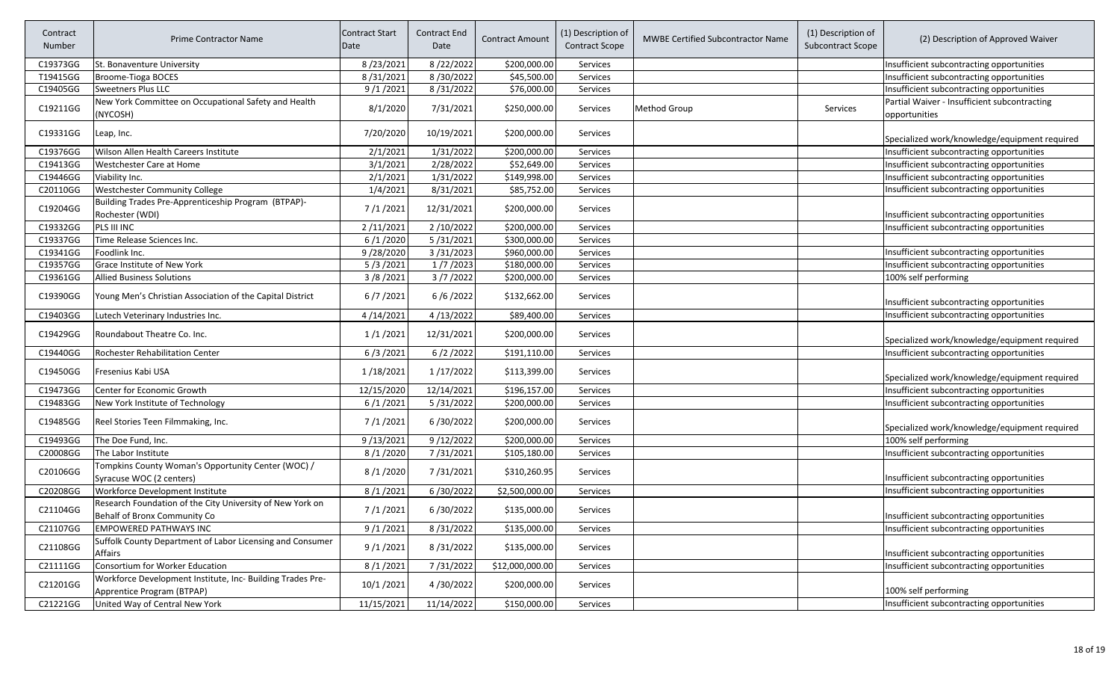| Contract<br>Number | Prime Contractor Name                                                                     | Contract Start<br>Date | Contract End<br>Date | <b>Contract Amount</b> | (1) Description of<br><b>Contract Scope</b> | <b>MWBE Certified Subcontractor Name</b> | (1) Description of<br><b>Subcontract Scope</b> | (2) Description of Approved Waiver                            |
|--------------------|-------------------------------------------------------------------------------------------|------------------------|----------------------|------------------------|---------------------------------------------|------------------------------------------|------------------------------------------------|---------------------------------------------------------------|
| C19373GG           | St. Bonaventure University                                                                | 8/23/2021              | 8/22/2022            | \$200,000.00           | Services                                    |                                          |                                                | Insufficient subcontracting opportunities                     |
| T19415GG           | Broome-Tioga BOCES                                                                        | 8/31/2021              | 8/30/2022            | \$45,500.00            | Services                                    |                                          |                                                | Insufficient subcontracting opportunities                     |
| C19405GG           | Sweetners Plus LLC                                                                        | 9/1/2021               | 8/31/2022            | \$76,000.00            | Services                                    |                                          |                                                | Insufficient subcontracting opportunities                     |
| C19211GG           | New York Committee on Occupational Safety and Health<br>(NYCOSH)                          | 8/1/2020               | 7/31/2021            | \$250,000.00           | Services                                    | Method Group                             | Services                                       | Partial Waiver - Insufficient subcontracting<br>opportunities |
| C19331GG           | Leap, Inc.                                                                                | 7/20/2020              | 10/19/2021           | \$200,000.00           | <b>Services</b>                             |                                          |                                                | Specialized work/knowledge/equipment required                 |
| C19376GG           | Wilson Allen Health Careers Institute                                                     | 2/1/2021               | 1/31/2022            | \$200,000.00           | Services                                    |                                          |                                                | Insufficient subcontracting opportunities                     |
| C19413GG           | Westchester Care at Home                                                                  | 3/1/2021               | 2/28/2022            | \$52,649.00            | Services                                    |                                          |                                                | Insufficient subcontracting opportunities                     |
| C19446GG           | Viability Inc.                                                                            | 2/1/2021               | 1/31/2022            | \$149,998.00           | Services                                    |                                          |                                                | Insufficient subcontracting opportunities                     |
| C20110GG           | <b>Westchester Community College</b>                                                      | 1/4/2021               | 8/31/2021            | \$85,752.00            | Services                                    |                                          |                                                | Insufficient subcontracting opportunities                     |
| C19204GG           | Building Trades Pre-Apprenticeship Program (BTPAP)-<br>Rochester (WDI)                    | 7/1/2021               | 12/31/2021           | \$200,000.00           | <b>Services</b>                             |                                          |                                                | Insufficient subcontracting opportunities                     |
| C19332GG           | PLS III INC                                                                               | 2/11/2021              | 2/10/2022            | \$200,000.00           | Services                                    |                                          |                                                | Insufficient subcontracting opportunities                     |
| C19337GG           | Time Release Sciences Inc.                                                                | 6/1/2020               | 5/31/2021            | \$300,000.00           | Services                                    |                                          |                                                |                                                               |
| C19341GG           | Foodlink Inc.                                                                             | 9/28/2020              | 3/31/2023            | \$960,000.00           | Services                                    |                                          |                                                | Insufficient subcontracting opportunities                     |
| C19357GG           | Grace Institute of New York                                                               | 5/3/2021               | 1/7/2023             | \$180,000.00           | Services                                    |                                          |                                                | Insufficient subcontracting opportunities                     |
| C19361GG           | <b>Allied Business Solutions</b>                                                          | 3/8/2021               | 3/7/2022             | \$200,000.00           | Services                                    |                                          |                                                | 100% self performing                                          |
| C19390GG           | Young Men's Christian Association of the Capital District                                 | 6/7/2021               | 6/6/2022             | \$132,662.00           | <b>Services</b>                             |                                          |                                                | Insufficient subcontracting opportunities                     |
| C19403GG           | Lutech Veterinary Industries Inc.                                                         | 4/14/2021              | 4/13/2022            | \$89,400.00            | Services                                    |                                          |                                                | Insufficient subcontracting opportunities                     |
| C19429GG           | Roundabout Theatre Co. Inc.                                                               | 1/1/2021               | 12/31/2021           | \$200,000.00           | <b>Services</b>                             |                                          |                                                | Specialized work/knowledge/equipment required                 |
| C19440GG           | Rochester Rehabilitation Center                                                           | 6/3/2021               | 6/2/2022             | \$191,110.00           | Services                                    |                                          |                                                | Insufficient subcontracting opportunities                     |
| C19450GG           | Fresenius Kabi USA                                                                        | 1/18/2021              | 1/17/2022            | \$113,399.00           | <b>Services</b>                             |                                          |                                                | Specialized work/knowledge/equipment required                 |
| C19473GG           | Center for Economic Growth                                                                | 12/15/2020             | 12/14/2021           | \$196,157.00           | Services                                    |                                          |                                                | Insufficient subcontracting opportunities                     |
| C19483GG           | New York Institute of Technology                                                          | 6/1/2021               | 5/31/2022            | \$200,000.00           | Services                                    |                                          |                                                | Insufficient subcontracting opportunities                     |
| C19485GG           | Reel Stories Teen Filmmaking, Inc.                                                        | 7/1/2021               | 6/30/2022            | \$200,000.00           | <b>Services</b>                             |                                          |                                                | Specialized work/knowledge/equipment required                 |
| C19493GG           | The Doe Fund, Inc.                                                                        | 9/13/2021              | 9/12/2022            | \$200,000.00           | Services                                    |                                          |                                                | 100% self performing                                          |
| C20008GG           | The Labor Institute                                                                       | 8/1/2020               | 7/31/2021            | \$105,180.00           | Services                                    |                                          |                                                | Insufficient subcontracting opportunities                     |
| C20106GG           | Tompkins County Woman's Opportunity Center (WOC) /<br>Syracuse WOC (2 centers)            | 8/1/2020               | 7/31/2021            | \$310,260.95           | <b>Services</b>                             |                                          |                                                | Insufficient subcontracting opportunities                     |
| C20208GG           | Workforce Development Institute                                                           | 8/1/2021               | 6/30/2022            | \$2,500,000.00         | Services                                    |                                          |                                                | Insufficient subcontracting opportunities                     |
| C21104GG           | Research Foundation of the City University of New York on<br>Behalf of Bronx Community Co | 7/1/2021               | 6/30/2022            | \$135,000.00           | <b>Services</b>                             |                                          |                                                | Insufficient subcontracting opportunities                     |
| C21107GG           | EMPOWERED PATHWAYS INC                                                                    | 9/1/2021               | 8/31/2022            | \$135,000.00           | Services                                    |                                          |                                                | Insufficient subcontracting opportunities                     |
| C21108GG           | Suffolk County Department of Labor Licensing and Consumer<br>Affairs                      | 9/1/2021               | 8/31/2022            | \$135,000.00           | Services                                    |                                          |                                                | Insufficient subcontracting opportunities                     |
| C21111GG           | Consortium for Worker Education                                                           | 8/1/2021               | 7/31/2022            | \$12,000,000.00        | Services                                    |                                          |                                                | Insufficient subcontracting opportunities                     |
| C21201GG           | Workforce Development Institute, Inc- Building Trades Pre-<br>Apprentice Program (BTPAP)  | 10/1/2021              | 4/30/2022            | \$200,000.00           | Services                                    |                                          |                                                | 100% self performing                                          |
| C21221GG           | United Way of Central New York                                                            | 11/15/2021             | 11/14/2022           | \$150,000.00           | Services                                    |                                          |                                                | Insufficient subcontracting opportunities                     |